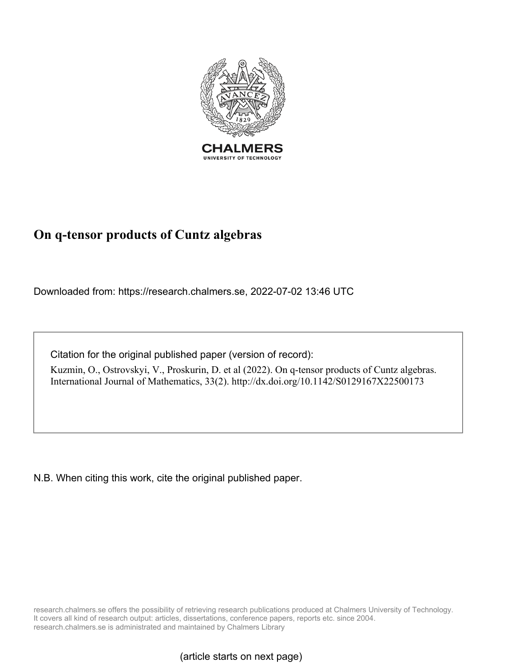

# **On q-tensor products of Cuntz algebras**

Downloaded from: https://research.chalmers.se, 2022-07-02 13:46 UTC

Citation for the original published paper (version of record):

Kuzmin, O., Ostrovskyi, V., Proskurin, D. et al (2022). On q-tensor products of Cuntz algebras. International Journal of Mathematics, 33(2). http://dx.doi.org/10.1142/S0129167X22500173

N.B. When citing this work, cite the original published paper.

research.chalmers.se offers the possibility of retrieving research publications produced at Chalmers University of Technology. It covers all kind of research output: articles, dissertations, conference papers, reports etc. since 2004. research.chalmers.se is administrated and maintained by Chalmers Library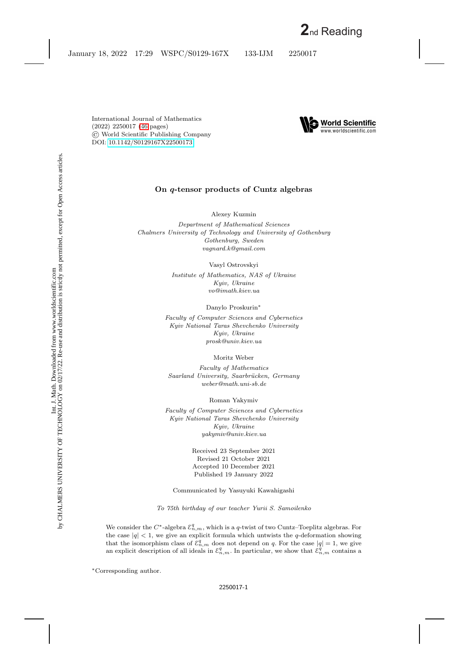

## **On** *q***-tensor products of Cuntz algebras**

Alexey Kuzmin

*Department of Mathematical Sciences Chalmers University of Technology and University of Gothenburg Gothenburg, Sweden vagnard.k@gmail.com*

> Vasyl Ostrovskyi *Institute of Mathematics, NAS of Ukraine Kyiv, Ukraine vo@imath.kiev.ua*

> > Danylo Proskurin∗

*Faculty of Computer Sciences and Cybernetics Kyiv National Taras Shevchenko University Kyiv, Ukraine prosk@univ.kiev.ua*

Moritz Weber

*Faculty of Mathematics Saarland University, Saarbr¨ucken, Germany weber@math.uni-sb.de*

Roman Yakymiv

*Faculty of Computer Sciences and Cybernetics Kyiv National Taras Shevchenko University Kyiv, Ukraine yakymiv@univ.kiev.ua*

> Received 23 September 2021 Revised 21 October 2021 Accepted 10 December 2021 Published 19 January 2022

Communicated by Yasuyuki Kawahigashi

*To 75th birthday of our teacher Yurii S. Samoilenko*

We consider the  $C^*$ -algebra  $\mathcal{E}_{n,m}^q$ , which is a q-twist of two Cuntz–Toeplitz algebras. For the case  $|q| < 1$ , we give an explicit formula which untwists the q-deformation showing that the isomorphism class of  $\mathcal{E}_{n,m}^q$  does not depend on q. For the case  $|q|=1$ , we give an explicit description of all ideals in  $\mathcal{E}_{n,m}^q$ . In particular, we show that  $\mathcal{E}_{n,m}^q$  contains a

∗Corresponding author.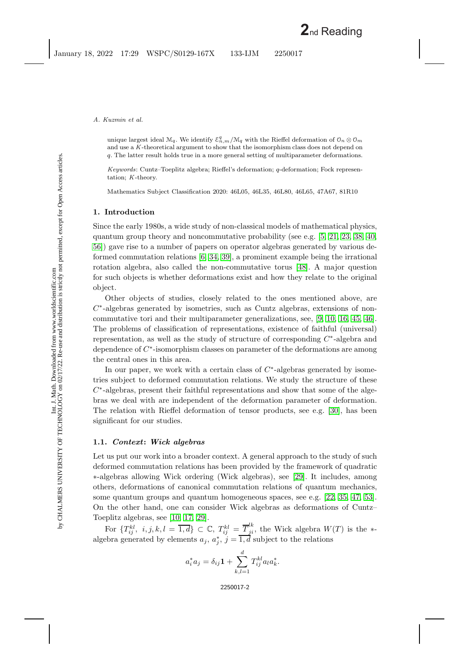unique largest ideal  $\mathcal{M}_q.$  We identify  $\mathcal{E}^q_{n,m}/\mathcal{M}_q$  with the Rieffel deformation of  $\mathcal{O}_n\otimes\mathcal{O}_m$ and use a *K* -theoretical argument to show that the isomorphism class does not depend on q. The latter result holds true in a more general setting of multiparameter deformations.

*Keywords*: Cuntz–Toeplitz algebra; Rieffel's deformation; q-deformation; Fock representation; *K* -theory.

Mathematics Subject Classification 2020: 46L05, 46L35, 46L80, 46L65, 47A67, 81R10

### **1. Introduction**

Since the early 1980s, a wide study of non-classical models of mathematical physics, quantum group theory and noncommutative probability (see e.g. [\[5,](#page-44-0) [21,](#page-44-1) [23,](#page-45-0) [38,](#page-45-1) [40,](#page-45-2) [56\]](#page-46-0)) gave rise to a number of papers on operator algebras generated by various deformed commutation relations [\[6,](#page-44-2) [34,](#page-45-3) [39\]](#page-45-4), a prominent example being the irrational rotation algebra, also called the non-commutative torus [\[48\]](#page-46-1). A major question for such objects is whether deformations exist and how they relate to the original object.

Other objects of studies, closely related to the ones mentioned above, are  $C<sup>*</sup>$ -algebras generated by isometries, such as Cuntz algebras, extensions of noncommutative tori and their multiparameter generalizations, see, [\[9,](#page-44-3) [10,](#page-44-4) [16,](#page-44-5) [45,](#page-46-2) [46\]](#page-46-3). The problems of classification of representations, existence of faithful (universal) representation, as well as the study of structure of corresponding  $C^*$ -algebra and dependence of C<sup>∗</sup>-isomorphism classes on parameter of the deformations are among the central ones in this area.

In our paper, we work with a certain class of  $C^*$ -algebras generated by isometries subject to deformed commutation relations. We study the structure of these  $C<sup>*</sup>$ -algebras, present their faithful representations and show that some of the algebras we deal with are independent of the deformation parameter of deformation. The relation with Rieffel deformation of tensor products, see e.g. [\[30\]](#page-45-5), has been significant for our studies.

## **1.1.** *Context***:** *Wick algebras*

Let us put our work into a broader context. A general approach to the study of such deformed commutation relations has been provided by the framework of quadratic ∗-algebras allowing Wick ordering (Wick algebras), see [\[29\]](#page-45-6). It includes, among others, deformations of canonical commutation relations of quantum mechanics, some quantum groups and quantum homogeneous spaces, see e.g. [\[22,](#page-44-6) [35,](#page-45-7) [47,](#page-46-4) [53\]](#page-46-5). On the other hand, one can consider Wick algebras as deformations of Cuntz– Toeplitz algebras, see [\[10,](#page-44-4) [17,](#page-44-7) [29\]](#page-45-6).

For  $\{T_{ij}^{kl}, i, j, k, l = \overline{1,d}\} \subset \mathbb{C}, T_{ij}^{kl} = \overline{T}_{ji}^{lk}$ , the Wick algebra  $W(T)$  is the \*algebra generated by elements  $a_j, a_j^*, j = \overline{1,d}$  subject to the relations

$$
a_i^* a_j = \delta_{ij} \mathbf{1} + \sum_{k,l=1}^d T_{ij}^{kl} a_l a_k^*.
$$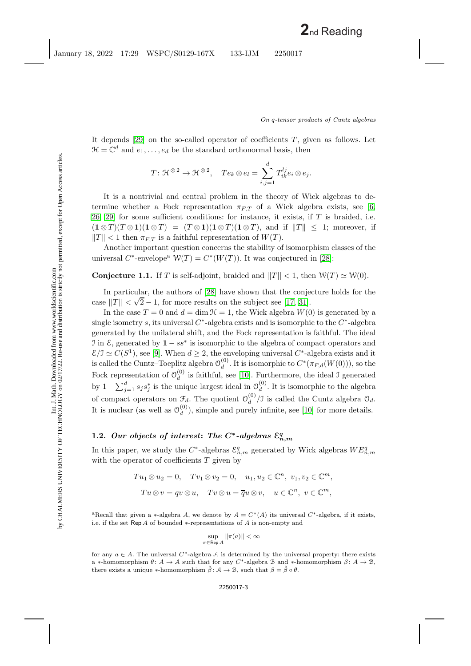It depends  $[29]$  on the so-called operator of coefficients T, given as follows. Let  $\mathcal{H} = \mathbb{C}^d$  and  $e_1, \ldots, e_d$  be the standard orthonormal basis, then

$$
T: \mathfrak{K}^{\otimes 2} \to \mathfrak{K}^{\otimes 2}, \quad Te_k \otimes e_l = \sum_{i,j=1}^d T_{ik}^{lj} e_i \otimes e_j.
$$

It is a nontrivial and central problem in the theory of Wick algebras to determine whether a Fock representation  $\pi_{ET}$  of a Wick algebra exists, see [\[6,](#page-44-2) [26,](#page-45-8) 29 for some sufficient conditions: for instance, it exists, if  $T$  is braided, i.e.  $(\mathbf{1} \otimes T)(T \otimes \mathbf{1})(\mathbf{1} \otimes T) = (T \otimes \mathbf{1})(\mathbf{1} \otimes T)(\mathbf{1} \otimes T)$ , and if  $||T|| \leq 1$ ; moreover, if  $||T|| < 1$  then  $\pi_{F,T}$  is a faithful representation of  $W(T)$ .

<span id="page-3-0"></span>Another important question concerns the stability of isomorphism classes of the universal  $C^*$ -envelope<sup>a</sup>  $\mathcal{W}(T) = C^*(W(T))$ . It was conjectured in [\[28\]](#page-45-9):

**Conjecture 1.1.** If T is self-adjoint, braided and  $||T|| < 1$ , then  $W(T) \simeq W(0)$ .

In particular, the authors of [\[28\]](#page-45-9) have shown that the conjecture holds for the case  $||T|| < \sqrt{2} - 1$ , for more results on the subject see [\[17,](#page-44-7) [31\]](#page-45-10).

In the case  $T = 0$  and  $d = \dim \mathcal{H} = 1$ , the Wick algebra  $W(0)$  is generated by a single isometry s, its universal  $C^*$ -algebra exists and is isomorphic to the  $C^*$ -algebra generated by the unilateral shift, and the Fock representation is faithful. The ideal I in  $\mathcal{E}$ , generated by  $\mathbf{1} - ss^*$  is isomorphic to the algebra of compact operators and  $\mathcal{E}/\mathcal{I} \simeq C(S^1)$ , see [\[9\]](#page-44-3). When  $d \geq 2$ , the enveloping universal  $C^*$ -algebra exists and it is called the Cuntz–Toeplitz algebra  $\mathcal{O}_d^{(0)}$ . It is isomorphic to  $C^*(\pi_{F,d}(W(0)))$ , so the Fock representation of  $\mathcal{O}_d^{(0)}$  is faithful, see [\[10\]](#page-44-4). Furthermore, the ideal J generated by  $1 - \sum_{j=1}^d s_j s_j^*$  is the unique largest ideal in  $\mathcal{O}_d^{(0)}$ . It is isomorphic to the algebra of compact operators on  $\mathcal{F}_d$ . The quotient  $\mathcal{O}_d^{(0)}/\mathcal{I}$  is called the Cuntz algebra  $\mathcal{O}_d$ . It is nuclear (as well as  $\mathcal{O}_d^{(0)}$ ), simple and purely infinite, see [\[10\]](#page-44-4) for more details.

## 1.2. *Our objects of interest: The C<sup>\*</sup>-algebras*  $\mathcal{E}_{n,m}^q$

In this paper, we study the  $C^*$ -algebras  $\mathcal{E}_{n,m}^q$  generated by Wick algebras  $WE_{n,m}^q$ with the operator of coefficients  $T$  given by

$$
Tu_1 \otimes u_2 = 0, \quad Tv_1 \otimes v_2 = 0, \quad u_1, u_2 \in \mathbb{C}^n, \ v_1, v_2 \in \mathbb{C}^m,
$$

$$
Tu \otimes v = qv \otimes u, \quad Tv \otimes u = \overline{q}u \otimes v, \quad u \in \mathbb{C}^n, \ v \in \mathbb{C}^m,
$$

<sup>a</sup>Recall that given a ∗-algebra A, we denote by  $A = C^*(A)$  its universal  $C^*$ -algebra, if it exists, i.e. if the set Rep A of bounded  $*$ -representations of A is non-empty and

$$
\sup_{\pi \in \text{Rep } A} \|\pi(a)\| < \infty
$$

for any  $a \in A$ . The universal  $C^*$ -algebra A is determined by the universal property: there exists a ∗-homomorphism  $\theta: A \to A$  such that for any C<sup>\*</sup>-algebra B and \*-homomorphism  $\beta: A \to B$ , there exists a unique  $*$ -homomorphism  $\tilde{\beta}$ :  $\mathcal{A} \rightarrow \mathcal{B}$ , such that  $\beta = \tilde{\beta} \circ \theta$ .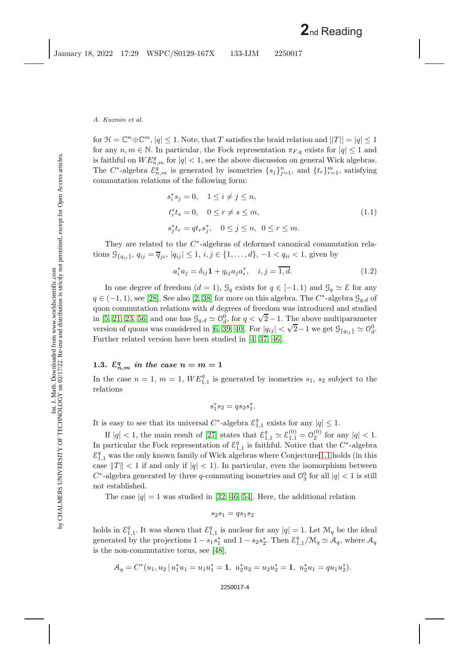for  $\mathcal{H} = \mathbb{C}^n \oplus \mathbb{C}^m$ ,  $|q| \leq 1$ . Note, that T satisfies the braid relation and  $||T|| = |q| \leq 1$ for any  $n, m \in \mathbb{N}$ . In particular, the Fock representation  $\pi_{F,q}$  exists for  $|q| \leq 1$  and is faithful on  $WE_{n,m}^q$  for  $|q| < 1$ , see the above discussion on general Wick algebras. The C<sup>\*</sup>-algebra  $\mathcal{E}_{n,m}^q$  is generated by isometries  $\{s_j\}_{j=1}^n$ , and  $\{t_r\}_{r=1}^m$ , satisfying commutation relations of the following form:

<span id="page-4-0"></span>
$$
s_i^* s_j = 0, \quad 1 \le i \ne j \le n,
$$
  
\n
$$
t_r^* t_s = 0, \quad 0 \le r \ne s \le m,
$$
  
\n
$$
s_j^* t_r = q t_r s_j^*, \quad 0 \le j \le n, \quad 0 \le r \le m.
$$
  
\n(1.1)

They are related to the C∗-algebras of deformed canonical commutation relations  $\mathcal{G}_{\{q_{ij}\}}$ ,  $q_{ij} = \overline{q}_{ji}$ ,  $|q_{ij}| \leq 1$ ,  $i, j \in \{1, ..., d\}$ ,  $-1 < q_{ii} < 1$ , given by

$$
a_i^* a_j = \delta_{ij} \mathbf{1} + q_{ij} a_j a_i^*, \quad i, j = \overline{1, d}.
$$
 (1.2)

In one degree of freedom  $(d = 1)$ ,  $\mathcal{G}_q$  exists for  $q \in [-1, 1)$  and  $\mathcal{G}_q \simeq \mathcal{E}$  for any  $q \in (-1, 1)$ , see [\[28\]](#page-45-9). See also [\[2,](#page-43-1) [38\]](#page-45-1) for more on this algebra. The C<sup>\*</sup>-algebra  $\mathcal{G}_{q,d}$  of quon commutation relations with  $d$  degrees of freedom was introduced and studied quon commutation relations with a degrees of freedom was introduced and studied<br>in [\[5,](#page-44-0) [21,](#page-44-1) [23,](#page-45-0) [56\]](#page-46-0) and one has  $\mathcal{G}_{q,d} \simeq \mathcal{O}_q^0$ , for  $q < \sqrt{2} - 1$ . The above multiparameter of  $q$ ,  $z_1$ ,  $z_2$ ,  $z_3$ ,  $z_9$  and one has  $z_{q,d} \equiv 0_d$ , for  $q < \sqrt{2} - 1$ . The above multiparameter version of quons was considered in [\[6,](#page-44-2) [39,](#page-45-4) [40\]](#page-45-2). For  $|q_{ij}| < \sqrt{2} - 1$  we get  $\mathcal{G}_{\{q_{ij}\}} \simeq \mathcal{O}_{q}^0$ . Further related version have been studied in [\[4,](#page-44-8) [37,](#page-45-11) [46\]](#page-46-3).

## **1.3.**  $\mathcal{E}_{n,m}^q$  *in the case*  $n = m = 1$

In the case  $n = 1, m = 1, WE_{1,1}^q$  is generated by isometries  $s_1, s_2$  subject to the relations

$$
s_1^* s_2 = q s_2 s_1^*.
$$

It is easy to see that its universal C<sup>∗</sup>-algebra  $\mathcal{E}_{1,1}^q$  exists for any  $|q| \leq 1$ .

If  $|q| < 1$ , the main result of [\[27\]](#page-45-12) states that  $\mathcal{E}_{1,1}^q \simeq \mathcal{E}_{1,1}^{(0)} = \mathcal{O}_2^{(0)}$  for any  $|q| < 1$ . In particular the Fock representation of  $\mathcal{E}_{1,1}^q$  is faithful. Notice that the C<sup>∗</sup>-algebra  $\mathcal{E}_{1,1}^q$  was the only known family of Wick algebras where Conjecture [1.1](#page-3-0) holds (in this case  $||T|| < 1$  if and only if  $|q| < 1$ ). In particular, even the isomorphism between  $C^*$ -algebra generated by three q-commuting isometries and  $\mathcal{O}_3^0$  for all  $|q| < 1$  is still not established.

The case  $|q|=1$  was studied in [\[32,](#page-45-13) [46,](#page-46-3) [54\]](#page-46-6). Here, the additional relation

$$
s_2s_1 = qs_1s_2
$$

holds in  $\mathcal{E}_{1,1}^q$ . It was shown that  $\mathcal{E}_{1,1}^q$  is nuclear for any  $|q|=1$ . Let  $\mathcal{M}_q$  be the ideal generated by the projections  $1 - s_1 s_1^*$  and  $1 - s_2 s_2^*$ . Then  $\mathcal{E}_{1,1}^q/\mathcal{M}_q \simeq \mathcal{A}_q$ , where  $\mathcal{A}_q$ is the non-commutative torus, see [\[48\]](#page-46-1),

$$
\mathcal{A}_q = C^*(u_1, u_2 \,|\, u_1^* u_1 = u_1 u_1^* = \mathbf{1}, \ u_2^* u_2 = u_2 u_2^* = \mathbf{1}, \ u_2^* u_1 = q u_1 u_2^*).
$$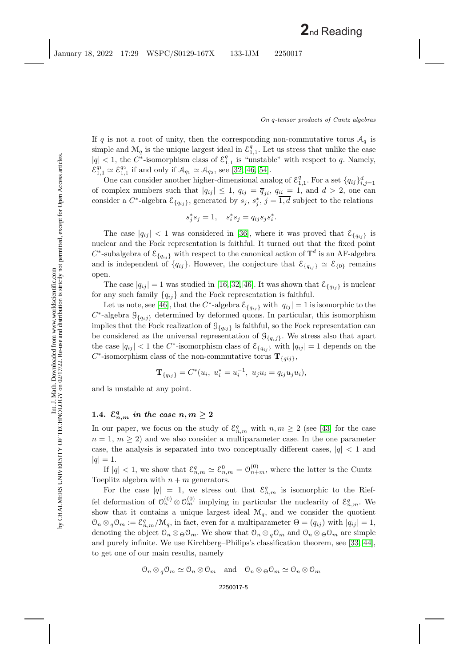If q is not a root of unity, then the corresponding non-commutative torus  $A_q$  is simple and  $\mathcal{M}_q$  is the unique largest ideal in  $\mathcal{E}_{1,1}^q$ . Let us stress that unlike the case  $|q| < 1$ , the C<sup>\*</sup>-isomorphism class of  $\mathcal{E}_{1,1}^q$  is "unstable" with respect to q. Namely,  $\mathcal{E}_{1,1}^{q_1} \simeq \mathcal{E}_{1,1}^{q_2}$  if and only if  $\mathcal{A}_{q_1} \simeq \mathcal{A}_{q_2}$ , see [\[32,](#page-45-13) [46,](#page-46-3) [54\]](#page-46-6).

One can consider another higher-dimensional analog of  $\mathcal{E}_{1,1}^q$ . For a set  $\{q_{ij}\}_{i,j=1}^d$ of complex numbers such that  $|q_{ij}| \leq 1$ ,  $q_{ij} = \overline{q}_{ji}$ ,  $q_{ii} = 1$ , and  $d > 2$ , one can consider a  $C^*$ -algebra  $\mathcal{E}_{\{q_{ij}\}}$ , generated by  $s_j$ ,  $s_j^*$ ,  $j = \overline{1,d}$  subject to the relations

$$
s_j^* s_j = 1, \quad s_i^* s_j = q_{ij} s_j s_i^*.
$$

The case  $|q_{ij}| < 1$  was considered in [\[36\]](#page-45-14), where it was proved that  $\mathcal{E}_{\{q_{ij}\}}$  is nuclear and the Fock representation is faithful. It turned out that the fixed point C<sup>∗</sup>-subalgebra of  $\mathcal{E}_{\{q_{ij}\}}$  with respect to the canonical action of  $\mathbb{T}^d$  is an AF-algebra and is independent of  $\{q_{ij}\}\$ . However, the conjecture that  $\mathcal{E}_{\{q_{ij}\}} \simeq \mathcal{E}_{\{0\}}$  remains open.

The case  $|q_{ij}| = 1$  was studied in [\[16,](#page-44-5) [32,](#page-45-13) [46\]](#page-46-3). It was shown that  $\mathcal{E}_{\{q_{ij}\}}$  is nuclear for any such family  ${q_{ij}}$  and the Fock representation is faithful.

Let us note, see [\[46\]](#page-46-3), that the C<sup>∗</sup>-algebra  $\mathcal{E}_{\{q_{ij}\}}$  with  $|q_{ij}| = 1$  is isomorphic to the  $C^*$ -algebra  $\mathcal{G}_{\{q_i j\}}$  determined by deformed quons. In particular, this isomorphism implies that the Fock realization of  $\mathcal{G}_{\{q_{ij}\}}$  is faithful, so the Fock representation can be considered as the universal representation of  $\mathcal{G}_{\{q_i,j\}}$ . We stress also that apart the case  $|q_{ij}| < 1$  the C<sup>\*</sup>-isomorphism class of  $\mathcal{E}_{\{q_{ij}\}}$  with  $|q_{ij}| = 1$  depends on the  $C^*$ -isomorphism class of the non-commutative torus  $\mathbf{T}_{\{qij\}}$ ,

$$
\mathbf{T}_{\{q_{ij}\}}=C^*(u_i, \; u_i^*=u_i^{-1}, \; u_ju_i=q_{ij}u_ju_i),
$$

and is unstable at any point.

## 1.4.  $\mathcal{E}_{n,m}^q$  *in the case*  $n, m \geq 2$

In our paper, we focus on the study of  $\mathcal{E}_{n,m}^q$  with  $n,m\geq 2$  (see [\[43\]](#page-46-7) for the case  $n = 1, m \geq 2$  and we also consider a multiparameter case. In the one parameter case, the analysis is separated into two conceptually different cases,  $|q| < 1$  and  $|q| = 1.$ 

If  $|q| < 1$ , we show that  $\mathcal{E}_{n,m}^q \simeq \mathcal{E}_{n,m}^0 = \mathcal{O}_{n+m}^{(0)}$ , where the latter is the Cuntz-Toeplitz algebra with  $n + m$  generators.

For the case  $|q| = 1$ , we stress out that  $\mathcal{E}_{n,m}^q$  is isomorphic to the Rieffel deformation of  $\mathcal{O}_n^{(0)} \otimes \mathcal{O}_m^{(0)}$  implying in particular the nuclearity of  $\mathcal{E}_{n,m}^q$ . We show that it contains a unique largest ideal  $\mathcal{M}_q$ , and we consider the quotient  $\mathcal{O}_n \otimes_q \mathcal{O}_m := \mathcal{E}_{n,m}^q/\mathcal{M}_q$ , in fact, even for a multiparameter  $\Theta = (q_{ij})$  with  $|q_{ij}| = 1$ , denoting the object  $\mathcal{O}_n \otimes_{\Theta} \mathcal{O}_m$ . We show that  $\mathcal{O}_n \otimes_q \mathcal{O}_m$  and  $\mathcal{O}_n \otimes_{\Theta} \mathcal{O}_m$  are simple and purely infinite. We use Kirchberg–Philips's classification theorem, see [\[33,](#page-45-15) [44\]](#page-46-8), to get one of our main results, namely

$$
\mathcal{O}_n \otimes_q \mathcal{O}_m \simeq \mathcal{O}_n \otimes \mathcal{O}_m \quad \text{and} \quad \mathcal{O}_n \otimes_\Theta \mathcal{O}_m \simeq \mathcal{O}_n \otimes \mathcal{O}_m
$$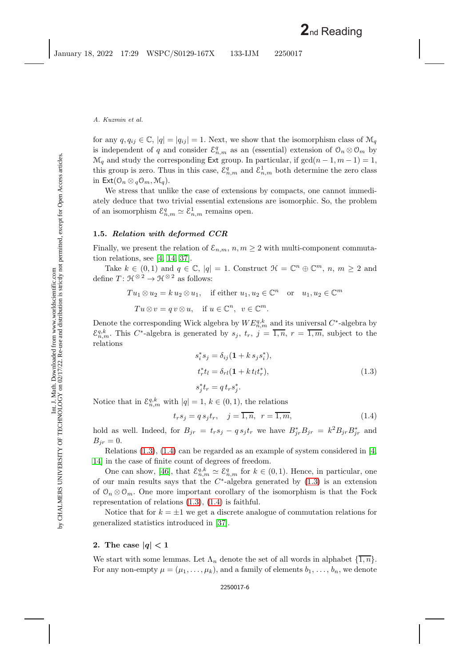for any  $q, q_{ij} \in \mathbb{C}, |q| = |q_{ij}| = 1$ . Next, we show that the isomorphism class of  $\mathcal{M}_q$ is independent of q and consider  $\mathcal{E}_{n,m}^q$  as an (essential) extension of  $\mathcal{O}_n \otimes \mathcal{O}_m$  by  $\mathcal{M}_q$  and study the corresponding Ext group. In particular, if  $gcd(n-1, m-1) = 1$ , this group is zero. Thus in this case,  $\mathcal{E}_{n,m}^q$  and  $\mathcal{E}_{n,m}^1$  both determine the zero class in  $\mathsf{Ext}(\mathcal{O}_n \otimes {\mathcal{O}}_m, \mathcal{M}_q)$ .

We stress that unlike the case of extensions by compacts, one cannot immediately deduce that two trivial essential extensions are isomorphic. So, the problem of an isomorphism  $\mathcal{E}_{n,m}^q \simeq \mathcal{E}_{n,m}^1$  remains open.

### **1.5.** *Relation with deformed CCR*

Finally, we present the relation of  $\mathcal{E}_{n,m}$ ,  $n, m \geq 2$  with multi-component commutation relations, see [\[4,](#page-44-8) [14,](#page-44-9) [37\]](#page-45-11).

Take  $k \in (0,1)$  and  $q \in \mathbb{C}$ ,  $|q| = 1$ . Construct  $\mathcal{H} = \mathbb{C}^n \oplus \mathbb{C}^m$ ,  $n, m \geq 2$  and define  $T: \mathfrak{H}^{\otimes 2} \to \mathfrak{H}^{\otimes 2}$  as follows:

$$
Tu_1 \otimes u_2 = k u_2 \otimes u_1, \quad \text{if either } u_1, u_2 \in \mathbb{C}^n \quad \text{or} \quad u_1, u_2 \in \mathbb{C}^m
$$

$$
Tu \otimes v = q v \otimes u, \quad \text{if } u \in \mathbb{C}^n, \ v \in \mathbb{C}^m.
$$

Denote the corresponding Wick algebra by  $WE_{n,m}^{q,k}$  and its universal  $C^*$ -algebra by  $\mathcal{E}_{n,m}^{q,k}$ . This C<sup>\*</sup>-algebra is generated by  $s_j$ ,  $t_r$ ,  $j = \overline{1,n}$ ,  $r = \overline{1,m}$ , subject to the relations

<span id="page-6-0"></span>
$$
s_i^* s_j = \delta_{ij} (1 + k s_j s_i^*),
$$
  
\n
$$
t_r^* t_l = \delta_{rl} (1 + k t_l t_r^*),
$$
  
\n
$$
s_j^* t_r = q t_r s_j^*.
$$
\n(1.3)

Notice that in  $\mathcal{E}_{n,m}^{q,k}$  with  $|q|=1, k \in (0,1)$ , the relations

<span id="page-6-1"></span>
$$
t_r s_j = q s_j t_r, \quad j = \overline{1, n}, \ r = \overline{1, m}, \tag{1.4}
$$

hold as well. Indeed, for  $B_{jr} = t_r s_j - q s_j t_r$  we have  $B_{jr}^* B_{jr} = k^2 B_{jr} B_{jr}^*$  and  $B_{ir} = 0.$ 

Relations [\(1.3\)](#page-6-0), [\(1.4\)](#page-6-1) can be regarded as an example of system considered in [\[4,](#page-44-8) [14\]](#page-44-9) in the case of finite count of degrees of freedom.

One can show, [\[46\]](#page-46-3), that  $\mathcal{E}_{n,m}^{q,k} \simeq \mathcal{E}_{n,m}^q$  for  $k \in (0,1)$ . Hence, in particular, one of our main results says that the  $C^*$ -algebra generated by  $(1.3)$  is an extension of  $\mathcal{O}_n \otimes \mathcal{O}_m$ . One more important corollary of the isomorphism is that the Fock representation of relations [\(1.3\)](#page-6-0), [\(1.4\)](#page-6-1) is faithful.

Notice that for  $k = \pm 1$  we get a discrete analogue of commutation relations for generalized statistics introduced in [\[37\]](#page-45-11).

## 2. The case  $|q| < 1$

We start with some lemmas. Let  $\Lambda_n$  denote the set of all words in alphabet  $\{\overline{1,n}\}.$ For any non-empty  $\mu = (\mu_1, \ldots, \mu_k)$ , and a family of elements  $b_1, \ldots, b_n$ , we denote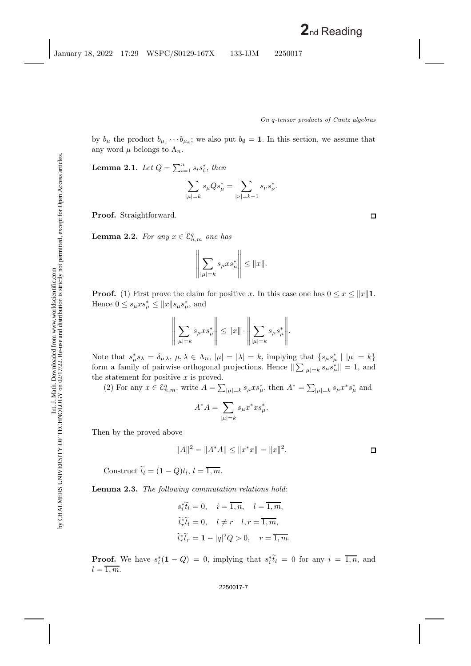by  $b_{\mu}$  the product  $b_{\mu_1} \cdots b_{\mu_k}$ ; we also put  $b_{\emptyset} = 1$ . In this section, we assume that any word  $\mu$  belongs to  $\Lambda_n$ .

**Lemma 2.1.** *Let*  $Q = \sum_{i=1}^{n} s_i s_i^*$ , *then* 

$$
\sum_{|\mu|=k} s_{\mu} Q s_{\mu}^* = \sum_{|\nu|=k+1} s_{\nu} s_{\nu}^*.
$$

**Proof.** Straightforward.

**Lemma 2.2.** For any  $x \in \mathcal{E}_{n,m}^q$  one has

$$
\left\| \sum_{|\mu|=k} s_{\mu} x s_{\mu}^* \right\| \leq \|x\|.
$$

**Proof.** (1) First prove the claim for positive x. In this case one has  $0 \le x \le ||x||$ 1. Hence  $0 \leq s_{\mu} x s_{\mu}^* \leq ||x|| s_{\mu} s_{\mu}^*,$  and

$$
\left\| \sum_{|\mu|=k} s_{\mu} x s_{\mu}^* \right\| \leq \|x\| \cdot \left\| \sum_{|\mu|=k} s_{\mu} s_{\mu}^* \right\|.
$$

Note that  $s^*_{\mu} s_{\lambda} = \delta_{\mu} \lambda$ ,  $\mu, \lambda \in \Lambda_n$ ,  $|\mu| = |\lambda| = k$ , implying that  $\{s_{\mu} s^*_{\mu} \mid |\mu| = k\}$ form a family of pairwise orthogonal projections. Hence  $\|\sum_{|\mu|=k} s_{\mu} s_{\mu}^*\| = 1$ , and the statement for positive  $x$  is proved.

(2) For any  $x \in \mathcal{E}_{n,m}^q$ , write  $A = \sum_{|\mu|=k} s_{\mu} x s_{\mu}^*$ , then  $A^* = \sum_{|\mu|=k} s_{\mu} x^* s_{\mu}^*$  and

$$
A^*A = \sum_{|\mu|=k} s_{\mu} x^* x s_{\mu}^*.
$$

Then by the proved above

$$
||A||^2 = ||A^*A|| \le ||x^*x|| = ||x||^2.
$$

Construct  $\widetilde{t}_l = (1 - Q)t_l, l = \overline{1, m}.$ 

**Lemma 2.3.** *The following commutation relations hold*:

$$
s_i^* \tilde{t}_l = 0, \quad i = \overline{1, n}, \quad l = \overline{1, m},
$$
  

$$
\tilde{t}_r^* \tilde{t}_l = 0, \quad l \neq r \quad l, r = \overline{1, m},
$$
  

$$
\tilde{t}_r^* \tilde{t}_r = 1 - |q|^2 Q > 0, \quad r = \overline{1, m}.
$$

**Proof.** We have  $s_i^*(1 - Q) = 0$ , implying that  $s_i^*\tilde{t}_i = 0$  for any  $i = \overline{1, n}$ , and  $l=\overline{1,m}.$ 

 $\Box$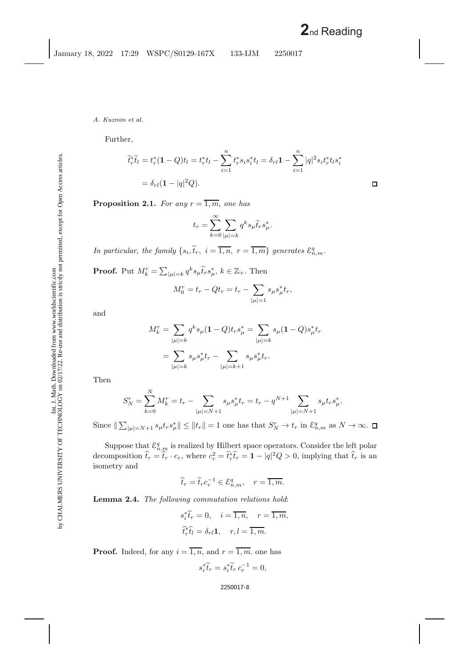Further,

$$
\widetilde{t}_r^*\widetilde{t}_l = t_r^*(1 - Q)t_l = t_r^*t_l - \sum_{i=1}^n t_r^*s_is_i^*t_l = \delta_{rl}1 - \sum_{i=1}^n |q|^2s_it_r^*t_is_i^*
$$

$$
= \delta_{rl}(1 - |q|^2Q).
$$

 $\Box$ 

<span id="page-8-0"></span>**Proposition 2.1.** *For any*  $r = \overline{1, m}$ *, one has* 

$$
t_r = \sum_{k=0}^{\infty} \sum_{|\mu|=k} q^k s_{\mu} \tilde{t}_r s_{\mu}^*.
$$

*In particular, the family*  $\{s_i, \tilde{t}_r, i = \overline{1,n}, r = \overline{1,m}\}$  generates  $\mathcal{E}_{n,m}^q$ .

**Proof.** Put  $M_k^r = \sum_{|\mu|=k} q^k s_\mu \tilde{t}_r s_\mu^*, k \in \mathbb{Z}_+$ . Then

$$
M_0^r = t_r - Qt_r = t_r - \sum_{|\mu|=1} s_{\mu} s_{\mu}^* t_r,
$$

and

$$
M_k^r = \sum_{|\mu|=k} q^k s_{\mu} (1 - Q) t_r s_{\mu}^* = \sum_{|\mu|=k} s_{\mu} (1 - Q) s_{\mu}^* t_r
$$
  
= 
$$
\sum_{|\mu|=k} s_{\mu} s_{\mu}^* t_r - \sum_{|\mu|=k+1} s_{\mu} s_{\mu}^* t_r.
$$

Then

$$
S_N^r = \sum_{k=0}^N M_k^r = t_r - \sum_{|\mu|=N+1} s_{\mu} s_{\mu}^* t_r = t_r - q^{N+1} \sum_{|\mu|=N+1} s_{\mu} t_r s_{\mu}^*.
$$

Since  $\|\sum_{|\mu|=N+1} s_{\mu} t_r s_{\mu}^*\| \leq ||t_r|| = 1$  one has that  $S_N^r \to t_r$  in  $\mathcal{E}_{n,m}^q$  as  $N \to \infty$ .

Suppose that  $\mathcal{E}_{n,m}^q$  is realized by Hilbert space operators. Consider the left polar decomposition  $\tilde{t}_r = \hat{t}_r \cdot c_r$ , where  $c_r^2 = \tilde{t}_r^* \tilde{t}_r = 1 - |q|^2 Q > 0$ , implying that  $\hat{t}_r$  is an isometry and

$$
\widehat{t}_r = \widetilde{t}_r c_r^{-1} \in \mathcal{E}_{n,m}^q, \quad r = \overline{1,m}.
$$

**Lemma 2.4.** *The following commutation relations hold*:

$$
s_i^* \hat{t}_r = 0, \quad i = \overline{1, n}, \quad r = \overline{1, m},
$$
  

$$
\hat{t}_r^* \hat{t}_l = \delta_{rl} \mathbf{1}, \quad r, l = \overline{1, m}.
$$

**Proof.** Indeed, for any  $i = \overline{1, n}$ , and  $r = \overline{1, m}$  one has

$$
s_i^* \hat{t}_r = s_i^* \tilde{t}_r c_r^{-1} = 0,
$$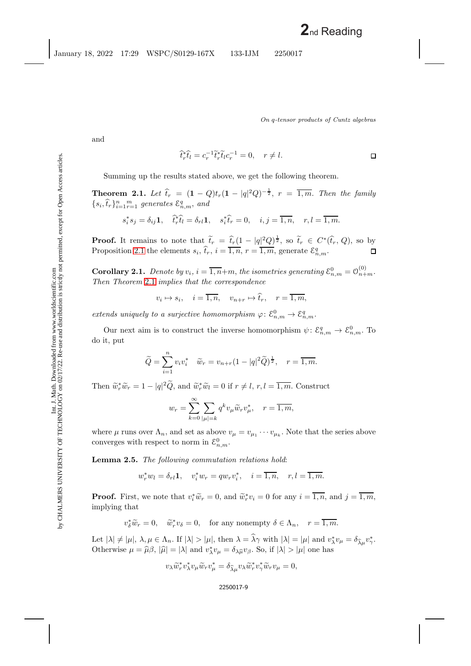<span id="page-9-0"></span>*On* q*-tensor products of Cuntz algebras*

and

$$
\widehat{t}_r^* \widehat{t}_l = c_r^{-1} \widetilde{t}_r^* \widetilde{t}_l c_r^{-1} = 0, \quad r \neq l.
$$

Summing up the results stated above, we get the following theorem.

**Theorem 2.1.** Let  $\hat{t}_r = (1 - Q)t_r(1 - |q|^2 Q)^{-\frac{1}{2}}, r = \overline{1, m}$ . Then the family  $\{s_i, \hat{t}_r\}_{i=1}^n \underset{r=1}{\overset{m}{\sum}}$  generates  $\mathcal{E}_{n,m}^q$ , and

$$
s_i^* s_j = \delta_{ij} \mathbf{1}, \quad \hat{t}_r^* \hat{t}_l = \delta_{rl} \mathbf{1}, \quad s_i^* \hat{t}_r = 0, \quad i, j = \overline{1, n}, \quad r, l = \overline{1, m}.
$$

**Proof.** It remains to note that  $\tilde{t}_r = \hat{t}_r(1 - |q|^2 Q)^{\frac{1}{2}}$ , so  $\tilde{t}_r \in C^*(\hat{t}_r, Q)$ , so by Proposition [2.1](#page-8-0) the elements  $s_i$ ,  $\hat{t}_r$ ,  $i = \overline{1, n}$ ,  $r = \overline{1, m}$ , generate  $\mathcal{E}_{n,m}^q$ .

**Corollary 2.1.** Denote by  $v_i$ ,  $i = \overline{1, n+m}$ , the isometries generating  $\mathcal{E}_{n,m}^0 = \mathcal{O}_{n+m}^{(0)}$ . *Then Theorem* [2.1](#page-9-0) *implies that the correspondence*

 $v_i \mapsto s_i$ ,  $i = \overline{1, n}$ ,  $v_{n+r} \mapsto \hat{t}_r$ ,  $r = \overline{1, m}$ .

*extends uniquely to a surjective homomorphism*  $\varphi$ :  $\mathcal{E}_{n,m}^0 \to \mathcal{E}_{n,m}^q$ .

Our next aim is to construct the inverse homomorphism  $\psi: \mathcal{E}_{n,m}^q \to \mathcal{E}_{n,m}^0$ . To do it, put

$$
\widetilde{Q} = \sum_{i=1}^{n} v_i v_i^* \quad \widetilde{w}_r = v_{n+r} (1 - |q|^2 \widetilde{Q})^{\frac{1}{2}}, \quad r = \overline{1, m}.
$$

Then  $\widetilde{w}_r^*\widetilde{w}_r = 1 - |q|^2 \widetilde{Q}$ , and  $\widetilde{w}_r^*\widetilde{w}_l = 0$  if  $r \neq l$ ,  $r, l = \overline{1,m}$ . Construct

$$
w_r = \sum_{k=0}^{\infty} \sum_{|\mu|=k} q^k v_{\mu} \widetilde{w}_r v_{\mu}^*, \quad r = \overline{1, m},
$$

where  $\mu$  runs over  $\Lambda_n$ , and set as above  $v_{\mu} = v_{\mu_1} \cdots v_{\mu_k}$ . Note that the series above converges with respect to norm in  $\mathcal{E}_{n,m}^0$ .

**Lemma 2.5.** *The following commutation relations hold*:

$$
w_r^* w_l = \delta_{rl} \mathbf{1}, \quad v_i^* w_r = q w_r v_i^*, \quad i = \overline{1, n}, \quad r, l = \overline{1, m}.
$$

**Proof.** First, we note that  $v_i^* \widetilde{w}_r = 0$ , and  $\widetilde{w}_r^* v_i = 0$  for any  $i = \overline{1, n}$ , and  $j = \overline{1, m}$ , implying that implying that

$$
v_{\delta}^* \widetilde{w}_r = 0
$$
,  $\widetilde{w}_r^* v_{\delta} = 0$ , for any nonempty  $\delta \in \Lambda_n$ ,  $r = \overline{1, m}$ .

Let  $|\lambda| \neq |\mu|, \lambda, \mu \in \Lambda_n$ . If  $|\lambda| > |\mu|$ , then  $\lambda = \lambda \gamma$  with  $|\lambda| = |\mu|$  and  $v_{\lambda}^* v_{\mu} = \delta_{\widehat{\lambda}\mu} v_{\gamma}^*$ . Otherwise  $\mu = \hat{\mu}\beta$ ,  $|\hat{\mu}| = |\lambda|$  and  $v_{\lambda}^* v_{\mu} = \delta_{\lambda \hat{\mu}} v_{\beta}$ . So, if  $|\lambda| > |\mu|$  one has

$$
v_{\lambda}\widetilde{w}_r^*v_{\lambda}^*v_{\mu}\widetilde{w}_rv_{\mu}^* = \delta_{\widehat{\lambda}\mu}v_{\lambda}\widetilde{w}_r^*v_{\gamma}^*\widetilde{w}_rv_{\mu} = 0,
$$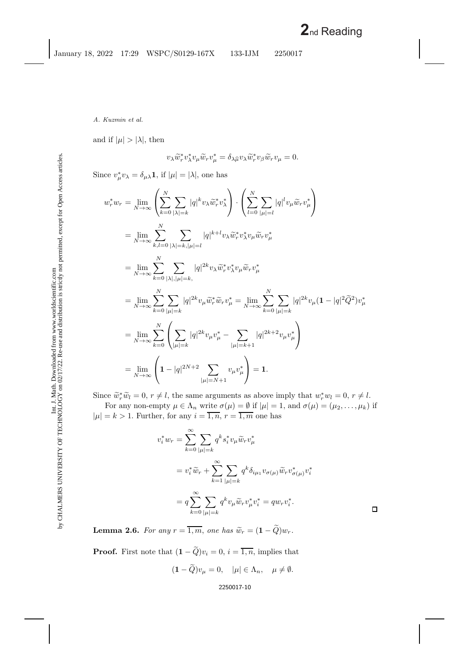and if  $|\mu| > |\lambda|$ , then

$$
v_{\lambda}\widetilde{w}_r^* v_{\lambda}^* v_{\mu}\widetilde{w}_r v_{\mu}^* = \delta_{\lambda\widehat{\mu}} v_{\lambda}\widetilde{w}_r^* v_{\beta}\widetilde{w}_r v_{\mu} = 0.
$$

Since  $v^*_{\mu}v_{\lambda} = \delta_{\mu\lambda}\mathbf{1}$ , if  $|\mu| = |\lambda|$ , one has

$$
w_r^* w_r = \lim_{N \to \infty} \left( \sum_{k=0}^N \sum_{|\lambda|=k} |q|^k v_{\lambda} \widetilde{w}_r^* v_{\lambda}^* \right) \cdot \left( \sum_{l=0}^N \sum_{|\mu|=l} |q|^l v_{\mu} \widetilde{w}_r v_{\mu}^* \right)
$$
  
\n
$$
= \lim_{N \to \infty} \sum_{k,l=0}^N \sum_{|\lambda|=k, |\mu|=l} |q|^{k+l} v_{\lambda} \widetilde{w}_r^* v_{\lambda}^* v_{\mu} \widetilde{w}_r v_{\mu}^*
$$
  
\n
$$
= \lim_{N \to \infty} \sum_{k=0}^N \sum_{|\lambda|, |\mu|=k, |\lambda|} |q|^{2k} v_{\lambda} \widetilde{w}_r^* v_{\lambda}^* v_{\mu} \widetilde{w}_r v_{\mu}^*
$$
  
\n
$$
= \lim_{N \to \infty} \sum_{k=0}^N \sum_{|\mu|=k} |q|^{2k} v_{\mu} \widetilde{w}_r^* \widetilde{w}_r v_{\mu}^* = \lim_{N \to \infty} \sum_{k=0}^N \sum_{|\mu|=k} |q|^{2k} v_{\mu} (1 - |q|^2 \widetilde{Q}^2) v_{\mu}^*
$$
  
\n
$$
= \lim_{N \to \infty} \sum_{k=0}^N \left( \sum_{|\mu|=k} |q|^{2k} v_{\mu} v_{\mu}^* - \sum_{|\mu|=k+1} |q|^{2k+2} v_{\mu} v_{\mu}^* \right)
$$
  
\n
$$
= \lim_{N \to \infty} \left( 1 - |q|^{2N+2} \sum_{|\mu|=N+1} v_{\mu} v_{\mu}^* \right) = 1.
$$

Since  $\widetilde{w}_r^* \widetilde{w}_l = 0, r \neq l$ , the same arguments as above imply that  $w_r^* w_l = 0, r \neq l$ .<br>For only non-empty  $\mu \in \Lambda$ , white  $\sigma(u) = \emptyset$  if  $|u| = 1$  and  $\sigma(u) = (u, u, u)$ .

For any non-empty  $\mu \in \Lambda_n$  write  $\sigma(\mu) = \emptyset$  if  $|\mu| = 1$ , and  $\sigma(\mu) = (\mu_2, \ldots, \mu_k)$  if  $|\mu| = k > 1$ . Further, for any  $i = \overline{1, n}, r = \overline{1, m}$  one has

$$
v_i^* w_r = \sum_{k=0}^{\infty} \sum_{|\mu|=k} q^k s_i^* v_{\mu} \widetilde{w}_r v_{\mu}^*
$$
  
=  $v_i^* \widetilde{w}_r + \sum_{k=1}^{\infty} \sum_{|\mu|=k} q^k \delta_{i\mu_1} v_{\sigma(\mu)} \widetilde{w}_r v_{\sigma(\mu)}^* v_i^*$   
=  $q \sum_{k=0}^{\infty} \sum_{|\mu|=k} q^k v_{\mu} \widetilde{w}_r v_{\mu}^* v_i^* = q w_r v_i^*.$ 

 $\Box$ 

**Lemma 2.6.** *For any*  $r = \overline{1,m}$ , *one has*  $\widetilde{w}_r = (1 - \widetilde{Q})w_r$ .

**Proof.** First note that  $(1 - \tilde{Q})v_i = 0$ ,  $i = \overline{1, n}$ , implies that

$$
(\mathbf{1} - \widetilde{Q})v_{\mu} = 0, \quad |\mu| \in \Lambda_n, \quad \mu \neq \emptyset.
$$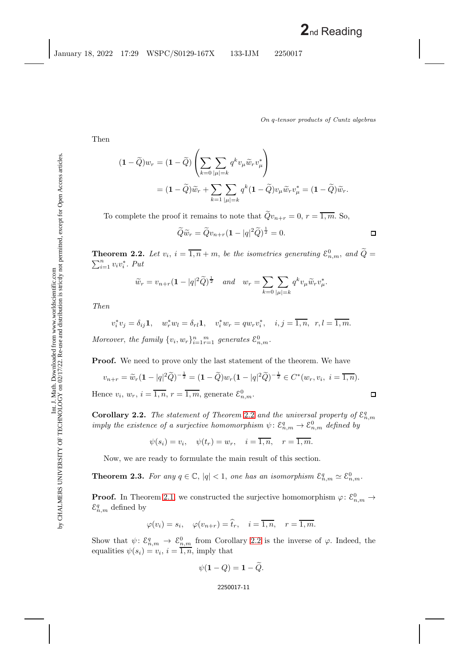$\Box$ 

Then

$$
(1 - \widetilde{Q})w_r = (1 - \widetilde{Q}) \left( \sum_{k=0} \sum_{|\mu|=k} q^k v_{\mu} \widetilde{w}_r v_{\mu}^* \right)
$$
  
=  $(1 - \widetilde{Q})\widetilde{w}_r + \sum_{k=1} \sum_{|\mu|=k} q^k (1 - \widetilde{Q}) v_{\mu} \widetilde{w}_r v_{\mu}^* = (1 - \widetilde{Q})\widetilde{w}_r.$ 

To complete the proof it remains to note that  $\tilde{Q}v_{n+r} = 0, r = \overline{1,m}$ . So,

$$
\widetilde{Q}\widetilde{w}_r = \widetilde{Q}v_{n+r}(1-|q|^2\widetilde{Q})^{\frac{1}{2}} = 0.
$$

<span id="page-11-0"></span>**Theorem 2.2.** Let  $v_i$ ,  $i = \overline{1,n} + m$ , be the isometries generating  $\mathcal{E}_{n,m}^0$ , and  $\widetilde{Q} = \sum_{i=1}^n v_i v_i^*$ . Put  $\sum_{i=1}^{n} v_i v_i^*$ . *Put* 

$$
\widetilde{w}_r = v_{n+r}(\mathbf{1} - |q|^2 \widetilde{Q})^{\frac{1}{2}}
$$
 and  $w_r = \sum_{k=0} \sum_{|\mu|=k} q^k v_{\mu} \widetilde{w}_r v_{\mu}^*$ .

*Then*

$$
v_i^* v_j = \delta_{ij} \mathbf{1}, \quad w_r^* w_l = \delta_{rl} \mathbf{1}, \quad v_i^* w_r = q w_r v_i^*, \quad i, j = \overline{1, n}, \quad r, l = \overline{1, m}.
$$

Moreover, the family  $\{v_i, w_r\}_{i=1}^n \underset{r=1}{\overset{m}{\longrightarrow}}$  generates  $\mathcal{E}_{n,m}^0$ .

**Proof.** We need to prove only the last statement of the theorem. We have

$$
v_{n+r} = \widetilde{w}_r (1 - |q|^2 \widetilde{Q})^{-\frac{1}{2}} = (1 - \widetilde{Q}) w_r (1 - |q|^2 \widetilde{Q})^{-\frac{1}{2}} \in C^*(w_r, v_i, i = \overline{1, n}).
$$
  
Hence  $v_i, w_r, i = \overline{1, n}, r = \overline{1, m}$ , generate  $\mathcal{E}_{n,m}^0$ .

<span id="page-11-1"></span>**Corollary [2.2](#page-11-0).** *The statement of Theorem 2.2 and the universal property of*  $\mathcal{E}_{n,m}^q$ *imply the existence of a surjective homomorphism*  $\psi$ :  $\mathcal{E}_{n,m}^q \to \mathcal{E}_{n,m}^0$  *defined by* 

$$
\psi(s_i) = v_i
$$
,  $\psi(t_r) = w_r$ ,  $i = \overline{1, n}$ ,  $r = \overline{1, m}$ .

Now, we are ready to formulate the main result of this section.

**Theorem 2.3.** For any  $q \in \mathbb{C}$ ,  $|q| < 1$ , one has an isomorphism  $\mathcal{E}_{n,m}^q \simeq \mathcal{E}_{n,m}^0$ .

**Proof.** In Theorem [2.1,](#page-9-0) we constructed the surjective homomorphism  $\varphi$ :  $\mathcal{E}_{n,m}^0 \to$  $\mathcal{E}_{n,m}^q$  defined by

$$
\varphi(v_i) = s_i, \quad \varphi(v_{n+r}) = \hat{t}_r, \quad i = \overline{1, n}, \quad r = \overline{1, m}.
$$

Show that  $\psi: \mathcal{E}_{n,m}^q \to \mathcal{E}_{n,m}^0$  from Corollary [2.2](#page-11-1) is the inverse of  $\varphi$ . Indeed, the equalities  $\psi(s_i) = v_i, i = \overline{1, n}$ , imply that

$$
\psi(\mathbf{1}-Q)=\mathbf{1}-Q.
$$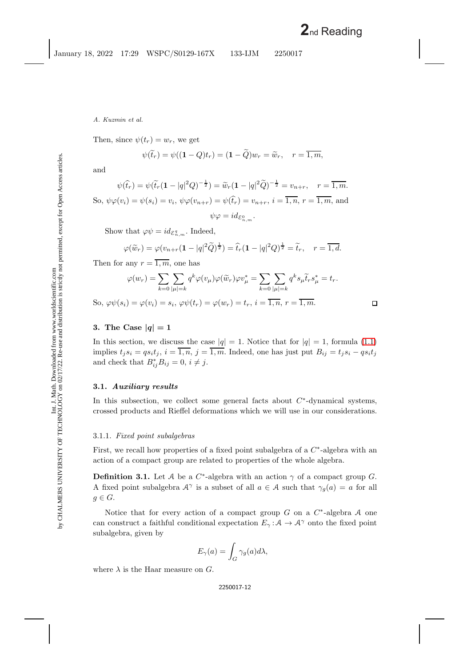Then, since  $\psi(t_r) = w_r$ , we get

$$
\psi(\widetilde{t}_r)=\psi((1-Q)t_r)=(1-\widetilde{Q})w_r=\widetilde{w}_r, \quad r=\overline{1,m},
$$

and

$$
\psi(\hat{t}_r) = \psi(\tilde{t}_r(\mathbf{1} - |q|^2 Q)^{-\frac{1}{2}}) = \tilde{w}_r(\mathbf{1} - |q|^2 \tilde{Q})^{-\frac{1}{2}} = v_{n+r}, \quad r = \overline{1, m}.
$$
  
So,  $\psi \varphi(v_i) = \psi(s_i) = v_i$ ,  $\psi \varphi(v_{n+r}) = \psi(\hat{t}_r) = v_{n+r}$ ,  $i = \overline{1, n}$ ,  $r = \overline{1, m}$ , and  
 $\psi \varphi = id_{\mathcal{E}_{n,m}^0}$ .

Show that  $\varphi \psi = id_{\mathcal{E}_{n,m}^q}$ . Indeed,

$$
\varphi(\widetilde{w}_r) = \varphi(v_{n+r}(1-|q|^2\widetilde{Q})^{\frac{1}{2}}) = \widehat{t}_r(1-|q|^2Q)^{\frac{1}{2}} = \widetilde{t}_r, \quad r = \overline{1,d}.
$$

Then for any  $r = \overline{1, m}$ , one has

$$
\varphi(w_r) = \sum_{k=0} \sum_{|\mu|=k} q^k \varphi(v_\mu) \varphi(\widetilde{w}_r) \varphi v_\mu^* = \sum_{k=0} \sum_{|\mu|=k} q^k s_\mu \widetilde{t}_r s_\mu^* = t_r.
$$
  
So,  $\varphi \psi(s_i) = \varphi(v_i) = s_i$ ,  $\varphi \psi(t_r) = \varphi(w_r) = t_r$ ,  $i = \overline{1, n}$ ,  $r = \overline{1, m}$ .

## **3.** The Case  $|q|=1$

In this section, we discuss the case  $|q| = 1$ . Notice that for  $|q| = 1$ , formula [\(1.1\)](#page-4-0) implies  $t_j s_i = q s_i t_j$ ,  $i = \overline{1, n}$ ,  $j = \overline{1, m}$ . Indeed, one has just put  $B_{ij} = t_j s_i - q s_i t_j$ and check that  $B_{ij}^* B_{ij} = 0$ ,  $i \neq j$ .

### **3.1.** *Auxiliary results*

In this subsection, we collect some general facts about  $C^*$ -dynamical systems, crossed products and Rieffel deformations which we will use in our considerations.

### 3.1.1. *Fixed point subalgebras*

First, we recall how properties of a fixed point subalgebra of a  $C<sup>*</sup>$ -algebra with an action of a compact group are related to properties of the whole algebra.

**Definition 3.1.** Let A be a  $C^*$ -algebra with an action  $\gamma$  of a compact group G. A fixed point subalgebra  $A^{\gamma}$  is a subset of all  $a \in A$  such that  $\gamma_q(a) = a$  for all  $g \in G$ .

Notice that for every action of a compact group G on a  $C^*$ -algebra A one can construct a faithful conditional expectation  $E_\gamma : A \to A^\gamma$  onto the fixed point subalgebra, given by

$$
E_{\gamma}(a) = \int_{G} \gamma_{g}(a) d\lambda,
$$

where  $\lambda$  is the Haar measure on G.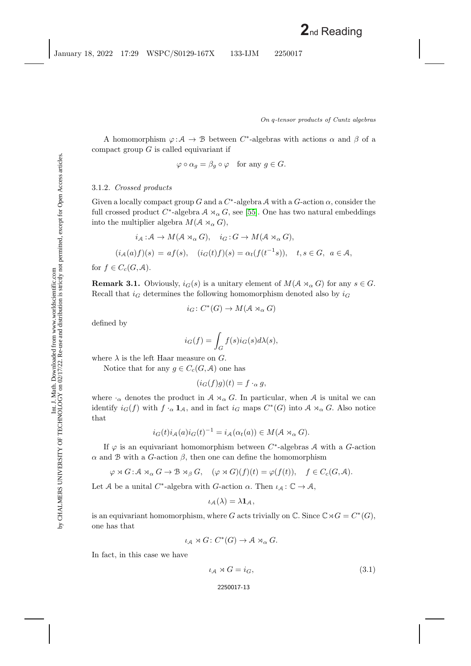A homomorphism  $\varphi : A \to B$  between C<sup>\*</sup>-algebras with actions  $\alpha$  and  $\beta$  of a compact group  $G$  is called equivariant if

$$
\varphi \circ \alpha_g = \beta_g \circ \varphi \quad \text{for any } g \in G.
$$

## 3.1.2. *Crossed products*

Given a locally compact group G and a  $C^*$ -algebra A with a G-action  $\alpha$ , consider the full crossed product  $C^*$ -algebra  $A \rtimes_{\alpha} G$ , see [\[55\]](#page-46-9). One has two natural embeddings into the multiplier algebra  $M(A \rtimes_{\alpha} G)$ ,

$$
i_{\mathcal{A}}: \mathcal{A} \to M(\mathcal{A} \rtimes_{\alpha} G), \quad i_{G}: G \to M(\mathcal{A} \rtimes_{\alpha} G),
$$

$$
(i_{\mathcal{A}}(a)f)(s) = af(s), \quad (i_{G}(t)f)(s) = \alpha_{t}(f(t^{-1}s)), \quad t, s \in G, \ a \in \mathcal{A},
$$

<span id="page-13-0"></span>for  $f \in C_c(G,\mathcal{A})$ .

**Remark 3.1.** Obviously,  $i_G(s)$  is a unitary element of  $M(A \rtimes_{\alpha} G)$  for any  $s \in G$ . Recall that  $i_G$  determines the following homomorphism denoted also by  $i_G$ 

$$
i_G\colon C^*(G)\to M(\mathcal{A}\rtimes_\alpha G)
$$

defined by

$$
i_G(f) = \int_G f(s)i_G(s)d\lambda(s),
$$

where  $\lambda$  is the left Haar measure on G.

Notice that for any  $g \in C_c(G, \mathcal{A})$  one has

$$
(i_G(f)g)(t) = f \cdot_\alpha g,
$$

where  $\cdot_{\alpha}$  denotes the product in  $A \rtimes_{\alpha} G$ . In particular, when A is unital we can identify  $i_G(f)$  with  $f \cdot_\alpha \mathbf{1}_{\mathcal{A}}$ , and in fact  $i_G$  maps  $C^*(G)$  into  $\mathcal{A} \rtimes_\alpha G$ . Also notice that

$$
i_G(t)i_A(a)i_G(t)^{-1} = i_A(\alpha_t(a)) \in M(\mathcal{A} \rtimes_{\alpha} G).
$$

If  $\varphi$  is an equivariant homomorphism between C<sup>∗</sup>-algebras A with a G-action  $\alpha$  and B with a G-action  $\beta$ , then one can define the homomorphism

 $\varphi \rtimes G : \mathcal{A} \rtimes_{\alpha} G \to \mathcal{B} \rtimes_{\beta} G, \quad (\varphi \rtimes G)(f)(t) = \varphi(f(t)), \quad f \in C_c(G, \mathcal{A}).$ 

Let A be a unital C<sup>\*</sup>-algebra with G-action  $\alpha$ . Then  $\iota_{\mathcal{A}}: \mathbb{C} \to \mathcal{A}$ ,

$$
\iota_{\mathcal{A}}(\lambda)=\lambda\mathbf{1}_{\mathcal{A}},
$$

is an equivariant homomorphism, where G acts trivially on  $\mathbb{C}$ . Since  $\mathbb{C} \rtimes G = C^*(G)$ , one has that

$$
\iota_{\mathcal{A}} \rtimes G \colon C^*(G) \to \mathcal{A} \rtimes_{\alpha} G.
$$

In fact, in this case we have

$$
\iota_{\mathcal{A}} \rtimes G = i_G,\tag{3.1}
$$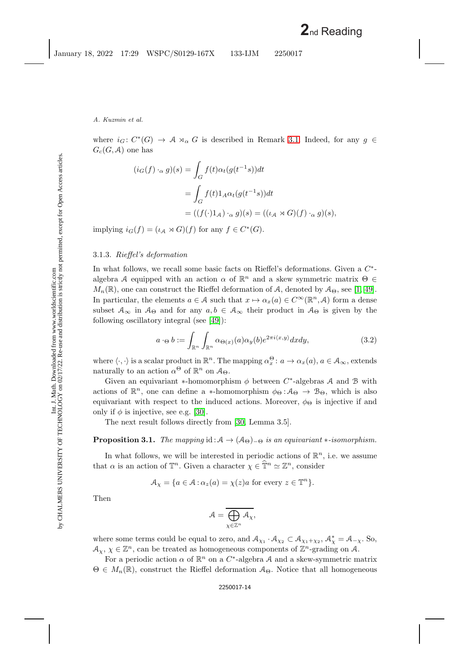where  $i_G: C^*(G) \to \mathcal{A} \rtimes_{\alpha} G$  is described in Remark [3.1.](#page-13-0) Indeed, for any  $g \in$  $G_c(G, \mathcal{A})$  one has

$$
(i_G(f) \cdot_\alpha g)(s) = \int_G f(t)\alpha_t(g(t^{-1}s))dt
$$
  
= 
$$
\int_G f(t)\mathbb{1}_A \alpha_t(g(t^{-1}s))dt
$$
  
= 
$$
((f(\cdot)\mathbb{1}_A) \cdot_\alpha g)(s) = ((\iota_A \rtimes G)(f) \cdot_\alpha g)(s),
$$

implying  $i_G(f) = (\iota_A \rtimes G)(f)$  for any  $f \in C^*(G)$ .

### 3.1.3. *Rieffel's deformation*

In what follows, we recall some basic facts on Rieffel's deformations. Given a C<sup>∗</sup> algebra A equipped with an action  $\alpha$  of  $\mathbb{R}^n$  and a skew symmetric matrix  $\Theta \in$  $M_n(\mathbb{R})$ , one can construct the Rieffel deformation of A, denoted by  $\mathcal{A}_{\Theta}$ , see [\[1,](#page-43-2) [49\]](#page-46-10). In particular, the elements  $a \in \mathcal{A}$  such that  $x \mapsto \alpha_x(a) \in C^\infty(\mathbb{R}^n, \mathcal{A})$  form a dense subset  $A_{\infty}$  in  $A_{\Theta}$  and for any  $a, b \in A_{\infty}$  their product in  $A_{\Theta}$  is given by the following oscillatory integral (see [\[49\]](#page-46-10)):

<span id="page-14-0"></span>
$$
a \cdot_{\Theta} b := \int_{\mathbb{R}^n} \int_{\mathbb{R}^n} \alpha_{\Theta(x)}(a) \alpha_y(b) e^{2\pi i \langle x, y \rangle} dx dy, \tag{3.2}
$$

where  $\langle \cdot, \cdot \rangle$  is a scalar product in  $\mathbb{R}^n$ . The mapping  $\alpha_x^{\Theta}$ :  $a \to \alpha_x(a)$ ,  $a \in \mathcal{A}_{\infty}$ , extends naturally to an action  $\alpha^{\Theta}$  of  $\mathbb{R}^n$  on  $\mathcal{A}_{\Theta}$ .

Given an equivariant \*-homomorphism  $\phi$  between C<sup>\*</sup>-algebras A and B with actions of  $\mathbb{R}^n$ , one can define a \*-homomorphism  $\phi_{\Theta}: A_{\Theta} \to B_{\Theta}$ , which is also equivariant with respect to the induced actions. Moreover,  $\phi_{\Theta}$  is injective if and only if  $\phi$  is injective, see e.g. [\[30\]](#page-45-5).

<span id="page-14-1"></span>The next result follows directly from [\[30,](#page-45-5) Lemma 3.5].

## **Proposition 3.1.** *The mapping* id :  $A \rightarrow (A_{\Theta})_{-\Theta}$  *is an equivariant* \**-isomorphism.*

In what follows, we will be interested in periodic actions of  $\mathbb{R}^n$ , i.e. we assume that  $\alpha$  is an action of  $\mathbb{T}^n$ . Given a character  $\chi \in \hat{\mathbb{T}}^n \simeq \mathbb{Z}^n$ , consider

$$
\mathcal{A}_{\chi} = \{ a \in \mathcal{A} : \alpha_z(a) = \chi(z)a \text{ for every } z \in \mathbb{T}^n \}.
$$

Then

$$
\mathcal{A} = \overline{\bigoplus_{\chi \in \mathbb{Z}^n} \mathcal{A}_\chi},
$$

where some terms could be equal to zero, and  $\mathcal{A}_{\chi_1} \cdot \mathcal{A}_{\chi_2} \subset \mathcal{A}_{\chi_1 + \chi_2}, \mathcal{A}_{\chi}^* = \mathcal{A}_{-\chi}$ . So,  $\mathcal{A}_{\chi}, \chi \in \mathbb{Z}^n$ , can be treated as homogeneous components of  $\mathbb{Z}^n$ -grading on A.

For a periodic action  $\alpha$  of  $\mathbb{R}^n$  on a  $C^*$ -algebra A and a skew-symmetric matrix  $\Theta \in M_n(\mathbb{R})$ , construct the Rieffel deformation  $\mathcal{A}_{\Theta}$ . Notice that all homogeneous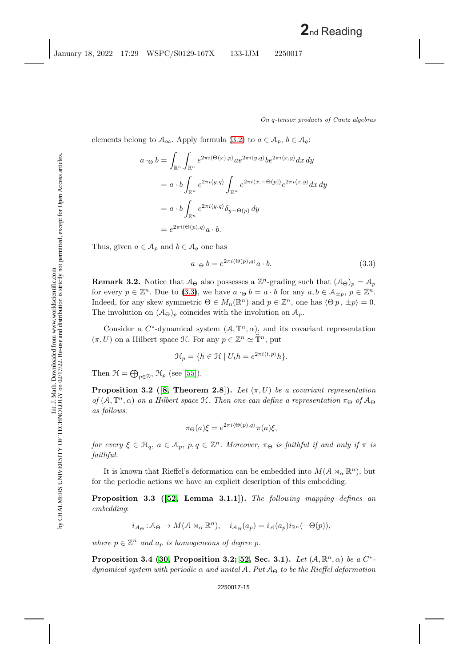elements belong to  $\mathcal{A}_{\infty}$ . Apply formula [\(3.2\)](#page-14-0) to  $a \in \mathcal{A}_{p}$ ,  $b \in \mathcal{A}_{q}$ :

$$
a \cdot_{\Theta} b = \int_{\mathbb{R}^n} \int_{\mathbb{R}^n} e^{2\pi i \langle \Theta(x), p \rangle} a e^{2\pi i \langle y, q \rangle} b e^{2\pi i \langle x, y \rangle} dx dy
$$
  
\n
$$
= a \cdot b \int_{\mathbb{R}^n} e^{2\pi i \langle y, q \rangle} \int_{\mathbb{R}^n} e^{2\pi i \langle x, -\Theta(p) \rangle} e^{2\pi i \langle x, y \rangle} dx dy
$$
  
\n
$$
= a \cdot b \int_{\mathbb{R}^n} e^{2\pi i \langle y, q \rangle} \delta_{y - \Theta(p)} dy
$$
  
\n
$$
= e^{2\pi i \langle \Theta(p), q \rangle} a \cdot b.
$$

Thus, given  $a \in A_p$  and  $b \in A_q$  one has

<span id="page-15-0"></span>
$$
a \cdot_{\Theta} b = e^{2\pi i \langle \Theta(p), q \rangle} a \cdot b. \tag{3.3}
$$

**Remark 3.2.** Notice that  $A_{\Theta}$  also possesses a  $\mathbb{Z}^n$ -grading such that  $(A_{\Theta})_p = A_p$ for every  $p \in \mathbb{Z}^n$ . Due to [\(3.3\)](#page-15-0), we have  $a \cdot_{\Theta} b = a \cdot b$  for any  $a, b \in \mathcal{A}_{\pm p}, p \in \mathbb{Z}^n$ . Indeed, for any skew symmetric  $\Theta \in M_n(\mathbb{R}^n)$  and  $p \in \mathbb{Z}^n$ , one has  $\langle \Theta p, \pm p \rangle = 0$ . The involution on  $(A_{\Theta})_p$  coincides with the involution on  $A_p$ .

Consider a  $C^*$ -dynamical system  $(A, \mathbb{T}^n, \alpha)$ , and its covariant representation  $(\pi, U)$  on a Hilbert space  $\mathcal{H}$ . For any  $p \in \mathbb{Z}^n \simeq \mathbb{T}^n$ , put

$$
\mathcal{H}_p = \{ h \in \mathcal{H} \mid U_t h = e^{2\pi i \langle t, p \rangle} h \}.
$$

<span id="page-15-1"></span>Then  $\mathcal{H} = \bigoplus_{p \in \mathbb{Z}^n} \mathcal{H}_p$  (see [\[55\]](#page-46-9)).

**Proposition 3.2** ([\[8,](#page-44-10) Theorem 2.8]). Let  $(\pi, U)$  be a covariant representation *of*  $(A, \mathbb{T}^n, \alpha)$  *on a Hilbert space*  $\mathcal{H}$ *. Then one can define a representation*  $\pi_{\Theta}$  *of*  $\mathcal{A}_{\Theta}$ *as follows*:

$$
\pi_{\Theta}(a)\xi = e^{2\pi i \langle \Theta(p), q \rangle} \pi(a)\xi,
$$

*for every*  $\xi \in \mathcal{H}_q$ ,  $a \in \mathcal{A}_p$ ,  $p, q \in \mathbb{Z}^n$ . Moreover,  $\pi_{\Theta}$  *is faithful if and only if*  $\pi$  *is faithful.*

It is known that Rieffel's deformation can be embedded into  $M(\mathcal{A} \rtimes_{\alpha} \mathbb{R}^n)$ , but for the periodic actions we have an explicit description of this embedding.

**Proposition 3.3 ([\[52,](#page-46-11) Lemma 3.1.1]).** *The following mapping defines an embedding*:

$$
i_{\mathcal{A}_{\Theta}} : \mathcal{A}_{\Theta} \to M(\mathcal{A} \rtimes_{\alpha} \mathbb{R}^n), \quad i_{\mathcal{A}_{\Theta}}(a_p) = i_{\mathcal{A}}(a_p)i_{\mathbb{R}^n}(-\Theta(p)),
$$

<span id="page-15-2"></span>*where*  $p \in \mathbb{Z}^n$  *and*  $a_p$  *is homogeneous of degree* p.

**Proposition 3.4 [\(30,](#page-45-5) Proposition 3.2;** [52,](#page-46-11) Sec. 3.1). *Let*  $(A, \mathbb{R}^n, \alpha)$  *be a*  $C^*$ *dynamical system with periodic* α *and unital* A*. Put* A<sup>Θ</sup> *to be the Rieffel deformation*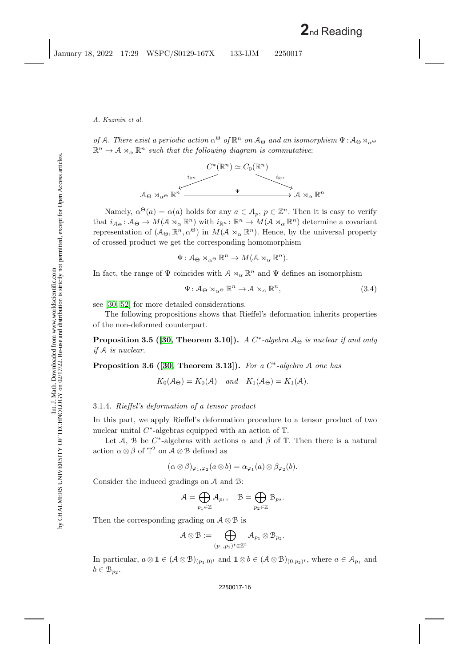*of* A. There exist a periodic action  $\alpha^{\Theta}$  of  $\mathbb{R}^n$  on  $\mathcal{A}_{\Theta}$  and an isomorphism  $\Psi : \mathcal{A}_{\Theta} \rtimes_{\alpha^{\Theta}}$  $\mathbb{R}^n \to A \rtimes_{\alpha} \mathbb{R}^n$  such that the following diagram is commutative:



Namely,  $\alpha^{\Theta}(a) = \alpha(a)$  holds for any  $a \in \mathcal{A}_p$ ,  $p \in \mathbb{Z}^n$ . Then it is easy to verify that  $i_{A_{\Theta}}: A_{\Theta} \to M(\mathcal{A} \rtimes_{\alpha} \mathbb{R}^n)$  with  $i_{\mathbb{R}^n}: \mathbb{R}^n \to M(\mathcal{A} \rtimes_{\alpha} \mathbb{R}^n)$  determine a covariant representation of  $(A_{\Theta}, \mathbb{R}^n, \alpha^{\Theta})$  in  $M(A \rtimes_{\alpha} \mathbb{R}^n)$ . Hence, by the universal property of crossed product we get the corresponding homomorphism

$$
\Psi \colon \mathcal{A}_{\Theta} \rtimes_{\alpha} {\Theta} \mathbb{R}^n \to M(\mathcal{A} \rtimes_{\alpha} \mathbb{R}^n).
$$

In fact, the range of  $\Psi$  coincides with  $\mathcal{A} \rtimes_{\alpha} \mathbb{R}^n$  and  $\Psi$  defines an isomorphism

<span id="page-16-1"></span>
$$
\Psi: \mathcal{A}_{\Theta} \rtimes_{\alpha^{\Theta}} \mathbb{R}^n \to \mathcal{A} \rtimes_{\alpha} \mathbb{R}^n, \tag{3.4}
$$

see [\[30,](#page-45-5) [52\]](#page-46-11) for more detailed considerations.

<span id="page-16-0"></span>The following propositions shows that Rieffel's deformation inherits properties of the non-deformed counterpart.

**Proposition 3.5 ([\[30,](#page-45-5) Theorem 3.10]).** *A*  $C^*$ -algebra  $A_{\Theta}$  *is nuclear if and only if* A *is nuclear.*

<span id="page-16-2"></span>**Proposition 3.6 ([\[30,](#page-45-5) Theorem 3.13]).** *For a* C<sup>∗</sup>*-algebra* A *one has*

$$
K_0(A_\Theta) = K_0(A)
$$
 and  $K_1(A_\Theta) = K_1(A)$ .

## 3.1.4. *Rieffel's deformation of a tensor product*

In this part, we apply Rieffel's deformation procedure to a tensor product of two nuclear unital  $C^*$ -algebras equipped with an action of  $\mathbb{T}$ .

Let A, B be C<sup>\*</sup>-algebras with actions  $\alpha$  and  $\beta$  of T. Then there is a natural action  $\alpha \otimes \beta$  of  $\mathbb{T}^2$  on  $\mathcal{A} \otimes \mathcal{B}$  defined as

$$
(\alpha \otimes \beta)_{\varphi_1, \varphi_2}(a \otimes b) = \alpha_{\varphi_1}(a) \otimes \beta_{\varphi_2}(b).
$$

Consider the induced gradings on A and B:

$$
\mathcal{A} = \bigoplus_{p_1 \in \mathbb{Z}} \mathcal{A}_{p_1}, \quad \mathcal{B} = \bigoplus_{p_2 \in \mathbb{Z}} \mathcal{B}_{p_2}.
$$

Then the corresponding grading on  $A \otimes B$  is

$$
\mathcal{A}\otimes\mathcal{B}:=\bigoplus_{(p_1,p_2)^t\in\mathbb{Z}^2}\mathcal{A}_{p_1}\otimes\mathcal{B}_{p_2}.
$$

In particular,  $a \otimes \mathbf{1} \in (\mathcal{A} \otimes \mathcal{B})_{(p_1,0)^t}$  and  $\mathbf{1} \otimes b \in (\mathcal{A} \otimes \mathcal{B})_{(0,p_2)^t}$ , where  $a \in \mathcal{A}_{p_1}$  and  $b \in \mathcal{B}_{p_2}$ .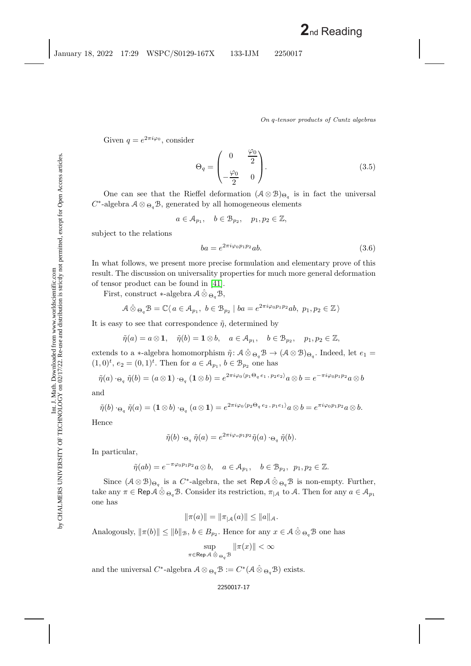Given  $q = e^{2\pi i \varphi_0}$ , consider

$$
\Theta_q = \begin{pmatrix} 0 & \frac{\varphi_0}{2} \\ -\frac{\varphi_0}{2} & 0 \end{pmatrix} . \tag{3.5}
$$

One can see that the Rieffel deformation  $(A \otimes B)_{\Theta_q}$  is in fact the universal  $C^*$ -algebra  $A \otimes_{\Theta_q} \mathcal{B}$ , generated by all homogeneous elements

 $a \in \mathcal{A}_{p_1}, \quad b \in \mathcal{B}_{p_2}, \quad p_1, p_2 \in \mathbb{Z},$ 

subject to the relations

$$
ba = e^{2\pi i \varphi_0 p_1 p_2} ab.
$$
\n
$$
(3.6)
$$

In what follows, we present more precise formulation and elementary prove of this result. The discussion on universality properties for much more general deformation of tensor product can be found in [\[41\]](#page-45-16).

First, construct ∗-algebra A ⊗ˆ <sup>Θ</sup>*q*B,

$$
\mathcal{A}\hat{\otimes}_{\Theta_q}\mathcal{B} = \mathbb{C}\langle a \in \mathcal{A}_{p_1}, b \in \mathcal{B}_{p_2} \mid ba = e^{2\pi i \varphi_0 p_1 p_2}ab, p_1, p_2 \in \mathbb{Z}\rangle
$$

It is easy to see that correspondence  $\tilde{\eta}$ , determined by

$$
\tilde{\eta}(a) = a \otimes \mathbf{1}, \quad \tilde{\eta}(b) = \mathbf{1} \otimes b, \quad a \in \mathcal{A}_{p_1}, \quad b \in \mathcal{B}_{p_2}, \quad p_1, p_2 \in \mathbb{Z},
$$

extends to a ∗-algebra homomorphism  $\tilde{\eta}$ :  $\mathcal{A} \hat{\otimes}_{\Theta_{a}} \mathcal{B} \to (\mathcal{A} \otimes \mathcal{B})_{\Theta_{a}}$ . Indeed, let  $e_1 =$  $(1,0)<sup>t</sup>, e_2 = (0,1)<sup>t</sup>.$  Then for  $a \in A_{p_1}, b \in B_{p_2}$  one has

$$
\tilde{\eta}(a)\cdot_{\Theta_q}\tilde{\eta}(b)=(a\otimes 1)\cdot_{\Theta_q}(1\otimes b)=e^{2\pi i\varphi_0\langle p_1\Theta_q\ e_1\ ,\ p_2e_2\rangle}a\otimes b=e^{-\pi i\varphi_0p_1p_2}a\otimes b
$$

and

$$
\tilde{\eta}(b) \cdot_{\Theta_q} \tilde{\eta}(a) = (\mathbf{1} \otimes b) \cdot_{\Theta_q} (a \otimes \mathbf{1}) = e^{2\pi i \varphi_0 \langle p_2 \Theta_q e_2, p_1 e_1 \rangle} a \otimes b = e^{\pi i \varphi_0 p_1 p_2} a \otimes b.
$$

Hence

$$
\tilde{\eta}(b) \cdot_{\Theta_a} \tilde{\eta}(a) = e^{2\pi i \varphi_o p_1 p_2} \tilde{\eta}(a) \cdot_{\Theta_a} \tilde{\eta}(b).
$$

In particular,

$$
\tilde{\eta}(ab) = e^{-\pi \varphi_0 p_1 p_2} a \otimes b, \quad a \in \mathcal{A}_{p_1}, \quad b \in \mathcal{B}_{p_2}, \ p_1, p_2 \in \mathbb{Z}.
$$

Since  $(A \otimes B)_{\Theta_q}$  is a  $C^*$ -algebra, the set Rep  $A \otimes_{\Theta_q} B$  is non-empty. Further, take any  $\pi \in \mathsf{Rep}\mathcal{A} \,\hat{\otimes}\,_{\Theta_q}\mathcal{B}$ . Consider its restriction,  $\pi_{|\mathcal{A}|}$  to  $\mathcal{A}$ . Then for any  $a \in \mathcal{A}_{p_1}$ one has

$$
\|\pi(a)\| = \|\pi_{|A}(a)\| \le \|a\|_{A}.
$$

Analogously,  $\|\pi(b)\| \leq \|b\|_{\mathcal{B}}$ ,  $b \in B_{p_2}$ . Hence for any  $x \in \mathcal{A} \hat{\otimes}_{\Theta_q} \mathcal{B}$  one has

$$
\sup_{\pi \in \operatorname{Rep} \mathcal{A}} \sup_{\hat{\otimes} \Theta_a \mathcal{B}} \|\pi(x)\| < \infty
$$

and the universal  $C^*$ -algebra  $A \otimes_{\Theta_q} B := C^* (A \otimes_{\Theta_q} B)$  exists.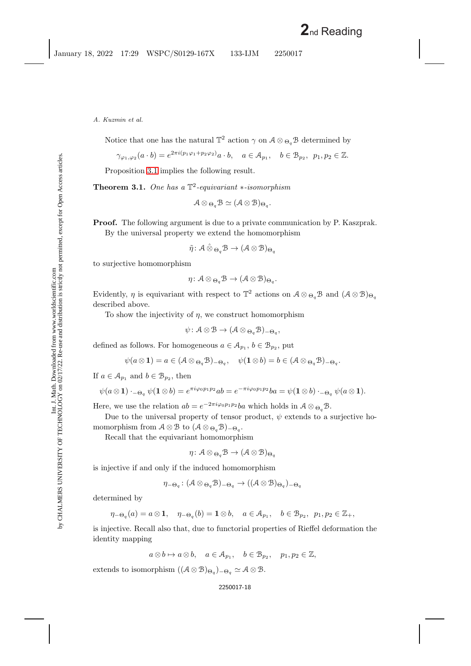Notice that one has the natural  $\mathbb{T}^2$  action  $\gamma$  on  $\mathcal{A} \otimes_{\Theta_q} \mathcal{B}$  determined by

$$
\gamma_{\varphi_1,\varphi_2}(a \cdot b) = e^{2\pi i (p_1\varphi_1 + p_2\varphi_2)}a \cdot b, \quad a \in \mathcal{A}_{p_1}, \quad b \in \mathcal{B}_{p_2}, \ p_1, p_2 \in \mathbb{Z}.
$$

<span id="page-18-0"></span>Proposition [3.1](#page-14-1) implies the following result.

**Theorem 3.1.** *One has a* T2*-equivariant* ∗*-isomorphism*

$$
\mathcal{A}\otimes_{\Theta_a}\mathcal{B}\simeq(\mathcal{A}\otimes\mathcal{B})_{\Theta_a}.
$$

**Proof.** The following argument is due to a private communication by P. Kaszprak. By the universal property we extend the homomorphism

 $\tilde{\eta}$ :  $A \hat{\otimes}_{\Theta_a} B \to (A \otimes B)_{\Theta_a}$ 

to surjective homomorphism

$$
\eta \colon \mathcal{A} \otimes_{\Theta_{a}} \mathcal{B} \to (\mathcal{A} \otimes \mathcal{B})_{\Theta_{a}}.
$$

Evidently,  $\eta$  is equivariant with respect to  $\mathbb{T}^2$  actions on  $A \otimes_{\Theta_q} B$  and  $(A \otimes B)_{\Theta_q}$ described above.

To show the injectivity of  $\eta$ , we construct homomorphism

 $\psi: \mathcal{A} \otimes \mathcal{B} \rightarrow (\mathcal{A} \otimes_{\Theta_a} \mathcal{B})_{-\Theta_a},$ 

defined as follows. For homogeneous  $a \in A_{p_1}, b \in B_{p_2}$ , put

$$
\psi(a\otimes \mathbf{1})=a\in (\mathcal{A}\otimes_{\Theta_q}\mathcal{B})_{-\Theta_q},\quad \psi(\mathbf{1}\otimes b)=b\in (\mathcal{A}\otimes_{\Theta_q}\mathcal{B})_{-\Theta_q}.
$$

If  $a \in \mathcal{A}_{p_1}$  and  $b \in \mathcal{B}_{p_2}$ , then

$$
\psi(a\otimes \mathbf{1})\cdot_{-\Theta_q}\psi(\mathbf{1}\otimes b)=e^{\pi i\varphi_0p_1p_2}ab=e^{-\pi i\varphi_0p_1p_2}ba=\psi(\mathbf{1}\otimes b)\cdot_{-\Theta_q}\psi(a\otimes \mathbf{1}).
$$

Here, we use the relation  $ab = e^{-2\pi i\varphi_0 p_1 p_2} ba$  which holds in  $A \otimes_{\Theta_a} \mathcal{B}$ .

Due to the universal property of tensor product,  $\psi$  extends to a surjective homomorphism from  $A \otimes B$  to  $(A \otimes_{\Theta_q} B)_{-\Theta_q}$ .

Recall that the equivariant homomorphism

$$
\eta\colon \mathcal{A}\otimes_{\Theta_q} \mathcal{B} \to (\mathcal{A}\otimes \mathcal{B})_{\Theta_q}
$$

is injective if and only if the induced homomorphism

$$
\eta_{-\Theta_q} \colon (\mathcal{A} \otimes_{\Theta_q} \mathcal{B})_{-\Theta_q} \to ((\mathcal{A} \otimes \mathcal{B})_{\Theta_q})_{-\Theta_q}
$$

determined by

$$
\eta_{-\Theta_q}(a) = a \otimes \mathbf{1}, \quad \eta_{-\Theta_q}(b) = \mathbf{1} \otimes b, \quad a \in \mathcal{A}_{p_1}, \quad b \in \mathcal{B}_{p_2}, \ p_1, p_2 \in \mathbb{Z}_+,
$$

is injective. Recall also that, due to functorial properties of Rieffel deformation the identity mapping

 $a \otimes b \mapsto a \otimes b$ ,  $a \in \mathcal{A}_{p_1}$ ,  $b \in \mathcal{B}_{p_2}$ ,  $p_1, p_2 \in \mathbb{Z}$ ,

extends to isomorphism  $((A \otimes B)_{\Theta_q})_{-\Theta_q} \simeq A \otimes B$ .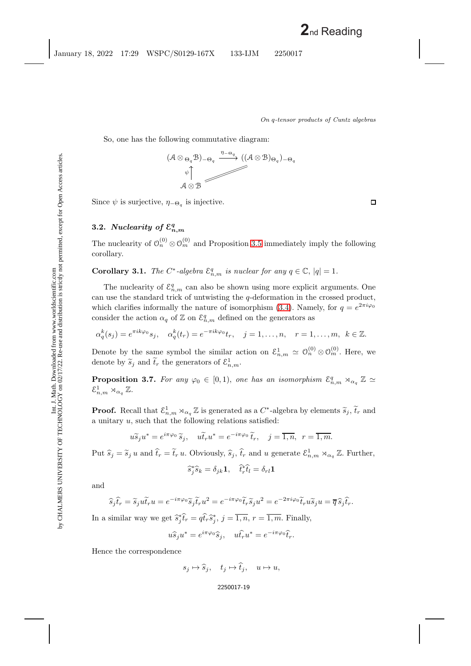So, one has the following commutative diagram:



Since  $\psi$  is surjective,  $\eta_{-\Theta_q}$  is injective.

## **3.2.** *Nuclearity of*  $\mathcal{E}_{n,m}^q$

<span id="page-19-0"></span>The nuclearity of  $\mathcal{O}_n^{(0)} \otimes \mathcal{O}_m^{(0)}$  and Proposition [3.5](#page-16-0) immediately imply the following corollary.

**Corollary 3.1.** *The*  $C^*$ -algebra  $\mathcal{E}_{n,m}^q$  is nuclear for any  $q \in \mathbb{C}$ ,  $|q| = 1$ *.* 

The nuclearity of  $\mathcal{E}_{n,m}^q$  can also be shown using more explicit arguments. One can use the standard trick of untwisting the  $q$ -deformation in the crossed product, which clarifies informally the nature of isomorphism [\(3.4\)](#page-16-1). Namely, for  $q = e^{2\pi i \varphi_0}$ consider the action  $\alpha_q$  of  $\mathbb{Z}$  on  $\mathcal{E}_{n,m}^q$  defined on the generators as

$$
\alpha_q^k(s_j) = e^{\pi i k \varphi_0} s_j, \quad \alpha_q^k(t_r) = e^{-\pi i k \varphi_0} t_r, \quad j = 1, \dots, n, \quad r = 1, \dots, m, \quad k \in \mathbb{Z}.
$$

Denote by the same symbol the similar action on  $\mathcal{E}_{n,m}^1 \simeq \mathcal{O}_n^{(0)} \otimes \mathcal{O}_m^{(0)}$ . Here, we denote by  $\widetilde{s}_j$  and  $\widetilde{t}_r$  the generators of  $\mathcal{E}^1_{n,m}$ .

**Proposition 3.7.** For any  $\varphi_0 \in [0,1)$ , one has an isomorphism  $\mathcal{E}_{n,m}^q \rtimes_{\alpha_q} \mathbb{Z} \simeq$  $\mathcal{E}_{n,m}^1 \rtimes_{\alpha_q} \mathbb{Z}$ .

**Proof.** Recall that  $\mathcal{E}_{n,m}^1 \rtimes_{\alpha q} \mathbb{Z}$  is generated as a  $C^*$ -algebra by elements  $\widetilde{s}_j$ ,  $\widetilde{t}_r$  and a unitary u, such that the following relations satisfied:

$$
u\widetilde{s}_j u^* = e^{i\pi\varphi_0} \widetilde{s}_j, \quad u\widetilde{t}_r u^* = e^{-i\pi\varphi_0} \widetilde{t}_r, \quad j = \overline{1, n}, \ r = \overline{1, m}.
$$

Put  $\hat{s}_j = \tilde{s}_j u$  and  $\hat{t}_r = \tilde{t}_r u$ . Obviously,  $\hat{s}_j$ ,  $\hat{t}_r$  and u generate  $\mathcal{E}_{n,m}^1 \rtimes_{\alpha_q} \mathbb{Z}$ . Further,

$$
\widehat{s}_j^* \widehat{s}_k = \delta_{jk} \mathbf{1}, \quad \widehat{t}_r^* \widehat{t}_l = \delta_{rl} \mathbf{1}
$$

and

$$
\widehat{s}_j \widehat{t}_r = \widetilde{s}_j u \widetilde{t}_r u = e^{-i\pi\varphi_0} \widetilde{s}_j \widetilde{t}_r u^2 = e^{-i\pi\varphi_0} \widetilde{t}_r \widetilde{s}_j u^2 = e^{-2\pi i\varphi_0} \widetilde{t}_r u \widetilde{s}_j u = \overline{q} \widehat{s}_j \widehat{t}_r.
$$

In a similar way we get  $\hat{s}_j^*\hat{t}_r = q\hat{t}_r\hat{s}_j^*, j = \overline{1, n}, r = \overline{1, m}.$  Finally,

$$
u\widehat{s}_j u^* = e^{i\pi\varphi_0}\widehat{s}_j, \quad u\widehat{t}_r u^* = e^{-i\pi\varphi_0}\widehat{t}_r.
$$

Hence the correspondence

$$
s_j \mapsto \widehat{s}_j, \quad t_j \mapsto \widehat{t}_j, \quad u \mapsto u,
$$

#### 2250017-19

 $\Box$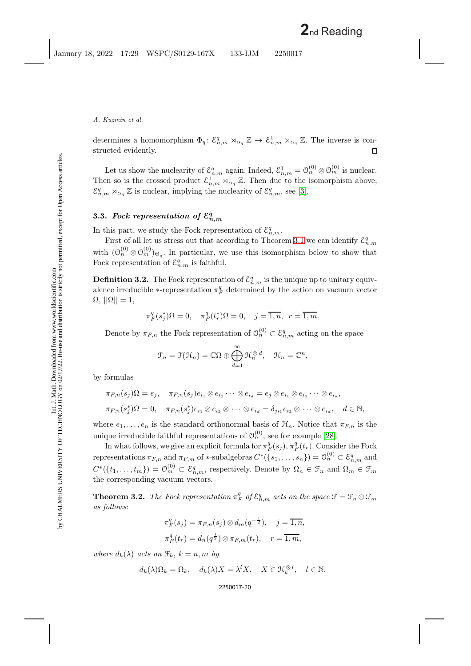determines a homomorphism  $\Phi_q: \mathcal{E}_{n,m}^q \rtimes_{\alpha_q} \mathbb{Z} \to \mathcal{E}_{n,m}^1 \rtimes_{\alpha_q} \mathbb{Z}$ . The inverse is constructed evidently.  $\Box$ 

Let us show the nuclearity of  $\mathcal{E}_{n,m}^q$  again. Indeed,  $\mathcal{E}_{n,m}^1 = \mathcal{O}_n^{(0)} \otimes \mathcal{O}_m^{(0)}$  is nuclear. Then so is the crossed product  $\mathcal{E}_{n,m}^1 \rtimes_{\alpha_q} \mathbb{Z}$ . Then due to the isomorphism above,  $\mathcal{E}_{n,m}^q \rtimes_{\alpha_q} \mathbb{Z}$  is nuclear, implying the nuclearity of  $\mathcal{E}_{n,m}^q$ , see [\[3\]](#page-44-11).

## **3.3.** *Fock representation of*  $\mathcal{E}_{n,m}^q$

In this part, we study the Fock representation of  $\mathcal{E}_{n,m}^q$ .

First of all let us stress out that according to Theorem [3.1](#page-18-0) we can identify  $\mathcal{E}_{n,m}^q$ with  $(\mathcal{O}_n^{(0)} \otimes \mathcal{O}_m^{(0)})_{\Theta_q}$ . In particular, we use this isomorphism below to show that Fock representation of  $\mathcal{E}_{n,m}^q$  is faithful.

**Definition 3.2.** The Fock representation of  $\mathcal{E}_{n,m}^q$  is the unique up to unitary equivalence irreducible  $*$ -representation  $\pi_F^q$  determined by the action on vacuum vector  $\Omega$ ,  $||\Omega|| = 1$ ,

$$
\pi^q_F(s^*_j)\Omega=0,\quad \pi^q_F(t^*_r)\Omega=0,\quad j=\overline{1,n},\ \ r=\overline{1,m}.
$$

Denote by  $\pi_{F,n}$  the Fock representation of  $\mathcal{O}_n^{(0)} \subset \mathcal{E}_{n,m}^q$  acting on the space

$$
\mathcal{F}_n = \mathfrak{T}(\mathcal{H}_n) = \mathbb{C}\Omega \oplus \bigoplus_{d=1}^{\infty} \mathcal{H}_n^{\otimes d}, \quad \mathcal{H}_n = \mathbb{C}^n,
$$

by formulas

$$
\pi_{F,n}(s_j)\Omega = e_j, \quad \pi_{F,n}(s_j)e_{i_1} \otimes e_{i_2} \cdots \otimes e_{i_d} = e_j \otimes e_{i_1} \otimes e_{i_2} \cdots \otimes e_{i_d},
$$
  

$$
\pi_{F,n}(s_j^*)\Omega = 0, \quad \pi_{F,n}(s_j^*)e_{i_1} \otimes e_{i_2} \otimes \cdots \otimes e_{i_d} = \delta_{ji_1}e_{i_2} \otimes \cdots \otimes e_{i_d}, \quad d \in \mathbb{N},
$$

where  $e_1, \ldots, e_n$  is the standard orthonormal basis of  $\mathcal{H}_n$ . Notice that  $\pi_{F,n}$  is the unique irreducible faithful representations of  $\mathcal{O}_n^{(0)}$ , see for example [\[28\]](#page-45-9).

In what follows, we give an explicit formula for  $\pi_F^q(s_j)$ ,  $\pi_F^q(t_r)$ . Consider the Fock representations  $\pi_{F,n}$  and  $\pi_{F,m}$  of \*-subalgebras  $C^*(\{s_1,\ldots,s_n\})=\mathfrak{O}_n^{(0)}\subset \mathcal{E}_{n,m}^q$  and  $C^*(\{t_1,\ldots,t_m\}) = \mathcal{O}_m^{(0)} \subset \mathcal{E}_{n,m}^q$ , respectively. Denote by  $\Omega_n \in \mathcal{F}_n$  and  $\Omega_m \in \mathcal{F}_m$ the corresponding vacuum vectors.

**Theorem 3.2.** *The Fock representation*  $\pi_F^q$  *of*  $\mathcal{E}_{n,m}^q$  *acts on the space*  $\mathcal{F} = \mathcal{F}_n \otimes \mathcal{F}_m$ *as follows*:

$$
\pi_F^q(s_j) = \pi_{F,n}(s_j) \otimes d_m(q^{-\frac{1}{2}}), \quad j = \overline{1, n},
$$
  

$$
\pi_F^q(t_r) = d_n(q^{\frac{1}{2}}) \otimes \pi_{F,m}(t_r), \quad r = \overline{1, m},
$$

*where*  $d_k(\lambda)$  *acts on*  $\mathcal{F}_k$ ,  $k = n, m$  *by* 

$$
d_k(\lambda)\Omega_k = \Omega_k
$$
,  $d_k(\lambda)X = \lambda^l X$ ,  $X \in \mathcal{H}_k^{\otimes l}$ ,  $l \in \mathbb{N}$ .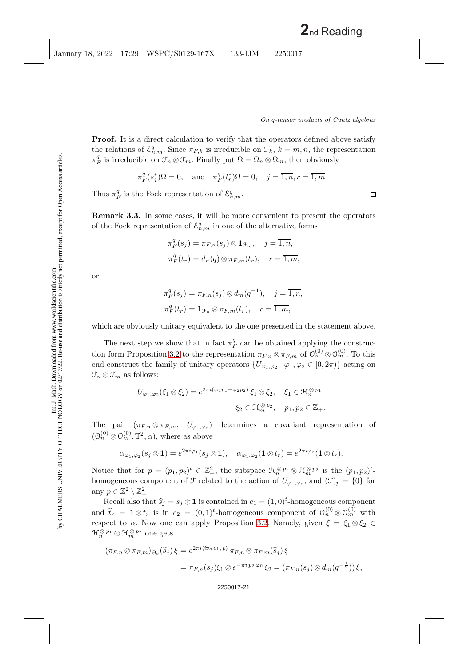$\Box$ 

<span id="page-21-0"></span>**Remark 3.3.** In some cases, it will be more convenient to present the operators of the Fock representation of  $\mathcal{E}_{n,m}^q$  in one of the alternative forms

$$
\pi_F^q(s_j) = \pi_{F,n}(s_j) \otimes \mathbf{1}_{\mathcal{F}_m}, \quad j = \overline{1, n},
$$
  

$$
\pi_F^q(t_r) = d_n(q) \otimes \pi_{F,m}(t_r), \quad r = \overline{1, m},
$$

or

$$
\pi_F^q(s_j) = \pi_{F,n}(s_j) \otimes d_m(q^{-1}), \quad j = \overline{1, n},
$$
  

$$
\pi_F^q(t_r) = \mathbf{1}_{\mathcal{F}_n} \otimes \pi_{F,m}(t_r), \quad r = \overline{1, m},
$$

which are obviously unitary equivalent to the one presented in the statement above.

The next step we show that in fact  $\pi_F^q$  can be obtained applying the construc-tion form Proposition [3.2](#page-15-1) to the representation  $\pi_{F,n} \otimes \pi_{F,m}$  of  $\mathcal{O}_n^{(0)} \otimes \mathcal{O}_m^{(0)}$ . To this end construct the family of unitary operators  $\{U_{\varphi_1,\varphi_2}, \varphi_1,\varphi_2 \in [0,2\pi)\}\$  acting on  $\mathfrak{F}_n \otimes \mathfrak{F}_m$  as follows:

$$
U_{\varphi_1,\varphi_2}(\xi_1 \otimes \xi_2) = e^{2\pi i(\varphi_1 p_1 + \varphi_2 p_2)} \xi_1 \otimes \xi_2, \quad \xi_1 \in \mathcal{H}_n^{\otimes p_1},
$$
  

$$
\xi_2 \in \mathcal{H}_m^{\otimes p_2}, \quad p_1, p_2 \in \mathbb{Z}_+.
$$

The pair  $(\pi_{F,n} \otimes \pi_{F,m}, U_{\varphi_1,\varphi_2})$  determines a covariant representation of  $(\mathcal{O}_n^{(0)} \otimes \mathcal{O}_m^{(0)}, \mathbb{T}^2, \alpha)$ , where as above

$$
\alpha_{\varphi_1,\varphi_2}(s_j \otimes 1) = e^{2\pi i \varphi_1}(s_j \otimes 1), \quad \alpha_{\varphi_1,\varphi_2}(1 \otimes t_r) = e^{2\pi i \varphi_2}(1 \otimes t_r).
$$

Notice that for  $p = (p_1, p_2)^t \in \mathbb{Z}_+^2$ , the subspace  $\mathfrak{H}_n^{\otimes p_1} \otimes \mathfrak{H}_m^{\otimes p_2}$  is the  $(p_1, p_2)^t$ homogeneous component of  $\mathcal F$  related to the action of  $U_{\varphi_1,\varphi_2}$ , and  $(\mathcal F)_p = \{0\}$  for any  $p \in \mathbb{Z}^2 \setminus \mathbb{Z}_+^2$ .

Recall also that  $\hat{s}_j = s_j \otimes \mathbf{1}$  is contained in  $e_1 = (1,0)^t$ -homogeneous component and  $\hat{t}_r = \mathbf{1} \otimes t_r$  is in  $e_2 = (0, 1)^t$ -homogeneous component of  $\mathcal{O}_n^{(0)} \otimes \mathcal{O}_m^{(0)}$  with respect to  $\alpha$ . Now one can apply Proposition [3.2.](#page-15-1) Namely, given  $\xi = \xi_1 \otimes \xi_2 \in$  $\mathfrak{H}^{\,\otimes\, p_{1}}_{n}\otimes \mathfrak{H}^{\,\otimes\, p_{2}}_{m}$  one gets

$$
(\pi_{F,n} \otimes \pi_{F,m})_{\Theta_q}(\widehat{s}_j) \xi = e^{2\pi i \langle \Theta_q e_1, p \rangle} \pi_{F,n} \otimes \pi_{F,m}(\widehat{s}_j) \xi
$$
  
=  $\pi_{F,n}(s_j) \xi_1 \otimes e^{-\pi i p_2 \varphi_0} \xi_2 = (\pi_{F,n}(s_j) \otimes d_m(q^{-\frac{1}{2}})) \xi,$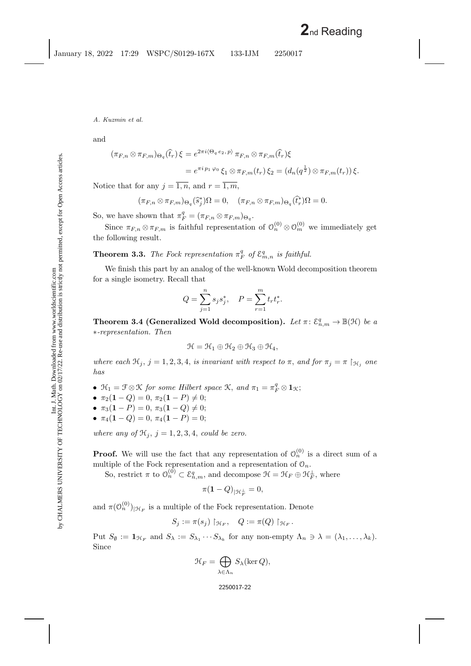and

$$
(\pi_{F,n} \otimes \pi_{F,m})_{\Theta_q}(\hat{t}_r) \xi = e^{2\pi i \langle \Theta_q e_2, p \rangle} \pi_{F,n} \otimes \pi_{F,m}(\hat{t}_r) \xi
$$
  
=  $e^{\pi i p_1 \varphi_0} \xi_1 \otimes \pi_{F,m}(t_r) \xi_2 = (d_n(q^{\frac{1}{2}}) \otimes \pi_{F,m}(t_r)) \xi.$ 

Notice that for any  $j = \overline{1, n}$ , and  $r = \overline{1, m}$ ,

$$
(\pi_{F,n}\otimes \pi_{F,m})_{\Theta_q}(\widehat{s}_j^*)\Omega=0, \quad (\pi_{F,n}\otimes \pi_{F,m})_{\Theta_q}(\widehat{t}_r^*)\Omega=0.
$$

So, we have shown that  $\pi_F^q = (\pi_{F,n} \otimes \pi_{F,m})_{\Theta_q}$ .

Since  $\pi_{F,n} \otimes \pi_{F,m}$  is faithful representation of  $\mathcal{O}_n^{(0)} \otimes \mathcal{O}_m^{(0)}$  we immediately get the following result.

## **Theorem 3.3.** *The Fock representation*  $\pi_F^q$  *of*  $\mathcal{E}_{m,n}^q$  *is faithful.*

We finish this part by an analog of the well-known Wold decomposition theorem for a single isometry. Recall that

$$
Q = \sum_{j=1}^{n} s_j s_j^*, \quad P = \sum_{r=1}^{m} t_r t_r^*.
$$

<span id="page-22-0"></span>**Theorem 3.4 (Generalized Wold decomposition).** Let  $\pi: \mathcal{E}_{n,m}^q \to \mathbb{B}(\mathcal{H})$  be a ∗*-representation. Then*

$$
\mathcal{H} = \mathcal{H}_1 \oplus \mathcal{H}_2 \oplus \mathcal{H}_3 \oplus \mathcal{H}_4,
$$

where each  $\mathfrak{H}_j$ ,  $j = 1, 2, 3, 4$ , *is invariant with respect to*  $\pi$ , *and for*  $\pi_j = \pi \upharpoonright_{\mathfrak{H}_j}$  *one has*

- $\mathfrak{H}_1 = \mathfrak{F} \otimes \mathfrak{K}$  for some Hilbert space  $\mathfrak{K}$ , and  $\pi_1 = \pi_F^q \otimes \mathbf{1}_{\mathfrak{K}}$ ;
- $\pi_2(1-Q) = 0, \ \pi_2(1-P) \neq 0;$
- $\pi_3(1-P) = 0, \ \pi_3(1-Q) \neq 0;$
- $\pi_4(1-Q)=0$ ,  $\pi_4(1-P)=0$ ;

*where any of*  $\mathcal{H}_j$ ,  $j = 1, 2, 3, 4$ , *could be zero.* 

**Proof.** We will use the fact that any representation of  $\mathcal{O}_n^{(0)}$  is a direct sum of a multiple of the Fock representation and a representation of  $\mathcal{O}_n$ .

So, restrict  $\pi$  to  $\mathcal{O}_n^{(0)} \subset \mathcal{E}_{n,m}^q$ , and decompose  $\mathcal{H} = \mathcal{H}_F \oplus \mathcal{H}_F^{\perp}$ , where

$$
\pi(\mathbf{1} - Q)_{|\mathcal{H}_F^\perp} = 0,
$$

and  $\pi(\mathcal{O}_n^{(0)})_{|\mathcal{H}_F}$  is a multiple of the Fock representation. Denote

$$
S_j := \pi(s_j) \upharpoonright_{\mathcal{H}_F}, \quad Q := \pi(Q) \upharpoonright_{\mathcal{H}_F}.
$$

Put  $S_{\emptyset} := \mathbf{1}_{\mathcal{H}_F}$  and  $S_{\lambda} := S_{\lambda_1} \cdots S_{\lambda_k}$  for any non-empty  $\Lambda_n \ni \lambda = (\lambda_1, \ldots, \lambda_k)$ . Since

$$
\mathcal{H}_F = \bigoplus_{\lambda \in \Lambda_n} S_{\lambda}(\ker Q),
$$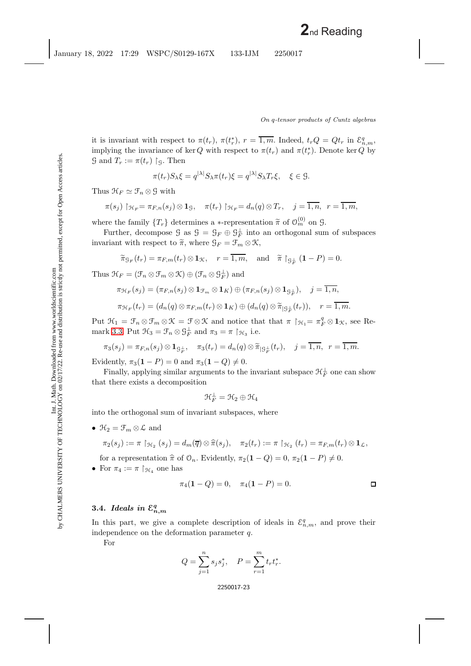it is invariant with respect to  $\pi(t_r)$ ,  $\pi(t_r^*)$ ,  $r = \overline{1,m}$ . Indeed,  $t_r Q = Q t_r$  in  $\mathcal{E}_{n,m}^q$ , implying the invariance of ker Q with respect to  $\pi(t_r)$  and  $\pi(t_r^*)$ . Denote ker Q by  $\mathfrak{G}$  and  $T_r := \pi(t_r) \restriction_{\mathfrak{G}}$ . Then

$$
\pi(t_r)S_\lambda\xi = q^{|\lambda|}S_\lambda\pi(t_r)\xi = q^{|\lambda|}S_\lambda T_r\xi, \quad \xi \in \mathcal{G}.
$$

Thus  $\mathcal{H}_F \simeq \mathcal{F}_n \otimes \mathcal{G}$  with

$$
\pi(s_j) \upharpoonright_{\mathcal{H}_F} = \pi_{F,n}(s_j) \otimes \mathbf{1}_{\mathcal{G}}, \quad \pi(t_r) \upharpoonright_{\mathcal{H}_F} = d_n(q) \otimes T_r, \quad j = \overline{1,n}, \quad r = \overline{1,m},
$$

where the family  $\{T_r\}$  determines a ∗-representation  $\tilde{\pi}$  of  $\mathcal{O}_m^{(0)}$  on  $\mathcal{G}$ .<br>Eurther decompose  $\mathcal{G}$  os  $\mathcal{G} = \mathcal{G}$ .  $\mathcal{Q} \oplus \mathcal{G}^{\perp}$  into an orthogonal aux

Further, decompose  $\mathcal{G}$  as  $\mathcal{G} = \mathcal{G}_F \oplus \mathcal{G}_F^{\perp}$  into an orthogonal sum of subspaces invariant with respect to  $\widetilde{\pi}$ , where  $\mathcal{G}_F = \mathcal{F}_m \otimes \mathcal{K}$ ,

$$
\widetilde{\pi}_{\mathcal{G}_F}(t_r) = \pi_{F,m}(t_r) \otimes \mathbf{1}_{\mathcal{K}}, \quad r = \overline{1,m}, \text{ and } \widetilde{\pi} \restriction_{\mathcal{G}_F^{\perp}} (\mathbf{1} - P) = 0.
$$

Thus  $\mathcal{H}_F = (\mathcal{F}_n \otimes \mathcal{F}_m \otimes \mathcal{K}) \oplus (\mathcal{F}_n \otimes \mathcal{G}_F^{\perp})$  and

$$
\pi_{\mathcal{H}_F}(s_j) = (\pi_{F,n}(s_j) \otimes \mathbf{1}_{\mathcal{F}_m} \otimes \mathbf{1}_K) \oplus (\pi_{F,n}(s_j) \otimes \mathbf{1}_{\mathcal{G}_F^{\perp}}), \quad j = \overline{1,n},
$$
  

$$
\pi_{\mathcal{H}_F}(t_r) = (d_n(q) \otimes \pi_{F,m}(t_r) \otimes \mathbf{1}_K) \oplus (d_n(q) \otimes \widetilde{\pi}_{|\mathcal{G}_F^{\perp}}(t_r)), \quad r = \overline{1,m}.
$$

Put  $\mathcal{H}_1 = \mathcal{F}_n \otimes \mathcal{F}_m \otimes \mathcal{K} = \mathcal{F} \otimes \mathcal{K}$  and notice that that  $\pi \upharpoonright_{\mathcal{H}_1} = \pi_F^q \otimes \mathbf{1}_{\mathcal{K}}$ , see Re-mark [3.3.](#page-21-0) Put  $\mathfrak{H}_3 = \mathfrak{F}_n \otimes \mathfrak{G}_F^{\perp}$  and  $\pi_3 = \pi \upharpoonright_{\mathfrak{H}_3}$  i.e.

$$
\pi_3(s_j)=\pi_{F,n}(s_j)\otimes \mathbf{1}_{\mathcal{G}_F^{\perp}},\quad \pi_3(t_r)=d_n(q)\otimes \widetilde{\pi}_{|\mathcal{G}_F^{\perp}}(t_r),\quad j=\overline{1,n},\ \ r=\overline{1,m}.
$$

Evidently,  $\pi_3(1 - P) = 0$  and  $\pi_3(1 - Q) \neq 0$ .

Finally, applying similar arguments to the invariant subspace  $\mathcal{H}_F^{\perp}$  one can show that there exists a decomposition

$$
\mathfrak{K}_F^\perp=\mathfrak{K}_2\oplus\mathfrak{K}_4
$$

into the orthogonal sum of invariant subspaces, where

•  $\mathfrak{H}_2 = \mathfrak{F}_m \otimes \mathcal{L}$  and

$$
\pi_2(s_j) := \pi \upharpoonright_{\mathcal{H}_2} (s_j) = d_m(\overline{q}) \otimes \widehat{\pi}(s_j), \quad \pi_2(t_r) := \pi \upharpoonright_{\mathcal{H}_2} (t_r) = \pi_{F,m}(t_r) \otimes \mathbf{1}_{\mathcal{L}},
$$

for a representation  $\hat{\pi}$  of  $\mathcal{O}_n$ . Evidently,  $\pi_2(\mathbf{1} - Q) = 0$ ,  $\pi_2(\mathbf{1} - P) \neq 0$ .

• For  $\pi_4 := \pi \upharpoonright_{\mathcal{H}_4}$  one has

$$
\pi_4(1 - Q) = 0, \quad \pi_4(1 - P) = 0.
$$

## **3.4.** *Ideals in*  $\mathcal{E}_{n,m}^q$

In this part, we give a complete description of ideals in  $\mathcal{E}_{n,m}^q$ , and prove their independence on the deformation parameter  $q$ .

For

$$
Q = \sum_{j=1}^{n} s_j s_j^*, \quad P = \sum_{r=1}^{m} t_r t_r^*.
$$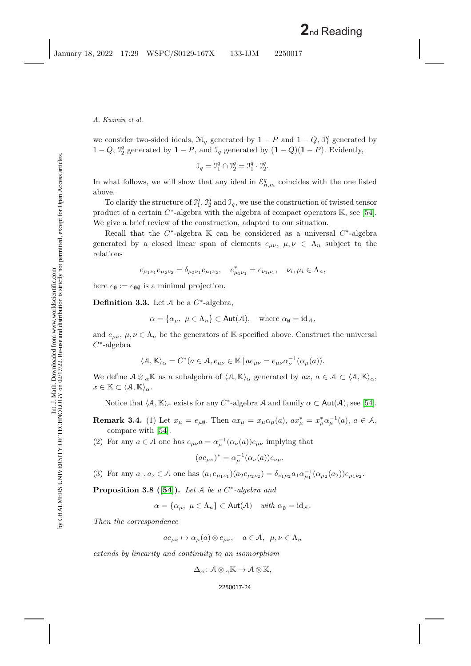we consider two-sided ideals,  $\mathcal{M}_q$  generated by  $1 - P$  and  $1 - Q$ ,  $\mathcal{I}_1^q$  generated by 1 − Q,  $\mathcal{I}_2^q$  generated by  $\mathbf{1} - P$ , and  $\mathcal{I}_q$  generated by  $(\mathbf{1} - Q)(\mathbf{1} - P)$ . Evidently,

$$
\mathcal{I}_q = \mathcal{I}_1^q \cap \mathcal{I}_2^q = \mathcal{I}_1^q \cdot \mathcal{I}_2^q.
$$

In what follows, we will show that any ideal in  $\mathcal{E}_{n,m}^q$  coincides with the one listed above.

To clarify the structure of  $\mathcal{I}_1^q$ ,  $\mathcal{I}_2^q$  and  $\mathcal{I}_q$ , we use the construction of twisted tensor product of a certain  $C^*$ -algebra with the algebra of compact operators K, see [\[54\]](#page-46-6). We give a brief review of the construction, adapted to our situation.

Recall that the  $C^*$ -algebra K can be considered as a universal  $C^*$ -algebra generated by a closed linear span of elements  $e_{\mu\nu}$ ,  $\mu, \nu \in \Lambda_n$  subject to the relations

$$
e_{\mu_1\nu_1}e_{\mu_2\nu_2}=\delta_{\mu_2\nu_1}e_{\mu_1\nu_2},\quad e^*_{\mu_1\nu_1}=e_{\nu_1\mu_1},\quad \nu_i,\mu_i\in\Lambda_n,
$$

here  $e_{\emptyset} := e_{\emptyset \emptyset}$  is a minimal projection.

**Definition 3.3.** Let  $A$  be a  $C^*$ -algebra,

$$
\alpha = \{ \alpha_{\mu}, \ \mu \in \Lambda_n \} \subset \text{Aut}(\mathcal{A}), \quad \text{where } \alpha_{\emptyset} = \text{id}_{\mathcal{A}},
$$

and  $e_{\mu\nu}$ ,  $\mu, \nu \in \Lambda_n$  be the generators of K specified above. Construct the universal  $C^*$ -algebra

$$
\langle \mathcal{A}, \mathbb{K} \rangle_{\alpha} = C^*(a \in \mathcal{A}, e_{\mu\nu} \in \mathbb{K} \, | \, a e_{\mu\nu} = e_{\mu\nu} \alpha_{\nu}^{-1}(\alpha_{\mu}(a)).
$$

We define  $A \otimes_{\alpha} \mathbb{K}$  as a subalgebra of  $\langle A, \mathbb{K} \rangle_{\alpha}$  generated by  $ax, a \in \mathcal{A} \subset \langle A, \mathbb{K} \rangle_{\alpha}$ ,  $x \in \mathbb{K} \subset \langle A, \mathbb{K} \rangle_{\alpha}.$ 

Notice that  $\langle A, \mathbb{K} \rangle_{\alpha}$  exists for any C<sup>\*</sup>-algebra A and family  $\alpha \subset \text{Aut}(\mathcal{A}),$  see [\[54\]](#page-46-6).

**Remark 3.4.** (1) Let  $x_{\mu} = e_{\mu\emptyset}$ . Then  $ax_{\mu} = x_{\mu}\alpha_{\mu}(a)$ ,  $ax_{\mu}^{*} = x_{\mu}^{*}\alpha_{\mu}^{-1}(a)$ ,  $a \in \mathcal{A}$ , compare with [\[54\]](#page-46-6).

(2) For any  $a \in \mathcal{A}$  one has  $e_{\mu\nu}a = \alpha_{\mu}^{-1}(\alpha_{\nu}(a))e_{\mu\nu}$  implying that

$$
(ae_{\mu\nu})^* = \alpha_\mu^{-1}(\alpha_\nu(a))e_{\nu\mu}.
$$

(3) For any  $a_1, a_2 \in \mathcal{A}$  one has  $(a_1e_{\mu_1\nu_1})(a_2e_{\mu_2\nu_2}) = \delta_{\nu_1\mu_2}a_1\alpha_{\mu_1}^{-1}(\alpha_{\mu_2}(a_2))e_{\mu_1\nu_2}$ .

**Proposition 3.8 ([\[54\]](#page-46-6)).** *Let* A *be a* C<sup>∗</sup>*-algebra and*

$$
\alpha = \{ \alpha_{\mu}, \ \mu \in \Lambda_n \} \subset \text{Aut}(\mathcal{A}) \quad \text{with } \alpha_{\emptyset} = \text{id}_{\mathcal{A}}.
$$

*Then the correspondence*

 $ae_{\mu\nu} \mapsto \alpha_{\mu}(a) \otimes e_{\mu\nu}, \quad a \in \mathcal{A}, \ \mu, \nu \in \Lambda_n$ 

*extends by linearity and continuity to an isomorphism*

 $\Delta_{\alpha} : \mathcal{A} \otimes_{\alpha} \mathbb{K} \to \mathcal{A} \otimes \mathbb{K},$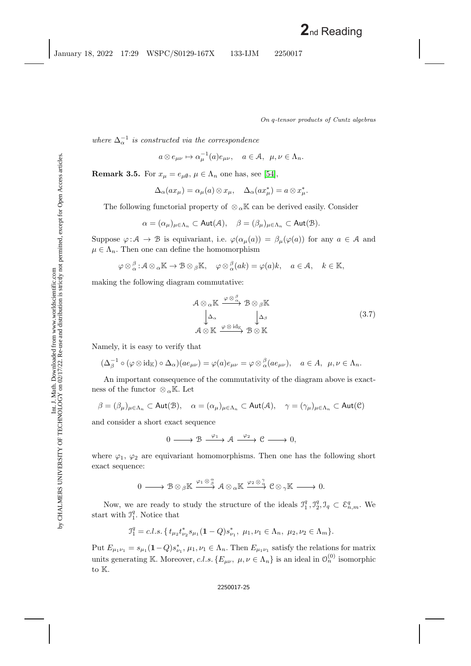*where*  $\Delta_{\alpha}^{-1}$  *is constructed via the correspondence* 

$$
a \otimes e_{\mu\nu} \mapsto \alpha_{\mu}^{-1}(a)e_{\mu\nu}, \quad a \in \mathcal{A}, \ \mu, \nu \in \Lambda_n.
$$

**Remark 3.5.** For  $x_{\mu} = e_{\mu\emptyset}$ ,  $\mu \in \Lambda_n$  one has, see [\[54\]](#page-46-6),

$$
\Delta_{\alpha}(ax_{\mu}) = \alpha_{\mu}(a) \otimes x_{\mu}, \quad \Delta_{\alpha}(ax_{\mu}^{*}) = a \otimes x_{\mu}^{*}.
$$

The following functorial property of  $\otimes_{\alpha} \mathbb{K}$  can be derived easily. Consider

$$
\alpha = (\alpha_{\mu})_{\mu \in \Lambda_n} \subset \text{Aut}(\mathcal{A}), \quad \beta = (\beta_{\mu})_{\mu \in \Lambda_n} \subset \text{Aut}(\mathcal{B}).
$$

Suppose  $\varphi : A \to B$  is equivariant, i.e.  $\varphi(\alpha_\mu(a)) = \beta_\mu(\varphi(a))$  for any  $a \in A$  and  $\mu \in \Lambda_n$ . Then one can define the homomorphism

$$
\varphi \otimes_{\alpha}^{\beta} : A \otimes_{\alpha} \mathbb{K} \to B \otimes_{\beta} \mathbb{K}, \quad \varphi \otimes_{\alpha}^{\beta} (ak) = \varphi(a)k, \quad a \in \mathcal{A}, \quad k \in \mathbb{K},
$$

making the following diagram commutative:

<span id="page-25-0"></span>
$$
\mathcal{A} \otimes_{\alpha} \mathbb{K} \xrightarrow{\varphi \otimes \stackrel{\beta}{\alpha}} \mathcal{B} \otimes_{\beta} \mathbb{K}
$$
\n
$$
\downarrow \Delta_{\alpha} \qquad \downarrow \Delta_{\beta}
$$
\n
$$
\mathcal{A} \otimes \mathbb{K} \xrightarrow{\varphi \otimes id_{\mathbb{K}}} \mathcal{B} \otimes \mathbb{K}
$$
\n(3.7)

Namely, it is easy to verify that

$$
(\Delta_{\beta}^{-1}\circ(\varphi\otimes id_{\mathbb{K}})\circ\Delta_{\alpha})(ae_{\mu\nu})=\varphi(a)e_{\mu\nu}=\varphi\otimes_{\alpha}^{\beta}(ae_{\mu\nu}),\quad a\in A,\ \mu,\nu\in\Lambda_n.
$$

An important consequence of the commutativity of the diagram above is exactness of the functor ⊗  $_{\alpha}$ K. Let

$$
\beta = (\beta_{\mu})_{\mu \in \Lambda_n} \subset \text{Aut}(\mathfrak{B}), \quad \alpha = (\alpha_{\mu})_{\mu \in \Lambda_n} \subset \text{Aut}(\mathcal{A}), \quad \gamma = (\gamma_{\mu})_{\mu \in \Lambda_n} \subset \text{Aut}(\mathfrak{C})
$$

and consider a short exact sequence

$$
0 \longrightarrow \mathcal{B} \xrightarrow{\varphi_1} \mathcal{A} \xrightarrow{\varphi_2} \mathcal{C} \longrightarrow 0,
$$

where  $\varphi_1$ ,  $\varphi_2$  are equivariant homomorphisms. Then one has the following short exact sequence:

$$
0\longrightarrow\mathcal{B}\otimes_\beta\mathbb{K}\xrightarrow{\varphi_1\otimes\underset{\beta}{\alpha}}\mathcal{A}\otimes_\alpha\mathbb{K}\xrightarrow{\varphi_2\otimes\underset{\alpha}{\gamma}}\mathbb{C}\otimes_\gamma\mathbb{K}\longrightarrow0.
$$

Now, we are ready to study the structure of the ideals  $\mathcal{I}_1^q, \mathcal{I}_2^q, \mathcal{I}_q \subset \mathcal{E}_{n,m}^q$ . We start with  $J_1^q$ . Notice that

$$
\mathcal{I}_1^q = c.l.s.\{t_{\mu_2}t_{\nu_2}^*s_{\mu_1}(1-Q)s_{\nu_1}^*,\ \mu_1,\nu_1\in\Lambda_n,\ \mu_2,\nu_2\in\Lambda_m\}.
$$

Put  $E_{\mu_1\nu_1} = s_{\mu_1}(1-Q)s_{\nu_1}^*$ ,  $\mu_1, \nu_1 \in \Lambda_n$ . Then  $E_{\mu_1\nu_1}$  satisfy the relations for matrix units generating K. Moreover, c.l.s.  $\{E_{\mu\nu}, \mu,\nu \in \Lambda_n\}$  is an ideal in  $\mathcal{O}_n^{(0)}$  isomorphic to K.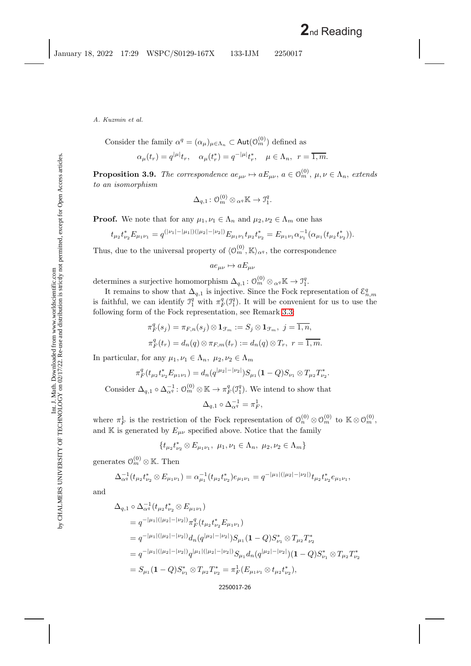Consider the family  $\alpha^q = (\alpha_\mu)_{\mu \in \Lambda_n} \subset \text{Aut}(\mathcal{O}_m^{(0)})$  defined as

$$
\alpha_{\mu}(t_r) = q^{|\mu|} t_r, \quad \alpha_{\mu}(t_r^*) = q^{-|\mu|} t_r^*, \quad \mu \in \Lambda_n, \ \ r = \overline{1, m}.
$$

<span id="page-26-0"></span>**Proposition 3.9.** *The correspondence*  $ae_{\mu\nu} \mapsto aE_{\mu\nu}$ ,  $a \in \mathcal{O}_m^{(0)}$ ,  $\mu, \nu \in \Lambda_n$ , extends *to an isomorphism*

$$
\Delta_{q,1}\colon \mathcal{O}_{m}^{(0)}\otimes{}_{\alpha^{q}}\mathbb{K}\to \mathfrak{I}_{1}^{q}.
$$

**Proof.** We note that for any  $\mu_1, \nu_1 \in \Lambda_n$  and  $\mu_2, \nu_2 \in \Lambda_m$  one has

$$
t_{\mu_2}t_{\nu_2}^*E_{\mu_1\nu_1} = q^{(|\nu_1|-|\mu_1|)(|\mu_2|-|\nu_2|)}E_{\mu_1\nu_1}t_{\mu_2}t_{\nu_2}^* = E_{\mu_1\nu_1}\alpha_{\nu_1}^{-1}(\alpha_{\mu_1}(t_{\mu_2}t_{\nu_2}^*)).
$$

Thus, due to the universal property of  $\langle \mathcal{O}_m^{(0)}, \mathbb{K} \rangle_{\alpha^q}$ , the correspondence

 $ae_{\mu\nu} \mapsto aE_{\mu\nu}$ 

determines a surjective homomorphism  $\Delta_{q,1} : \mathcal{O}_m^{(0)} \otimes_{\alpha^q} \mathbb{K} \to \mathcal{I}_1^q$ .

It remains to show that  $\Delta_{q,1}$  is injective. Since the Fock representation of  $\mathcal{E}_{n,m}^q$ is faithful, we can identify  $\mathcal{I}_1^q$  with  $\pi_F^q(\mathcal{I}_1^q)$ . It will be convenient for us to use the following form of the Fock representation, see Remark [3.3:](#page-21-0)

$$
\pi_F^q(s_j) = \pi_{F,n}(s_j) \otimes \mathbf{1}_{\mathcal{F}_m} := S_j \otimes \mathbf{1}_{\mathcal{F}_m}, \ j = \overline{1, n},
$$
  

$$
\pi_F^q(t_r) = d_n(q) \otimes \pi_{F,m}(t_r) := d_n(q) \otimes T_r, \ r = \overline{1, m}.
$$

In particular, for any  $\mu_1, \nu_1 \in \Lambda_n$ ,  $\mu_2, \nu_2 \in \Lambda_m$ 

$$
\pi_F^q(t_{\mu_2}t_{\nu_2}^*E_{\mu_1\nu_1})=d_n(q^{|\mu_2|-|\nu_2|})S_{\mu_1}(\mathbf{1}-Q)S_{\nu_1}\otimes T_{\mu_2}T_{\nu_2}^*.
$$

Consider  $\Delta_{q,1} \circ \Delta_{\alpha^q}^{-1} : \mathcal{O}_m^{(0)} \otimes \mathbb{K} \to \pi_F^q(\mathcal{I}_1^q)$ . We intend to show that

 $\Delta_{q,1}\circ \Delta_{\alpha^q}^{-1}=\pi^1_F,$ 

where  $\pi_F^1$  is the restriction of the Fock representation of  $\mathcal{O}_n^{(0)} \otimes \mathcal{O}_m^{(0)}$  to  $\mathbb{K} \otimes \mathcal{O}_m^{(0)}$ , and K is generated by  $E_{\mu\nu}$  specified above. Notice that the family

$$
\{t_{\mu_2}t_{\nu_2}^*\otimes E_{\mu_1\nu_1},\ \mu_1,\nu_1\in\Lambda_n,\ \mu_2,\nu_2\in\Lambda_m\}
$$

generates  $\mathcal{O}_m^{(0)} \otimes \mathbb{K}$ . Then

$$
\Delta_{\alpha}^{-1}(t_{\mu_2}t_{\nu_2}^* \otimes E_{\mu_1\nu_1}) = \alpha_{\mu_1}^{-1}(t_{\mu_2}t_{\nu_2}^*)e_{\mu_1\nu_1} = q^{-|\mu_1|(|\mu_2|-|\nu_2|)}t_{\mu_2}t_{\nu_2}^* e_{\mu_1\nu_1},
$$

and

$$
\Delta_{q,1} \circ \Delta_{\alpha}^{-1} (t_{\mu_2} t_{\nu_2}^* \otimes E_{\mu_1 \nu_1})
$$
  
\n
$$
= q^{-|\mu_1|(|\mu_2| - |\nu_2|)} \pi_F^q (t_{\mu_2} t_{\nu_2}^* E_{\mu_1 \nu_1})
$$
  
\n
$$
= q^{-|\mu_1|(|\mu_2| - |\nu_2|)} d_n (q^{|\mu_2| - |\nu_2|}) S_{\mu_1} (1 - Q) S_{\nu_1}^* \otimes T_{\mu_2} T_{\nu_2}^*
$$
  
\n
$$
= q^{-|\mu_1|(|\mu_2| - |\nu_2|)} q^{|\mu_1|(|\mu_2| - |\nu_2|)} S_{\mu_1} d_n (q^{|\mu_2| - |\nu_2|}) (1 - Q) S_{\nu_1}^* \otimes T_{\mu_2} T_{\nu_2}^*
$$
  
\n
$$
= S_{\mu_1} (1 - Q) S_{\nu_1}^* \otimes T_{\mu_2} T_{\nu_2}^* = \pi_F^1 (E_{\mu_1 \nu_1} \otimes t_{\mu_2} t_{\nu_2}^*),
$$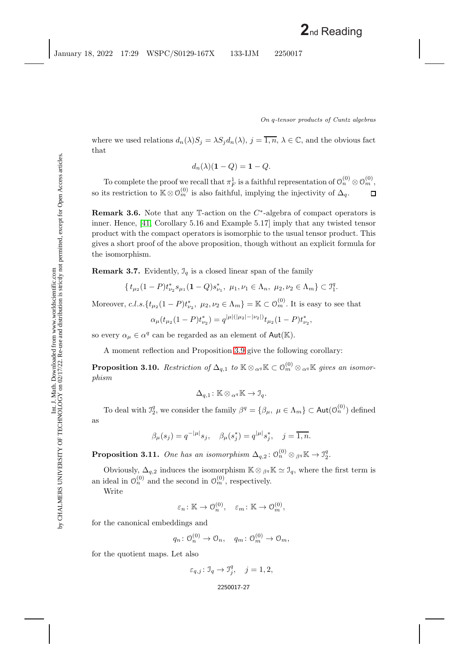where we used relations  $d_n(\lambda)S_j = \lambda S_j d_n(\lambda)$ ,  $j = \overline{1,n}$ ,  $\lambda \in \mathbb{C}$ , and the obvious fact that

$$
d_n(\lambda)(1-Q) = 1-Q.
$$

To complete the proof we recall that  $\pi_F^1$  is a faithful representation of  $\mathcal{O}_n^{(0)} \otimes \mathcal{O}_m^{(0)}$ , so its restriction to  $\mathbb{K} \otimes \mathcal{O}_m^{(0)}$  is also faithful, implying the injectivity of  $\Delta_q$ .  $\Box$ 

**Remark 3.6.** Note that any T-action on the C∗-algebra of compact operators is inner. Hence, [\[41,](#page-45-16) Corollary 5.16 and Example 5.17] imply that any twisted tensor product with the compact operators is isomorphic to the usual tensor product. This gives a short proof of the above proposition, though without an explicit formula for the isomorphism.

<span id="page-27-0"></span>**Remark 3.7.** Evidently,  $\mathcal{I}_q$  is a closed linear span of the family

$$
\{t_{\mu_2}(1-P)t_{\nu_2}^*s_{\mu_1}(1-Q)s_{\nu_1}^*, \ \mu_1,\nu_1\in\Lambda_n, \ \mu_2,\nu_2\in\Lambda_m\}\subset\mathfrak{I}^q_1.
$$

Moreover,  $c.l.s.\{t_{\mu_2}(1-P)t_{\nu_2}^*, \mu_2, \nu_2 \in \Lambda_m\} = \mathbb{K} \subset \mathcal{O}_m^{(0)}$ . It is easy to see that

$$
\alpha_{\mu}(t_{\mu_2}(1-P)t_{\nu_2}^*)=q^{|\mu|(|\mu_2|-|\nu_2|)}t_{\mu_2}(1-P)t_{\nu_2}^*,
$$

so every  $\alpha_{\mu} \in \alpha^{q}$  can be regarded as an element of Aut(K).

A moment reflection and Proposition [3.9](#page-26-0) give the following corollary:

**Proposition 3.10.** *Restriction of*  $\Delta_{q,1}$  *to*  $\mathbb{K} \otimes_{\alpha^q} \mathbb{K} \subset \mathcal{O}_m^{(0)} \otimes_{\alpha^q} \mathbb{K}$  gives an isomor*phism*

$$
\Delta_{q,1} \colon \mathbb{K} \otimes_{\alpha^q} \mathbb{K} \to \mathcal{I}_q.
$$

To deal with  $\mathcal{I}_2^q$ , we consider the family  $\beta^q = \{\beta_\mu, \ \mu \in \Lambda_m\} \subset \text{Aut}(\mathcal{O}_n^{(0)})$  defined as

$$
\beta_{\mu}(s_j) = q^{-|\mu|} s_j, \quad \beta_{\mu}(s_j^*) = q^{|\mu|} s_j^*, \quad j = \overline{1, n}.
$$

**Proposition 3.11.** One has an isomorphism  $\Delta_{q,2} : \mathcal{O}_n^{(0)} \otimes_{\beta^q} \mathbb{K} \to \mathcal{I}_2^q$ .

Obviously,  $\Delta_{q,2}$  induces the isomorphism  $\mathbb{K} \otimes_{\beta q} \mathbb{K} \simeq \mathcal{I}_q$ , where the first term is an ideal in  $\mathcal{O}_n^{(0)}$  and the second in  $\mathcal{O}_m^{(0)}$ , respectively.

Write

$$
\varepsilon_n \colon \mathbb{K} \to \mathcal{O}_n^{(0)}, \quad \varepsilon_m \colon \mathbb{K} \to \mathcal{O}_m^{(0)},
$$

for the canonical embeddings and

$$
q_n: \mathcal{O}_n^{(0)} \to \mathcal{O}_n, \quad q_m: \mathcal{O}_m^{(0)} \to \mathcal{O}_m,
$$

for the quotient maps. Let also

$$
\varepsilon_{q,j} \colon \mathcal{I}_q \to \mathcal{I}_j^q, \quad j = 1, 2,
$$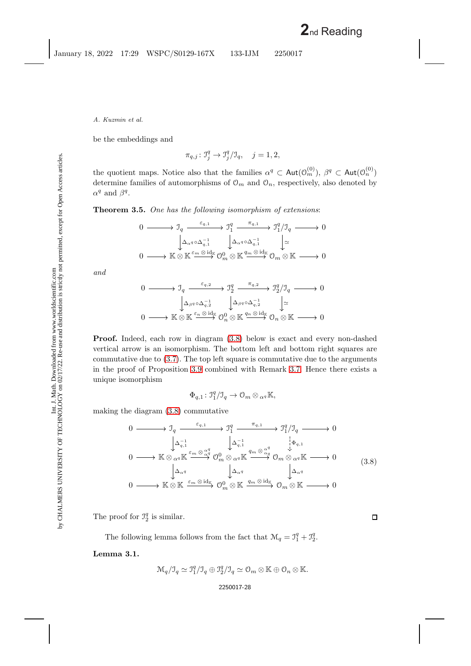be the embeddings and

$$
\pi_{q,j} : \mathcal{I}_j^q \to \mathcal{I}_j^q / \mathcal{I}_q, \quad j = 1, 2,
$$

the quotient maps. Notice also that the families  $\alpha^q \subset \text{Aut}(\mathcal{O}_m^{(0)})$ ,  $\beta^q \subset \text{Aut}(\mathcal{O}_n^{(0)})$ determine families of automorphisms of  $\mathcal{O}_m$  and  $\mathcal{O}_n$ , respectively, also denoted by  $\alpha^q$  and  $\beta^q$ .

<span id="page-28-1"></span>**Theorem 3.5.** *One has the following isomorphism of extensions*:

$$
\begin{array}{ccc}\n0 & \longrightarrow & \mathfrak{I}_{q} \xrightarrow{\varepsilon_{q,1}} & \mathfrak{I}_{1}^{q} \xrightarrow{\pi_{q,1}} & \mathfrak{I}_{1}^{q} / \mathfrak{I}_{q} \longrightarrow 0 \\
& \downarrow & \Delta_{\alpha^{q}} \circ \Delta_{q,1}^{-1} & \downarrow & \Delta_{\alpha^{q}} \circ \Delta_{q,1}^{-1} & \downarrow & \simeq \\
0 & \longrightarrow & \mathbb{K} \otimes \mathbb{K} \xrightarrow{\varepsilon_{m} \otimes id_{\mathbb{K}}} \mathcal{O}_{m}^{0} \otimes \mathbb{K} \xrightarrow{q_{m} \otimes id_{\mathbb{K}}} \mathcal{O}_{m} \otimes \mathbb{K} \longrightarrow 0\n\end{array}
$$

*and*

$$
\begin{array}{ccc}\n0 & \xrightarrow{\qquad \qquad } \mathfrak{I}_{q} \xrightarrow{\qquad \qquad } \mathfrak{I}_{2}^{q} \xrightarrow{\qquad \qquad } \mathfrak{I}_{2}^{q} / \mathfrak{I}_{q} \xrightarrow{\qquad} 0 \\
& \downarrow^{\Delta_{\beta q} \circ \Delta_{q,2}^{-1}} & \downarrow^{\Delta_{\beta q} \circ \Delta_{q,2}^{-1}} & \downarrow^{\simeq} \\
0 & \xrightarrow{\qquad \qquad } \mathbb{K} \otimes \mathbb{K} \xrightarrow{\varepsilon_{n} \otimes id_{\mathbb{K}}} \mathfrak{O}_{n}^{0} \otimes \mathbb{K} \xrightarrow{q_{n} \otimes id_{\mathbb{K}}} \mathfrak{O}_{n} \otimes \mathbb{K} \xrightarrow{\qquad \qquad } 0\n\end{array}
$$

**Proof.** Indeed, each row in diagram [\(3.8\)](#page-28-0) below is exact and every non-dashed vertical arrow is an isomorphism. The bottom left and bottom right squares are commutative due to [\(3.7\)](#page-25-0). The top left square is commutative due to the arguments in the proof of Proposition [3.9](#page-26-0) combined with Remark [3.7.](#page-27-0) Hence there exists a unique isomorphism

$$
\Phi_{q,1} : \mathfrak{I}_1^q / \mathfrak{I}_q \to \mathcal{O}_m \otimes_{\alpha^q} \mathbb{K},
$$

making the diagram [\(3.8\)](#page-28-0) commutative

<span id="page-28-0"></span>
$$
\begin{array}{ccccccccc}\n0 & \longrightarrow & \mathcal{I}_q & \xrightarrow{\varepsilon_{q,1}} & & \mathcal{I}_1^q & \xrightarrow{\pi_{q,1}} & & \mathcal{I}_1^q & \mathcal{I}_q & \longrightarrow & 0 \\
& & & & & & & & & \\
\downarrow & & & & & & & & & \\
0 & \longrightarrow & \mathbb{K} \otimes_{\alpha^q} \mathbb{K} \xrightarrow{\varepsilon_m \otimes_{\alpha^q} \otimes_{\alpha^q}} & \mathcal{O}_m^0 \otimes_{\alpha^q} \mathbb{K} \xrightarrow{q_m \otimes_{\alpha^q} \otimes_{\alpha^q}} & \mathcal{O}_m \otimes_{\alpha^q} \mathbb{K} \longrightarrow & 0 \\
& & & & & & & \\
0 & \longrightarrow & \mathbb{K} \otimes_{\alpha^q} \mathbb{K} \xrightarrow{\varepsilon_m \otimes \mathrm{id}_{\mathbb{K}}} & \mathcal{O}_m \otimes_{\alpha^q} \mathbb{K} \xrightarrow{q_m \otimes \mathrm{id}_{\mathbb{K}}} & \mathcal{O}_m \otimes \mathbb{K} \longrightarrow & 0 \\
& & & & & & \\
0 & \longrightarrow & \mathbb{K} \otimes \mathbb{K} \xrightarrow{\varepsilon_m \otimes \mathrm{id}_{\mathbb{K}}} & \mathcal{O}_m \otimes \mathbb{K} \xrightarrow{q_m \otimes \mathrm{id}_{\mathbb{K}}} & \mathcal{O}_m \otimes \mathbb{K} \longrightarrow & 0\n\end{array} \tag{3.8}
$$

The proof for  $\mathcal{I}_2^q$  is similar.

<span id="page-28-2"></span>The following lemma follows from the fact that  $\mathcal{M}_q = \mathcal{I}_1^q + \mathcal{I}_2^q$ .

**Lemma 3.1.**

$$
\mathcal{M}_q/\mathcal{I}_q\simeq \mathcal{I}_1^q/\mathcal{I}_q\oplus \mathcal{I}_2^q/\mathcal{I}_q\simeq \mathcal{O}_m\otimes \mathbb{K}\oplus \mathcal{O}_n\otimes \mathbb{K}.
$$

### 2250017-28

 $\Box$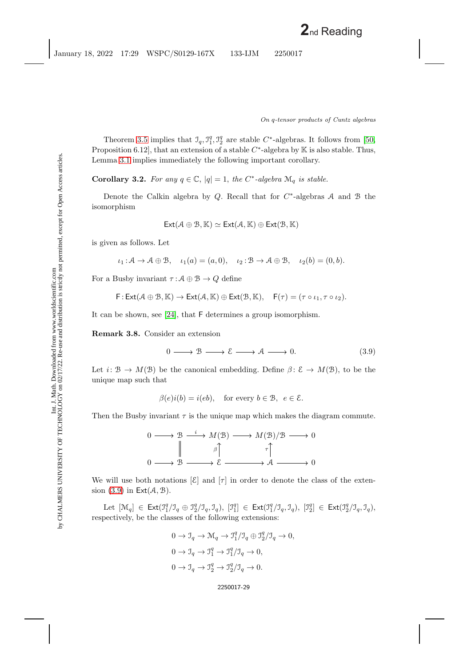Theorem [3.5](#page-28-1) implies that  $\mathcal{I}_q$ ,  $\mathcal{I}_1^q$ ,  $\mathcal{I}_2^q$  are stable C<sup>∗</sup>-algebras. It follows from [\[50,](#page-46-12) Proposition 6.12], that an extension of a stable  $C^*$ -algebra by K is also stable. Thus, Lemma [3.1](#page-28-2) implies immediately the following important corollary.

**Corollary 3.2.** *For any*  $q \in \mathbb{C}$ ,  $|q| = 1$ , *the*  $C^*$ -*algebra*  $\mathcal{M}_q$  *is stable.* 

Denote the Calkin algebra by Q. Recall that for  $C^*$ -algebras A and B the isomorphism

$$
\mathsf{Ext}(\mathcal{A}\oplus\mathcal{B},\mathbb{K})\simeq\mathsf{Ext}(\mathcal{A},\mathbb{K})\oplus\mathsf{Ext}(\mathcal{B},\mathbb{K})
$$

is given as follows. Let

$$
\iota_1: \mathcal{A} \to \mathcal{A} \oplus \mathcal{B}, \quad \iota_1(a) = (a, 0), \quad \iota_2: \mathcal{B} \to \mathcal{A} \oplus \mathcal{B}, \quad \iota_2(b) = (0, b).
$$

For a Busby invariant  $\tau : \mathcal{A} \oplus \mathcal{B} \to Q$  define

$$
\textsf{F} \colon \textsf{Ext}(\mathcal{A}\oplus\mathcal{B},\mathbb{K}) \to \textsf{Ext}(\mathcal{A},\mathbb{K})\oplus \textsf{Ext}(\mathcal{B},\mathbb{K}), \quad \textsf{F}(\tau) = (\tau \circ \iota_1, \tau \circ \iota_2).
$$

<span id="page-29-1"></span>It can be shown, see [\[24\]](#page-45-17), that F determines a group isomorphism.

**Remark 3.8.** Consider an extension

<span id="page-29-0"></span>
$$
0 \longrightarrow \mathcal{B} \longrightarrow \mathcal{E} \longrightarrow \mathcal{A} \longrightarrow 0. \tag{3.9}
$$

Let  $i: \mathcal{B} \to M(\mathcal{B})$  be the canonical embedding. Define  $\beta: \mathcal{E} \to M(\mathcal{B})$ , to be the unique map such that

 $\beta(e)i(b) = i(eb)$ , for every  $b \in \mathcal{B}$ ,  $e \in \mathcal{E}$ .

Then the Busby invariant  $\tau$  is the unique map which makes the diagram commute.



We will use both notations  $[\mathcal{E}]$  and  $[\tau]$  in order to denote the class of the extension  $(3.9)$  in  $Ext(\mathcal{A}, \mathcal{B})$ .

Let  $[\mathcal{M}_q] \in \text{Ext}(\mathfrak{I}_1^q/\mathfrak{I}_q \oplus \mathfrak{I}_2^q/\mathfrak{I}_q, \mathfrak{I}_q), [\mathfrak{I}_1^q] \in \text{Ext}(\mathfrak{I}_1^q/\mathfrak{I}_q, \mathfrak{I}_q), [\mathfrak{I}_2^q] \in \text{Ext}(\mathfrak{I}_2^q/\mathfrak{I}_q, \mathfrak{I}_q),$ respectively, be the classes of the following extensions:

$$
0 \to \mathcal{I}_q \to \mathcal{M}_q \to \mathcal{I}_1^q/\mathcal{I}_q \oplus \mathcal{I}_2^q/\mathcal{I}_q \to 0,
$$
  
\n
$$
0 \to \mathcal{I}_q \to \mathcal{I}_1^q \to \mathcal{I}_1^q/\mathcal{I}_q \to 0,
$$
  
\n
$$
0 \to \mathcal{I}_q \to \mathcal{I}_2^q \to \mathcal{I}_2^q/\mathcal{I}_q \to 0.
$$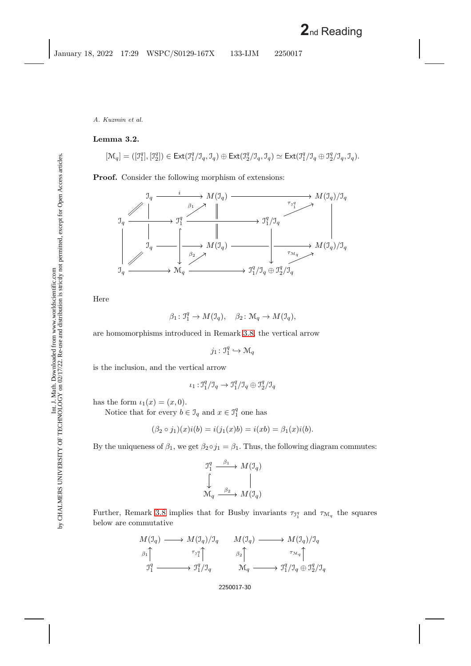## <span id="page-30-0"></span>**Lemma 3.2.**

$$
[\mathcal{M}_q] = ([\mathfrak{I}_1^q], [\mathfrak{I}_2^q]) \in \text{Ext}(\mathfrak{I}_1^q/\mathfrak{I}_q, \mathfrak{I}_q) \oplus \text{Ext}(\mathfrak{I}_2^q/\mathfrak{I}_q, \mathfrak{I}_q) \simeq \text{Ext}(\mathfrak{I}_1^q/\mathfrak{I}_q \oplus \mathfrak{I}_2^q/\mathfrak{I}_q, \mathfrak{I}_q).
$$

**Proof.** Consider the following morphism of extensions:



Here

$$
\beta_1 \colon \mathfrak{I}_1^q \to M(\mathfrak{I}_q), \quad \beta_2 \colon \mathcal{M}_q \to M(\mathfrak{I}_q),
$$

are homomorphisms introduced in Remark [3.8,](#page-29-1) the vertical arrow

 $j_1: \mathbb{J}_1^q \hookrightarrow \mathcal{M}_q$ 

is the inclusion, and the vertical arrow

$$
\iota_1: \mathfrak{I}_1^q/\mathfrak{I}_q \to \mathfrak{I}_1^q/\mathfrak{I}_q \oplus \mathfrak{I}_2^q/\mathfrak{I}_q
$$

has the form  $\iota_1(x)=(x, 0)$ .

Notice that for every  $b \in \mathcal{I}_q$  and  $x \in \mathcal{I}_1^q$  one has

$$
(\beta_2 \circ j_1)(x)i(b) = i(j_1(x)b) = i(xb) = \beta_1(x)i(b).
$$

By the uniqueness of  $\beta_1$ , we get  $\beta_2 \circ j_1 = \beta_1$ . Thus, the following diagram commutes:

$$
\begin{array}{ccc}\n\mathbf{\mathcal{I}}_{1}^{q} & \xrightarrow{\beta_{1}} & M(\mathbf{\mathcal{I}}_{q}) \\
\downarrow & & \parallel \\
\mathbf{\mathcal{M}}_{q} & \xrightarrow{\beta_{2}} & M(\mathbf{\mathcal{I}}_{q})\n\end{array}
$$

Further, Remark [3.8](#page-29-1) implies that for Busby invariants  $\tau_{\mathfrak{I}_1^q}$  and  $\tau_{\mathfrak{M}_q}$  the squares below are commutative

$$
M(\mathcal{I}_q) \longrightarrow M(\mathcal{I}_q)/\mathcal{I}_q \longrightarrow M(\mathcal{I}_q)/\mathcal{I}_q
$$
  
\n
$$
\beta_1 \uparrow \qquad \qquad \tau_{\mathcal{I}_q^q} \uparrow \qquad \qquad \beta_2 \uparrow \qquad \qquad \tau_{\mathcal{M}_q} \uparrow
$$
  
\n
$$
\mathcal{I}_1^q \longrightarrow \mathcal{I}_1^q/\mathcal{I}_q \longrightarrow \mathcal{I}_1^q/\mathcal{I}_q \longrightarrow \mathcal{I}_1^q/\mathcal{I}_q \oplus \mathcal{I}_2^q/\mathcal{I}_q
$$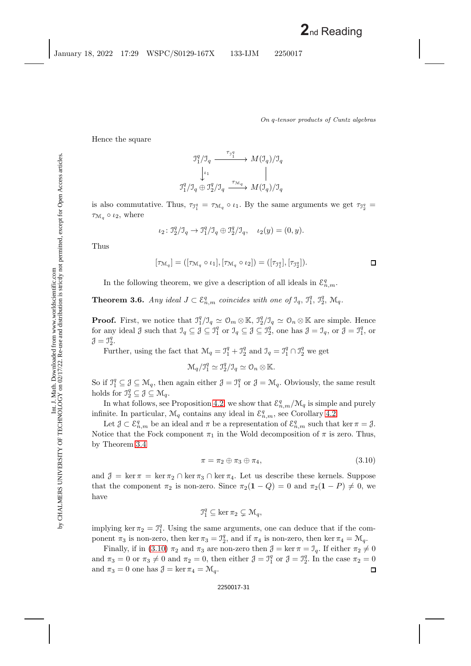*On* q*-tensor products of Cuntz algebras*

Hence the square

$$
\begin{array}{ccc}\n\mathbf{\mathcal{I}}_{1}^{q}/\mathbf{\mathcal{I}}_{q} & \xrightarrow{\tau_{\mathcal{I}_{1}^{q}}} & M(\mathbf{\mathcal{I}}_{q})/\mathbf{\mathcal{I}}_{q} \\
\downarrow^{\iota_{1}} & & \parallel \\
\mathbf{\mathcal{I}_{1}^{q}}/\mathbf{\mathcal{I}}_{q} & \mathbf{\mathcal{I}_{2}^{q}}/\mathbf{\mathcal{I}}_{q} & \xrightarrow{\tau_{\mathcal{M}_{q}}} & M(\mathbf{\mathcal{I}}_{q})/\mathbf{\mathcal{I}}_{q}\n\end{array}
$$

is also commutative. Thus,  $\tau_{\mathfrak{I}_1^q} = \tau_{\mathcal{M}_q} \circ \iota_1$ . By the same arguments we get  $\tau_{\mathfrak{I}_2^q} =$  $\tau_{\mathcal{M}_q} \circ \iota_2$ , where

$$
\iota_2 \colon \mathfrak{I}_2^q / \mathfrak{I}_q \to \mathfrak{I}_1^q / \mathfrak{I}_q \oplus \mathfrak{I}_2^q / \mathfrak{I}_q, \quad \iota_2(y) = (0, y).
$$

Thus

$$
[\tau_{\mathcal{M}_q}] = ([\tau_{\mathcal{M}_q} \circ \iota_1], [\tau_{\mathcal{M}_q} \circ \iota_2]) = ([\tau_{\mathcal{I}_1^q}], [\tau_{\mathcal{I}_2^q}]). \square
$$

In the following theorem, we give a description of all ideals in  $\mathcal{E}_{n,m}^q$ .

**Theorem 3.6.** *Any ideal*  $J \subset \mathcal{E}_{n,m}^q$  *coincides with one of*  $\mathcal{I}_q$ ,  $\mathcal{I}_1^q$ ,  $\mathcal{I}_2^q$ ,  $\mathcal{M}_q$ .

**Proof.** First, we notice that  $\mathcal{I}_1^q/\mathcal{I}_q \simeq \mathcal{O}_m \otimes \mathbb{K}$ ,  $\mathcal{I}_2^q/\mathcal{I}_q \simeq \mathcal{O}_n \otimes \mathbb{K}$  are simple. Hence for any ideal  $\beta$  such that  $\mathcal{I}_q \subseteq \beta \subseteq \mathcal{I}_1^q$  or  $\mathcal{I}_q \subseteq \beta \subseteq \mathcal{I}_2^q$ , one has  $\beta = \mathcal{I}_q$ , or  $\beta = \mathcal{I}_1^q$ , or  $\mathcal{J} = \mathcal{I}_2^q$ .

Further, using the fact that  $\mathcal{M}_q = \mathcal{I}_1^q + \mathcal{I}_2^q$  and  $\mathcal{I}_q = \mathcal{I}_1^q \cap \mathcal{I}_2^q$  we get

$$
\mathcal{M}_q/\mathcal{I}_1^q \simeq \mathcal{I}_2^q/\mathcal{I}_q \simeq \mathcal{O}_n \otimes \mathbb{K}.
$$

So if  $\mathbb{J}_1^q \subseteq \mathcal{J} \subseteq \mathcal{M}_q$ , then again either  $\mathcal{J} = \mathbb{J}_1^q$  or  $\mathcal{J} = \mathcal{M}_q$ . Obviously, the same result holds for  $\mathbb{J}_2^q \subseteq \mathcal{J} \subseteq \mathcal{M}_q$ .

In what follows, see Proposition [4.2,](#page-37-0) we show that  $\mathcal{E}_{n,m}^q/\mathcal{M}_q$  is simple and purely infinite. In particular,  $\mathcal{M}_q$  contains any ideal in  $\mathcal{E}_{n,m}^q$ , see Corollary [4.2.](#page-41-0)

Let  $\mathcal{J} \subset \mathcal{E}_{n,m}^q$  be an ideal and  $\pi$  be a representation of  $\mathcal{E}_{n,m}^q$  such that ker  $\pi = \mathcal{J}$ . Notice that the Fock component  $\pi_1$  in the Wold decomposition of  $\pi$  is zero. Thus, by Theorem [3.4](#page-22-0)

<span id="page-31-0"></span>
$$
\pi = \pi_2 \oplus \pi_3 \oplus \pi_4,\tag{3.10}
$$

and  $\mathcal{J} = \ker \pi = \ker \pi_2 \cap \ker \pi_3 \cap \ker \pi_4$ . Let us describe these kernels. Suppose that the component  $\pi_2$  is non-zero. Since  $\pi_2(1 - Q) = 0$  and  $\pi_2(1 - P) \neq 0$ , we have

$$
\mathfrak{I}_1^q \subseteq \ker \pi_2 \subsetneq \mathcal{M}_q,
$$

implying ker  $\pi_2 = \mathbb{I}_1^q$ . Using the same arguments, one can deduce that if the component  $\pi_3$  is non-zero, then ker  $\pi_3 = \mathcal{I}_2^q$ , and if  $\pi_4$  is non-zero, then ker  $\pi_4 = \mathcal{M}_q$ .

Finally, if in [\(3.10\)](#page-31-0)  $\pi_2$  and  $\pi_3$  are non-zero then  $\mathcal{J} = \ker \pi = \mathcal{J}_q$ . If either  $\pi_2 \neq 0$ and  $\pi_3 = 0$  or  $\pi_3 \neq 0$  and  $\pi_2 = 0$ , then either  $\mathcal{J} = \mathcal{J}_1^q$  or  $\mathcal{J} = \mathcal{J}_2^q$ . In the case  $\pi_2 = 0$ and  $\pi_3 = 0$  one has  $\mathcal{J} = \ker \pi_4 = \mathcal{M}_q$ . □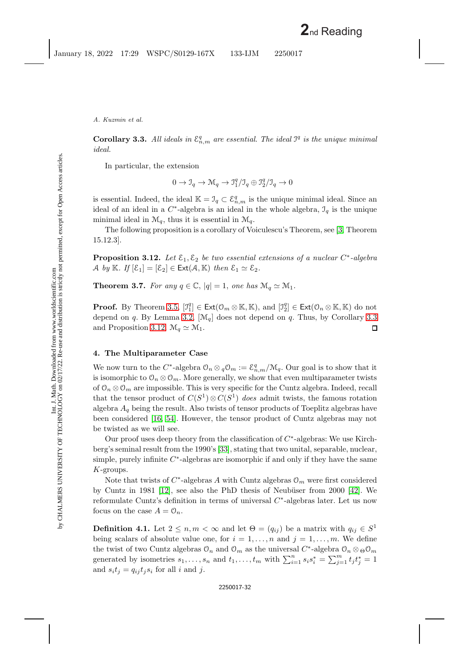<span id="page-32-0"></span>**Corollary 3.3.** All ideals in  $\mathcal{E}_{n,m}^q$  are essential. The ideal  $\mathcal{I}^q$  is the unique minimal *ideal.*

In particular, the extension

$$
0 \to \mathcal{I}_q \to \mathcal{M}_q \to \mathcal{I}_1^q/\mathcal{I}_q \oplus \mathcal{I}_2^q/\mathcal{I}_q \to 0
$$

is essential. Indeed, the ideal  $\mathbb{K} = \mathcal{I}_q \subset \mathcal{E}_{n,m}^q$  is the unique minimal ideal. Since an ideal of an ideal in a  $C^*$ -algebra is an ideal in the whole algebra,  $\mathcal{I}_q$  is the unique minimal ideal in  $\mathcal{M}_q$ , thus it is essential in  $\mathcal{M}_q$ .

<span id="page-32-1"></span>The following proposition is a corollary of Voiculescu's Theorem, see [\[3,](#page-44-11) Theorem 15.12.3].

**Proposition 3.12.** Let  $\mathcal{E}_1, \mathcal{E}_2$  be two essential extensions of a nuclear C<sup>∗</sup>-algebra A by K. If  $[\mathcal{E}_1] = [\mathcal{E}_2] \in \text{Ext}(\mathcal{A}, \mathbb{K})$  then  $\mathcal{E}_1 \simeq \mathcal{E}_2$ .

**Theorem 3.7.** *For any*  $q \in \mathbb{C}$ ,  $|q| = 1$ , *one has*  $\mathcal{M}_q \simeq \mathcal{M}_1$ *.* 

**Proof.** By Theorem [3.5,](#page-28-1)  $[\mathcal{I}_1^q] \in \text{Ext}(\mathcal{O}_m \otimes \mathbb{K}, \mathbb{K})$ , and  $[\mathcal{I}_2^q] \in \text{Ext}(\mathcal{O}_n \otimes \mathbb{K}, \mathbb{K})$  do not depend on q. By Lemma [3.2,](#page-30-0)  $[\mathcal{M}_q]$  does not depend on q. Thus, by Corollary [3.3](#page-32-0) and Proposition [3.12,](#page-32-1)  $\mathcal{M}_q \simeq \mathcal{M}_1$ .  $\Box$ 

## **4. The Multiparameter Case**

We now turn to the C<sup>∗</sup>-algebra  $\mathcal{O}_n \otimes_q \mathcal{O}_m := \mathcal{E}_{n,m}^q/\mathcal{M}_q$ . Our goal is to show that it is isomorphic to  $\mathcal{O}_n \otimes \mathcal{O}_m$ . More generally, we show that even multiparameter twists of  $\mathcal{O}_n \otimes \mathcal{O}_m$  are impossible. This is very specific for the Cuntz algebra. Indeed, recall that the tensor product of  $C(S^1) \otimes C(S^1)$  *does* admit twists, the famous rotation algebra  $A_q$  being the result. Also twists of tensor products of Toeplitz algebras have been considered [\[16,](#page-44-5) [54\]](#page-46-6). However, the tensor product of Cuntz algebras may not be twisted as we will see.

Our proof uses deep theory from the classification of  $C^*$ -algebras: We use Kirchberg's seminal result from the 1990's [\[33\]](#page-45-15), stating that two unital, separable, nuclear, simple, purely infinite  $C^*$ -algebras are isomorphic if and only if they have the same K-groups.

Note that twists of  $C^*$ -algebras A with Cuntz algebras  $\mathcal{O}_m$  were first considered by Cuntz in 1981 [\[12\]](#page-44-12), see also the PhD thesis of Neubüser from  $2000$  [\[42\]](#page-46-13). We reformulate Cuntz's definition in terms of universal C<sup>∗</sup>-algebras later. Let us now focus on the case  $A = \mathcal{O}_n$ .

**Definition 4.1.** Let  $2 \le n, m < \infty$  and let  $\Theta = (q_{ij})$  be a matrix with  $q_{ij} \in S^1$ being scalars of absolute value one, for  $i = 1, \ldots, n$  and  $j = 1, \ldots, m$ . We define the twist of two Cuntz algebras  $\mathcal{O}_n$  and  $\mathcal{O}_m$  as the universal  $C^*$ -algebra  $\mathcal{O}_n \otimes_{\Theta} \mathcal{O}_m$ generated by isometries  $s_1, \ldots, s_n$  and  $t_1, \ldots, t_m$  with  $\sum_{i=1}^n s_i s_i^* = \sum_{j=1}^m t_j t_j^* = 1$ and  $s_i t_j = q_{ij} t_j s_i$  for all i and j.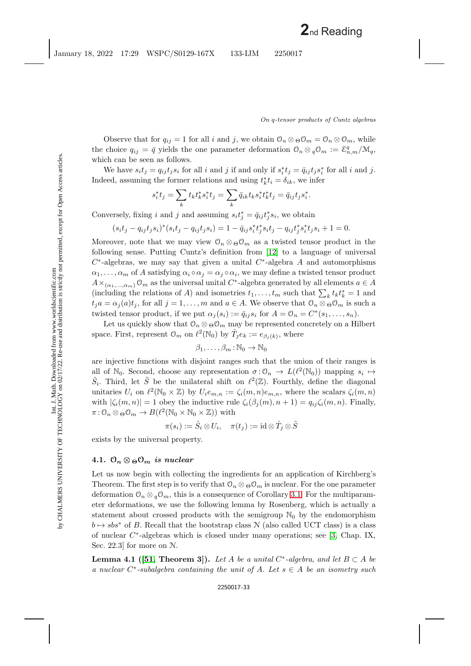Observe that for  $q_{ij} = 1$  for all i and j, we obtain  $\mathcal{O}_n \otimes \mathcal{O}_m = \mathcal{O}_n \otimes \mathcal{O}_m$ , while the choice  $q_{ij} = \bar{q}$  yields the one parameter deformation  $\mathcal{O}_n \otimes_q \mathcal{O}_m := \mathcal{E}_{n,m}^q/\mathcal{M}_q$ , which can be seen as follows.

We have  $s_i t_j = q_{ij} t_j s_i$  for all i and j if and only if  $s_i^* t_j = \bar{q}_{ij} t_j s_i^*$  for all i and j. Indeed, assuming the former relations and using  $t_k^* t_i = \delta_{ik}$ , we infer

$$
s_i^* t_j = \sum_k t_k t_k^* s_i^* t_j = \sum_k \bar{q}_{ik} t_k s_i^* t_k^* t_j = \bar{q}_{ij} t_j s_i^*.
$$

Conversely, fixing i and j and assuming  $s_i t_j^* = \bar{q}_{ij} t_j^* s_i$ , we obtain

$$
(s_i t_j - q_{ij} t_j s_i)^* (s_i t_j - q_{ij} t_j s_i) = 1 - \bar{q}_{ij} s_i^* t_j^* s_i t_j - q_{ij} t_j^* s_i^* t_j s_i + 1 = 0.
$$

Moreover, note that we may view  $\mathcal{O}_n \otimes_{\Theta} \mathcal{O}_m$  as a twisted tensor product in the following sense. Putting Cuntz's definition from [\[12\]](#page-44-12) to a language of universal  $C^*$ -algebras, we may say that given a unital  $C^*$ -algebra A and automorphisms  $\alpha_1,\ldots,\alpha_m$  of A satisfying  $\alpha_i \circ \alpha_j = \alpha_j \circ \alpha_i$ , we may define a twisted tensor product  $A\times_{(\alpha_1,\ldots,\alpha_m)} \mathcal{O}_m$  as the universal unital C<sup>\*</sup>-algebra generated by all elements  $a \in A$ (including the relations of A) and isometries  $t_1, \ldots, t_m$  such that  $\sum_k t_k t_k^* = 1$  and  $t_j a = \alpha_j(a)t_j$ , for all  $j = 1, \ldots, m$  and  $a \in A$ . We observe that  $\mathcal{O}_n \otimes_{\Theta} \mathcal{O}_m$  is such a twisted tensor product, if we put  $\alpha_j(s_i) := \bar{q}_{ij} s_i$  for  $A = \mathcal{O}_n = C^*(s_1, \ldots, s_n)$ .

Let us quickly show that  $\mathcal{O}_n \otimes \Theta \mathcal{O}_m$  may be represented concretely on a Hilbert space. First, represent  $\mathcal{O}_m$  on  $\ell^2(\mathbb{N}_0)$  by  $\hat{T}_j e_k := e_{\beta_j(k)}$ , where

$$
\beta_1,\ldots,\beta_m:\mathbb{N}_0\to\mathbb{N}_0
$$

are injective functions with disjoint ranges such that the union of their ranges is all of N<sub>0</sub>. Second, choose any representation  $\sigma: \mathcal{O}_n \to L(\ell^2(\mathbb{N}_0))$  mapping  $s_i \mapsto$  $\hat{S}_i$ . Third, let  $\tilde{S}$  be the unilateral shift on  $\ell^2(\mathbb{Z})$ . Fourthly, define the diagonal unitaries  $U_i$  on  $\ell^2(\mathbb{N}_0\times\mathbb{Z})$  by  $U_i e_{m,n} := \zeta_i(m,n)e_{m,n}$ , where the scalars  $\zeta_i(m,n)$ with  $|\zeta_i(m, n)| = 1$  obey the inductive rule  $\zeta_i(\beta_j(m), n + 1) = q_{ij}\zeta_i(m, n)$ . Finally,  $\pi: \mathcal{O}_n \otimes_{\Theta} \mathcal{O}_m \to B(\ell^2(\mathbb{N}_0 \times \mathbb{N}_0 \times \mathbb{Z}))$  with

$$
\pi(s_i):=\hat{S}_i\otimes U_i,\quad \pi(t_j):=\operatorname{id}\otimes\hat{T}_j\otimes\tilde{S}
$$

exists by the universal property.

## **4.1.**  $\mathcal{O}_n \otimes \mathcal{O}_m$  *is nuclear*

Let us now begin with collecting the ingredients for an application of Kirchberg's Theorem. The first step is to verify that  $\mathcal{O}_n \otimes \Theta \mathcal{O}_m$  is nuclear. For the one parameter deformation  $\mathcal{O}_n \otimes_q \mathcal{O}_m$ , this is a consequence of Corollary [3.1.](#page-19-0) For the multiparameter deformations, we use the following lemma by Rosenberg, which is actually a statement about crossed products with the semigroup  $\mathbb{N}_0$  by the endomorphism  $b \mapsto sbs^*$  of B. Recall that the bootstrap class N (also called UCT class) is a class of nuclear  $C^*$ -algebras which is closed under many operations; see [\[3,](#page-44-11) Chap. IX, Sec. 22.3] for more on N.

<span id="page-33-0"></span>**Lemma 4.1** ([\[51,](#page-46-14) Theorem 3]). Let A be a unital C<sup>\*</sup>-algebra, and let  $B \subset A$  be *a nuclear* C<sup>∗</sup>*-subalgebra containing the unit of* A*. Let* s ∈ A *be an isometry such*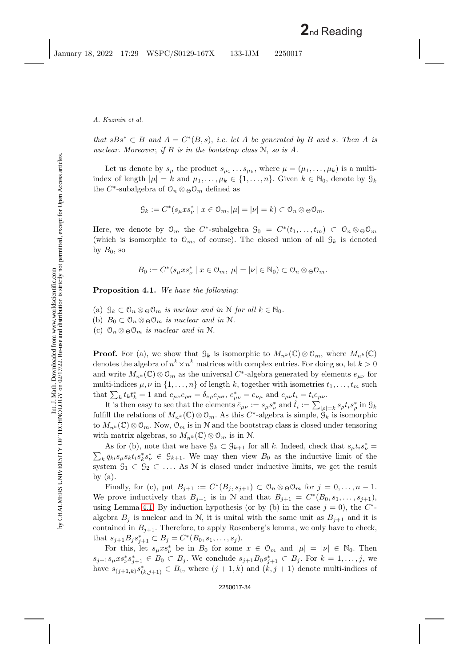*that*  $sBs^* \subset B$  *and*  $A = C^*(B, s)$ *, i.e. let* A *be generated by* B *and* s. Then A *is nuclear. Moreover*, *if* B *is in the bootstrap class* N, *so is* A*.*

Let us denote by  $s_{\mu}$  the product  $s_{\mu_1} \ldots s_{\mu_k}$ , where  $\mu = (\mu_1, \ldots, \mu_k)$  is a multiindex of length  $|\mu| = k$  and  $\mu_1, \ldots, \mu_k \in \{1, \ldots, n\}$ . Given  $k \in \mathbb{N}_0$ , denote by  $\mathcal{G}_k$ the C<sup>∗</sup>-subalgebra of  $\mathcal{O}_n \otimes_{\Theta} \mathcal{O}_m$  defined as

$$
\mathcal{G}_k:=C^*(s_\mu xs_\nu^*\mid x\in \mathcal{O}_m, |\mu|=|\nu|=k)\subset \mathcal{O}_n\otimes_{\Theta}\mathcal{O}_m.
$$

Here, we denote by  $\mathcal{O}_m$  the C<sup>\*</sup>-subalgebra  $\mathcal{G}_0 = C^*(t_1,\ldots,t_m) \subset \mathcal{O}_n \otimes_{\Theta} \mathcal{O}_m$ (which is isomorphic to  $\mathcal{O}_m$ , of course). The closed union of all  $\mathcal{G}_k$  is denoted by  $B_0$ , so

$$
B_0 := C^* (s_\mu x s_\nu^* \mid x \in \mathcal{O}_m, |\mu| = |\nu| \in \mathbb{N}_0) \subset \mathcal{O}_n \otimes \Theta \mathcal{O}_m.
$$

<span id="page-34-0"></span>**Proposition 4.1.** *We have the following*:

(a)  $\mathcal{G}_k \subset \mathcal{O}_n \otimes \Theta \mathcal{O}_m$  *is nuclear and in* N *for all*  $k \in \mathbb{N}_0$ *.* (b)  $B_0 \subset \mathcal{O}_n \otimes_{\Theta} \mathcal{O}_m$  *is nuclear and in* N.

(c)  $\mathcal{O}_n \otimes_{\Theta} \mathcal{O}_m$  *is nuclear and in* N.

**Proof.** For (a), we show that  $\mathcal{G}_k$  is isomorphic to  $M_{n^k}(\mathbb{C}) \otimes \mathcal{O}_m$ , where  $M_{n^k}(\mathbb{C})$ denotes the algebra of  $n^k \times n^k$  matrices with complex entries. For doing so, let  $k > 0$ and write  $M_{n^k}(\mathbb{C}) \otimes \mathbb{O}_m$  as the universal C<sup>\*</sup>-algebra generated by elements  $e_{\mu\nu}$  for multi-indices  $\mu, \nu$  in  $\{1, \ldots, n\}$  of length k, together with isometries  $t_1, \ldots, t_m$  such that  $\sum_k t_k t_k^* = 1$  and  $e_{\mu\nu} e_{\rho\sigma} = \delta_{\nu\rho} e_{\mu\sigma}, e^*_{\mu\nu} = e_{\nu\mu}$  and  $e_{\mu\nu} t_i = t_i e_{\mu\nu}$ .

It is then easy to see that the elements  $\hat{e}_{\mu\nu} := s_{\mu} s_{\nu}^*$  and  $\hat{t}_i := \sum_{|\rho|=k} s_{\rho} t_i s_{\rho}^*$  in  $\mathcal{G}_k$ fulfill the relations of  $M_{n^k}(\mathbb{C}) \otimes \mathbb{O}_m$ . As this  $C^*$ -algebra is simple,  $\mathcal{G}_k$  is isomorphic to  $M_{n^k}(\mathbb{C}) \otimes \mathbb{O}_m$ . Now,  $\mathbb{O}_m$  is in N and the bootstrap class is closed under tensoring with matrix algebras, so  $M_{n^k}(\mathbb{C}) \otimes \mathbb{O}_m$  is in N.

As for (b), note that we have  $\mathcal{G}_k \subset \mathcal{G}_{k+1}$  for all k. Indeed, check that  $s_\mu t_i s_\nu^* =$  $\sum_{k} \bar{q}_{ki} s_{\mu} s_k t_i s_k^* s_{\nu}^* \in \mathcal{G}_{k+1}$ . We may then view  $B_0$  as the inductive limit of the system  $\mathcal{G}_1 \subset \mathcal{G}_2 \subset \ldots$  As N is closed under inductive limits, we get the result by  $(a)$ .

Finally, for (c), put  $B_{j+1} := C^*(B_j, s_{j+1}) \subset \mathcal{O}_n \otimes \Theta \mathcal{O}_m$  for  $j = 0, \ldots, n-1$ . We prove inductively that  $B_{j+1}$  is in N and that  $B_{j+1} = C^*(B_0, s_1, \ldots, s_{j+1}),$ using Lemma [4.1.](#page-33-0) By induction hypothesis (or by (b) in the case  $j = 0$ ), the  $C^*$ algebra  $B_i$  is nuclear and in N, it is unital with the same unit as  $B_{i+1}$  and it is contained in  $B_{j+1}$ . Therefore, to apply Rosenberg's lemma, we only have to check, that  $s_{j+1}B_j s_{j+1}^* \subset B_j = C^*(B_0, s_1, \ldots, s_j).$ 

For this, let  $s_{\mu}xs_{\nu}^*$  be in  $B_0$  for some  $x \in \mathcal{O}_m$  and  $|\mu| = |\nu| \in \mathbb{N}_0$ . Then  $s_{j+1}s_{\mu}xs_{\nu}^*s_{j+1}^* \in B_0 \subset B_j$ . We conclude  $s_{j+1}B_0s_{j+1}^* \subset B_j$ . For  $k=1,\ldots,j$ , we have  $s_{(j+1,k)} s^*_{(k,j+1)} \in B_0$ , where  $(j+1,k)$  and  $(k, j+1)$  denote multi-indices of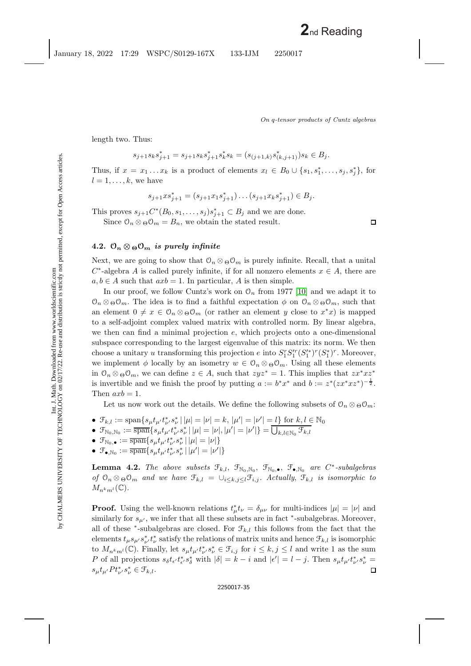length two. Thus:

$$
s_{j+1}s_ks_{j+1}^* = s_{j+1}s_ks_{j+1}^*s_k^*s_k = (s_{(j+1,k)}s_{(k,j+1)}^*)s_k \in B_j.
$$

Thus, if  $x = x_1 \ldots x_k$  is a product of elements  $x_l \in B_0 \cup \{s_1, s_1^*, \ldots, s_j, s_j^*\}$ , for  $l = 1, \ldots, k$ , we have

$$
s_{j+1}xs_{j+1}^* = (s_{j+1}x_1s_{j+1}^*)\dots(s_{j+1}x_ks_{j+1}^*) \in B_j.
$$

This proves  $s_{j+1}C^*(B_0, s_1, \ldots, s_j)s_{j+1}^* \subset B_j$  and we are done.

Since  $\mathcal{O}_n \otimes_{\Theta} \mathcal{O}_m = B_n$ , we obtain the stated result.

## **4.2.**  $\mathcal{O}_n \otimes \mathcal{O}_m$  *is purely infinite*

Next, we are going to show that  $\mathcal{O}_n \otimes \Theta \mathcal{O}_m$  is purely infinite. Recall, that a unital  $C^*$ -algebra A is called purely infinite, if for all nonzero elements  $x \in A$ , there are  $a, b \in A$  such that  $axb = 1$ . In particular, A is then simple.

In our proof, we follow Cuntz's work on  $\mathcal{O}_n$  from 1977 [\[10\]](#page-44-4) and we adapt it to  $\mathcal{O}_n \otimes_{\Theta} \mathcal{O}_m$ . The idea is to find a faithful expectation  $\phi$  on  $\mathcal{O}_n \otimes_{\Theta} \mathcal{O}_m$ , such that an element  $0 \neq x \in \mathcal{O}_n \otimes_{\Theta} \mathcal{O}_m$  (or rather an element y close to  $x^*x$ ) is mapped to a self-adjoint complex valued matrix with controlled norm. By linear algebra, we then can find a minimal projection  $e$ , which projects onto a one-dimensional subspace corresponding to the largest eigenvalue of this matrix: its norm. We then choose a unitary u transforming this projection e into  $S_1^r S_1'^r (S_1'^*)^r (S_1^*)^r$ . Moreover, we implement  $\phi$  locally by an isometry  $w \in \mathcal{O}_n \otimes_{\Theta} \mathcal{O}_m$ . Using all these elements in  $\mathcal{O}_n \otimes \Theta \mathcal{O}_m$ , we can define  $z \in A$ , such that  $zyz^* = 1$ . This implies that  $zx^*xz^*$ is invertible and we finish the proof by putting  $a := b^*x^*$  and  $b := z^*(zx^*xz^*)^{-\frac{1}{2}}$ . Then  $axb = 1$ .

Let us now work out the details. We define the following subsets of  $\mathcal{O}_n \otimes_{\Theta} \mathcal{O}_m$ :

- $\mathcal{F}_{k,l} := \text{span}\{s_{\mu}t_{\mu'}t_{\nu'}^*s_{\nu}^* \mid |\mu| = |\nu| = k, |\mu'| = |\nu'| = l\}$  for  $k, l \in \mathbb{N}_0$
- $\mathfrak{F}_{\mathbb{N}_0,\mathbb{N}_0} := \overline{\operatorname{span}} \{ s_\mu t_{\mu'} t_{\nu'}^* s_\nu^* \, | \, |\mu| = |\nu|, |\mu'| = |\nu'|\} = \overline{\bigcup_{k,l \in \mathbb{N}_0} \mathfrak{F}_{k,l}}$
- $\mathfrak{F}_{\mathbb{N}_0,\bullet}:=\overline{\operatorname{span}}\{s_\mu t_{\mu'}t_{\nu'}^*s_\nu^*\,|\,|\mu|=|\nu|\}$
- <span id="page-35-0"></span> $\bullet$   $\mathfrak{F}_{\bullet,\mathbb{N}_0}:=\overline{\operatorname{span}}\{s_{\mu}t_{\mu'}t_{\nu'}^*s_{\nu}^*\,|\,|\mu'|=|\nu'|\}$

**Lemma 4.2.** *The above subsets*  $\mathcal{F}_{k,l}$ ,  $\mathcal{F}_{\mathbb{N}_0,\mathbb{N}_0}$ ,  $\mathcal{F}_{\mathbb{N}_0,\bullet}$ ,  $\mathcal{F}_{\bullet,\mathbb{N}_0}$  *are*  $C^*$ -subalgebras *of*  $\mathfrak{O}_n \otimes_{\Theta} \mathfrak{O}_m$  *and we have*  $\mathfrak{F}_{k,l} = \bigcup_{i \leq k, j \leq l} \mathfrak{F}_{i,j}$ *. Actually,*  $\mathfrak{F}_{k,l}$  *is isomorphic to*  $M_{n^k m^l}(\mathbb{C})$ .

**Proof.** Using the well-known relations  $t^*_{\mu} t_{\nu} = \delta_{\mu\nu}$  for multi-indices  $|\mu| = |\nu|$  and similarly for  $s_{\mu'}$ , we infer that all these subsets are in fact \*-subalgebras. Moreover, all of these <sup>\*</sup>-subalgebras are closed. For  $\mathcal{F}_{k,l}$  this follows from the fact that the elements  $t_\mu s_{\mu'} s_{\nu'}^* t_\nu^*$  satisfy the relations of matrix units and hence  $\mathcal{F}_{k,l}$  is isomorphic to  $M_{n^k m^l}(\mathbb{C})$ . Finally, let  $s_\mu t_{\mu'} t_{\nu'}^* s_\nu^* \in \mathcal{F}_{i,j}$  for  $i \leq k, j \leq l$  and write 1 as the sum P of all projections  $s_{\delta}t_{\epsilon'}t_{\epsilon'}^{*}s_{\delta}^{*}$  with  $|\delta|=k-i$  and  $|\epsilon'|=l-j$ . Then  $s_{\mu}t_{\mu'}t_{\nu'}^{*}s_{\nu}^{*}=$  $s_{\mu}t_{\mu'}Pt_{\nu'}^*s_{\nu}^* \in \mathcal{F}_{k,l}.$ 口

 $\Box$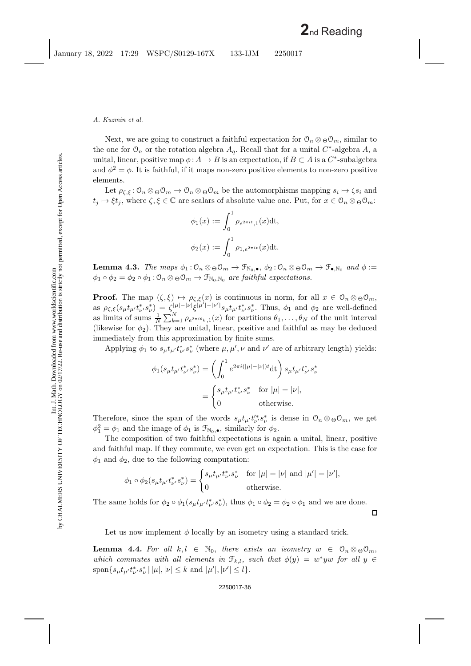Next, we are going to construct a faithful expectation for  $\mathcal{O}_n \otimes \Theta \mathcal{O}_m$ , similar to the one for  $\mathcal{O}_n$  or the rotation algebra  $A_q$ . Recall that for a unital C<sup>∗</sup>-algebra A, a unital, linear, positive map  $\phi: A \to B$  is an expectation, if  $B \subset A$  is a  $C^*$ -subalgebra and  $\phi^2 = \phi$ . It is faithful, if it maps non-zero positive elements to non-zero positive elements.

Let  $\rho_{\zeta,\xi} : \mathcal{O}_n \otimes_{\Theta} \mathcal{O}_m \to \mathcal{O}_n \otimes_{\Theta} \mathcal{O}_m$  be the automorphisms mapping  $s_i \mapsto \zeta s_i$  and  $t_j \mapsto \xi t_j$ , where  $\zeta, \xi \in \mathbb{C}$  are scalars of absolute value one. Put, for  $x \in \mathcal{O}_n \otimes_{\Theta} \mathcal{O}_m$ :

$$
\phi_1(x) := \int_0^1 \rho_{e^{2\pi i t},1}(x) dt,
$$
  

$$
\phi_2(x) := \int_0^1 \rho_{1,e^{2\pi i t}}(x) dt.
$$

**Lemma 4.3.** *The maps*  $\phi_1 : \mathcal{O}_n \otimes \phi \mathcal{O}_m \to \mathcal{F}_{\mathbb{N}_0, \bullet}, \phi_2 : \mathcal{O}_n \otimes \phi \mathcal{O}_m \to \mathcal{F}_{\bullet, \mathbb{N}_0}$  *and*  $\phi :=$  $\phi_1 \circ \phi_2 = \phi_2 \circ \phi_1 : \mathcal{O}_n \otimes \Theta \mathcal{O}_m \to \mathcal{F}_{\mathbb{N}_0, \mathbb{N}_0}$  *are faithful expectations.* 

**Proof.** The map  $(\zeta,\xi) \mapsto \rho_{\zeta,\xi}(x)$  is continuous in norm, for all  $x \in \mathcal{O}_n \otimes_{\Theta} \mathcal{O}_m$ , as  $\rho_{\zeta,\xi}(s_\mu t_{\mu'} t_{\nu'}^* s_\nu^*) = \zeta_{\zeta}^{|\mu|-|\nu|} \xi^{|\mu'| - |\nu'|} s_\mu t_{\mu'} t_{\nu'}^* s_\nu^*.$  Thus,  $\phi_1$  and  $\phi_2$  are well-defined as limits of sums  $\frac{1}{N}\sum_{k=1}^N \rho_{e^{2\pi i\theta_k},1}(x)$  for partitions  $\theta_1,\ldots,\theta_N$  of the unit interval (likewise for  $\phi_2$ ). They are unital, linear, positive and faithful as may be deduced immediately from this approximation by finite sums.

Applying  $\phi_1$  to  $s_\mu t_{\mu'} t_{\nu'}^* s_\nu^*$  (where  $\mu, \mu', \nu$  and  $\nu'$  are of arbitrary length) yields:

$$
\phi_1(s_\mu t_{\mu'} t_{\nu'}^* s_\nu^*) = \left(\int_0^1 e^{2\pi i(|\mu| - |\nu|)t} dt\right) s_\mu t_{\mu'} t_{\nu'}^* s_\nu^*
$$

$$
= \begin{cases} s_\mu t_{\mu'} t_{\nu'}^* s_\nu^* & \text{for } |\mu| = |\nu|, \\ 0 & \text{otherwise.} \end{cases}
$$

Therefore, since the span of the words  $s_{\mu}t_{\mu'}t_{\nu'}^{*}s_{\nu}^{*}$  is dense in  $\mathcal{O}_n \otimes \Theta \mathcal{O}_m$ , we get  $\phi_1^2 = \phi_1$  and the image of  $\phi_1$  is  $\mathcal{F}_{\mathbb{N}_0,\bullet}$ , similarly for  $\phi_2$ .

The composition of two faithful expectations is again a unital, linear, positive and faithful map. If they commute, we even get an expectation. This is the case for  $\phi_1$  and  $\phi_2$ , due to the following computation:

$$
\phi_1 \circ \phi_2(s_\mu t_{\mu'} t_{\nu'}^* s_\nu^*) = \begin{cases} s_\mu t_{\mu'} t_{\nu'}^* s_\nu^* & \text{for } |\mu| = |\nu| \text{ and } |\mu'| = |\nu'|, \\ 0 & \text{otherwise.} \end{cases}
$$

The same holds for  $\phi_2 \circ \phi_1(s_\mu t_{\mu'} t_{\nu'}^* s_\nu^*)$ , thus  $\phi_1 \circ \phi_2 = \phi_2 \circ \phi_1$  and we are done.

 $\Box$ 

<span id="page-36-0"></span>Let us now implement  $\phi$  locally by an isometry using a standard trick.

**Lemma 4.4.** For all  $k, l \in \mathbb{N}_0$ , there exists an isometry  $w \in \mathcal{O}_n \otimes_{\Theta} \mathcal{O}_m$ , *which commutes with all elements in*  $\mathcal{F}_{k,l}$ *, such that*  $\phi(y) = w^*yw$  *for all*  $y \in$  $\text{span}\{s_{\mu}t_{\mu'}t_{\nu'}^*s_{\nu}^* \,|\, |\mu|, |\nu| \leq k \text{ and } |\mu'|, |\nu'| \leq l \}.$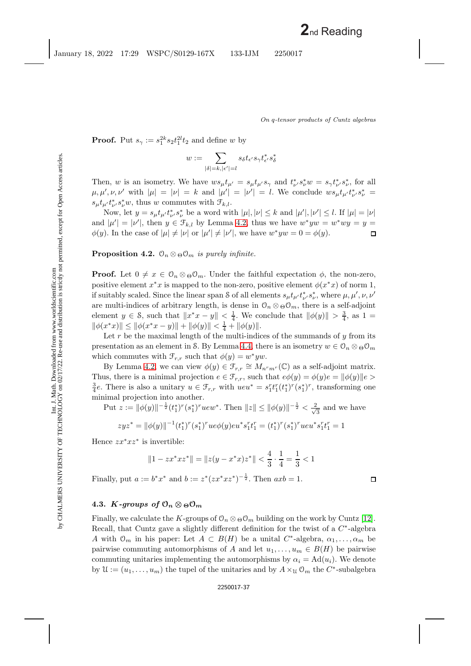$\Box$ 

**Proof.** Put  $s_{\gamma} := s_1^{2k} s_2 t_1^{2l} t_2$  and define w by

$$
w:=\sum_{|\delta|=k, |\epsilon'|=l} s_{\delta} t_{\epsilon'} s_{\gamma} t_{\epsilon'}^* s_{\delta}^*
$$

Then, w is an isometry. We have  $ws_{\mu}t_{\mu'}=s_{\mu}t_{\mu'}s_{\gamma}$  and  $t_{\nu'}^*s_{\nu}^*w=s_{\gamma}t_{\nu'}^*s_{\nu}^*$ , for all  $\mu, \mu', \nu, \nu'$  with  $|\mu| = |\nu| = k$  and  $|\mu'| = |\nu'| = l$ . We conclude  $ws_{\mu}t_{\mu'}t_{\nu'}^*s_{\nu'}^* =$  $s_{\mu}t_{\mu'}t_{\nu'}^*s_{\nu}^*w$ , thus w commutes with  $\mathcal{F}_{k,l}$ .

Now, let  $y = s_{\mu} t_{\mu'} t_{\nu'}^* s_{\nu}^*$  be a word with  $|\mu|, |\nu| \leq k$  and  $|\mu'|, |\nu'| \leq l$ . If  $|\mu| = |\nu|$ and  $|\mu'| = |\nu'|$ , then  $y \in \mathcal{F}_{k,l}$  by Lemma [4.2,](#page-35-0) thus we have  $w^* y w = w^* w y = y =$  $\phi(y)$ . In the case of  $|\mu| \neq |\nu|$  or  $|\mu'| \neq |\nu'|$ , we have  $w^*yw = 0 = \phi(y)$ .  $\Box$ 

<span id="page-37-0"></span>**Proposition 4.2.**  $\mathcal{O}_n \otimes_{\Theta} \mathcal{O}_m$  *is purely infinite.* 

**Proof.** Let  $0 \neq x \in \mathcal{O}_n \otimes_{\Theta} \mathcal{O}_m$ . Under the faithful expectation  $\phi$ , the non-zero, positive element  $x^*x$  is mapped to the non-zero, positive element  $\phi(x^*x)$  of norm 1, if suitably scaled. Since the linear span S of all elements  $s_\mu t_{\mu'} t_{\nu'}^* s_\nu^*$ , where  $\mu, \mu', \nu, \nu'$ are multi-indices of arbitrary length, is dense in  $\mathcal{O}_n \otimes \Theta \mathcal{O}_m$ , there is a self-adjoint element  $y \in \mathcal{S}$ , such that  $||x^*x - y|| < \frac{1}{4}$ . We conclude that  $||\phi(y)|| > \frac{3}{4}$ , as  $1 =$  $\|\phi(x^*x)\| \le \|\phi(x^*x - y)\| + \|\phi(y)\| < \frac{1}{4} + \|\phi(y)\|.$ 

Let r be the maximal length of the multi-indices of the summands of  $y$  from its presentation as an element in S. By Lemma [4.4,](#page-36-0) there is an isometry  $w \in \mathcal{O}_n \otimes_{\Theta} \mathcal{O}_m$ which commutes with  $\mathcal{F}_{r,r}$  such that  $\phi(y) = w^* yw$ .

By Lemma [4.2,](#page-35-0) we can view  $\phi(y) \in \mathcal{F}_{r,r} \cong M_{n^r m^r}(\mathbb{C})$  as a self-adjoint matrix. Thus, there is a minimal projection  $e \in \mathcal{F}_{r,r}$ , such that  $e\phi(y) = \phi(y)e = ||\phi(y)||e>$  $\frac{3}{4}e$ . There is also a unitary  $u \in \mathcal{F}_{r,r}$  with  $ueu^* = s_1^rt_1^r(t_1^*)^r(s_1^*)^r$ , transforming one minimal projection into another.

Put 
$$
z := ||\phi(y)||^{-\frac{1}{2}}(t_1^*)^r(s_1^*)^r u e w^*
$$
. Then  $||z|| \le ||\phi(y)||^{-\frac{1}{2}} < \frac{2}{\sqrt{3}}$  and we have  
\n
$$
zyz^* = ||\phi(y)||^{-1}(t_1^*)^r(s_1^*)^r u e \phi(y) e u^* s_1^r t_1^r = (t_1^*)^r(s_1^*)^r u e u^* s_1^r t_1^r = 1
$$

Hence  $zx^*xz^*$  is invertible:

$$
||1 - zx^*xz^*|| = ||z(y - x^*x)z^*|| < \frac{4}{3} \cdot \frac{1}{4} = \frac{1}{3} < 1
$$

Finally, put  $a := b^*x^*$  and  $b := z^*(zx^*xz^*)^{-\frac{1}{2}}$ . Then  $axb = 1$ .

## **4.3.** *K-groups of*  $\mathcal{O}_n \otimes \mathcal{O}_m$

Finally, we calculate the K-groups of  $\mathcal{O}_n \otimes \Theta \mathcal{O}_m$  building on the work by Cuntz [\[12\]](#page-44-12). Recall, that Cuntz gave a slightly different definition for the twist of a  $C^*$ -algebra A with  $\mathcal{O}_m$  in his paper: Let  $A \subset B(H)$  be a unital  $C^*$ -algebra,  $\alpha_1, \ldots, \alpha_m$  be pairwise commuting automorphisms of A and let  $u_1, \ldots, u_m \in B(H)$  be pairwise commuting unitaries implementing the automorphisms by  $\alpha_i = \text{Ad}(u_i)$ . We denote by  $\mathcal{U} := (u_1, \ldots, u_m)$  the tupel of the unitaries and by  $A \times_{\mathcal{U}} \mathcal{O}_m$  the  $C^*$ -subalgebra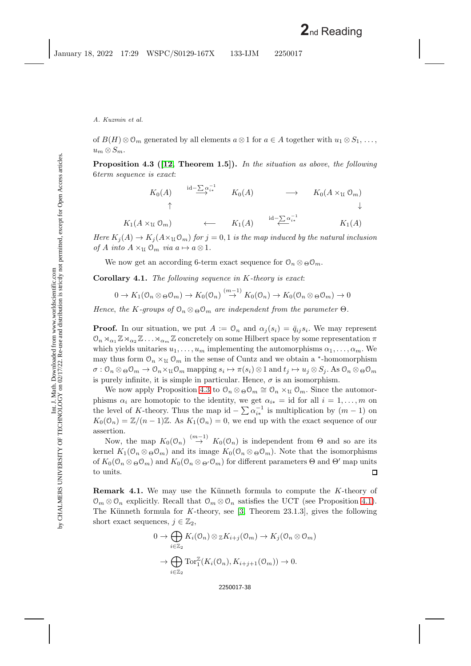<span id="page-38-0"></span>of  $B(H) \otimes \mathcal{O}_m$  generated by all elements  $a \otimes 1$  for  $a \in A$  together with  $u_1 \otimes S_1, \ldots$ ,  $u_m \otimes S_m$ .

**Proposition 4.3 ([\[12,](#page-44-12) Theorem 1.5]).** *In the situation as above*, *the following* 6*term sequence is exact*:

$$
K_0(A) \qquad \xrightarrow{\mathrm{id} - \sum_{i=1}^{n-1} \alpha_i} \qquad K_0(A) \qquad \longrightarrow \qquad K_0(A \times_{\mathfrak{U}} \mathbb{O}_m) \qquad \downarrow
$$

 $K_1(A \times_{\mathfrak{U}} \mathfrak{O}_m)$  ←  $K_1(A)$   $\overset{\text{Id}-\sum \alpha_i}{\longleftarrow}$  $K_1(A)$ 

*Here*  $K_j(A) \to K_j(A \times \mathfrak{U} \mathfrak{O}_m)$  *for*  $j = 0, 1$  *is the map induced by the natural inclusion of* A *into*  $A \times_{\mathfrak{U}} \mathfrak{O}_m$  *via*  $a \mapsto a \otimes 1$ *.* 

<span id="page-38-1"></span>We now get an according 6-term exact sequence for  $\mathcal{O}_n \otimes \Theta \mathcal{O}_m$ .

**Corollary 4.1.** *The following sequence in* K*-theory is exact*:

$$
0 \to K_1(\mathcal{O}_n \otimes_{\Theta} \mathcal{O}_m) \to K_0(\mathcal{O}_n) \stackrel{(m-1)}{\to} K_0(\mathcal{O}_n) \to K_0(\mathcal{O}_n \otimes_{\Theta} \mathcal{O}_m) \to 0
$$

*Hence*, *the* K-groups of  $\mathcal{O}_n \otimes_{\Theta} \mathcal{O}_m$  *are independent from the parameter*  $\Theta$ *.* 

**Proof.** In our situation, we put  $A := \mathcal{O}_n$  and  $\alpha_j(s_i) = \bar{q}_{ij} s_i$ . We may represent  $\mathcal{O}_n \rtimes_{\alpha_1} \mathbb{Z} \rtimes_{\alpha_2} \mathbb{Z} \ldots \rtimes_{\alpha_m} \mathbb{Z}$  concretely on some Hilbert space by some representation  $\pi$ which yields unitaries  $u_1, \ldots, u_m$  implementing the automorphisms  $\alpha_1, \ldots, \alpha_m$ . We may thus form  $\mathcal{O}_n \times_{\mathcal{U}} \mathcal{O}_m$  in the sense of Cuntz and we obtain a \*-homomorphism  $\sigma: \mathbb{O}_n \otimes \mathbb{O}_m \to \mathbb{O}_n \times \mathfrak{U} \mathbb{O}_m$  mapping  $s_i \mapsto \pi(s_i) \otimes 1$  and  $t_j \mapsto u_j \otimes S_j$ . As  $\mathbb{O}_n \otimes \mathbb{O} \mathbb{O}_m$ is purely infinite, it is simple in particular. Hence,  $\sigma$  is an isomorphism.

We now apply Proposition [4.3](#page-38-0) to  $\mathcal{O}_n \otimes_{\Theta} \mathcal{O}_m \cong \mathcal{O}_n \times_{\mathfrak{U}} \mathcal{O}_m$ . Since the automorphisms  $\alpha_i$  are homotopic to the identity, we get  $\alpha_{i*} = id$  for all  $i = 1, \ldots, m$  on the level of K-theory. Thus the map id  $-\sum_{i} \alpha_{i*}^{-1}$  is multiplication by  $(m-1)$  on  $K_0(\mathcal{O}_n) = \mathbb{Z}/(n-1)\mathbb{Z}$ . As  $K_1(\mathcal{O}_n) = 0$ , we end up with the exact sequence of our assertion.

Now, the map  $K_0(\mathcal{O}_n) \stackrel{(m-1)}{\rightarrow} K_0(\mathcal{O}_n)$  is independent from  $\Theta$  and so are its kernel  $K_1(\mathcal{O}_n \otimes_{\Theta} \mathcal{O}_m)$  and its image  $K_0(\mathcal{O}_n \otimes_{\Theta} \mathcal{O}_m)$ . Note that the isomorphisms of  $K_0(\mathcal{O}_n \otimes_{\Theta} \mathcal{O}_m)$  and  $K_0(\mathcal{O}_n \otimes_{\Theta'} \mathcal{O}_m)$  for different parameters  $\Theta$  and  $\Theta'$  map units to units. 囗

**Remark 4.1.** We may use the Künneth formula to compute the K-theory of  $\mathcal{O}_m \otimes \mathcal{O}_n$  explicitly. Recall that  $\mathcal{O}_m \otimes \mathcal{O}_n$  satisfies the UCT (see Proposition [4.1\)](#page-34-0). The Künneth formula for *K*-theory, see [\[3,](#page-44-11) Theorem 23.1.3], gives the following short exact sequences,  $j \in \mathbb{Z}_2$ ,

$$
0 \to \bigoplus_{i \in \mathbb{Z}_2} K_i(\mathcal{O}_n) \otimes_{\mathbb{Z}} K_{i+j}(\mathcal{O}_m) \to K_j(\mathcal{O}_n \otimes \mathcal{O}_m)
$$

$$
\to \bigoplus_{i \in \mathbb{Z}_2} \text{Tor}_1^{\mathbb{Z}}(K_i(\mathcal{O}_n), K_{i+j+1}(\mathcal{O}_m)) \to 0.
$$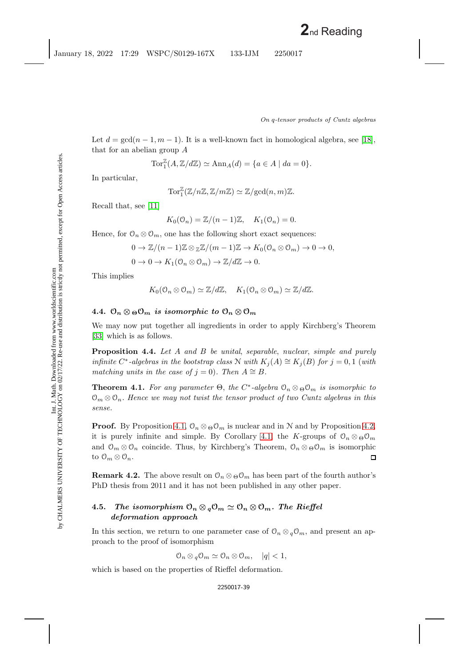Int. J. Math. Downloaded from www.worldscientific.com

Let  $d = \gcd(n-1, m-1)$ . It is a well-known fact in homological algebra, see [\[18\]](#page-44-13), that for an abelian group A

$$
\operatorname{Tor}^{\mathbb{Z}}_1(A, \mathbb{Z}/d\mathbb{Z}) \simeq \operatorname{Ann}_A(d) = \{ a \in A \mid da = 0 \}.
$$

In particular,

$$
\operatorname{Tor}^{\mathbb{Z}}_1(\mathbb{Z}/n\mathbb{Z}, \mathbb{Z}/m\mathbb{Z}) \simeq \mathbb{Z}/\mathrm{gcd}(n, m)\mathbb{Z}.
$$

Recall that, see [\[11\]](#page-44-14)

$$
K_0(\mathcal{O}_n) = \mathbb{Z}/(n-1)\mathbb{Z}, \quad K_1(\mathcal{O}_n) = 0.
$$

Hence, for  $\mathcal{O}_n \otimes \mathcal{O}_m$ , one has the following short exact sequences:

$$
0 \to \mathbb{Z}/(n-1)\mathbb{Z} \otimes \mathbb{Z}\mathbb{Z}/(m-1)\mathbb{Z} \to K_0(\mathbb{O}_n \otimes \mathbb{O}_m) \to 0 \to 0,
$$
  

$$
0 \to 0 \to K_1(\mathbb{O}_n \otimes \mathbb{O}_m) \to \mathbb{Z}/d\mathbb{Z} \to 0.
$$

This implies

$$
K_0(\mathcal{O}_n \otimes \mathcal{O}_m) \simeq \mathbb{Z}/d\mathbb{Z}, \quad K_1(\mathcal{O}_n \otimes \mathcal{O}_m) \simeq \mathbb{Z}/d\mathbb{Z}.
$$

## **4.4.**  $\mathcal{O}_n \otimes \mathcal{O}_m$  *is isomorphic to*  $\mathcal{O}_n \otimes \mathcal{O}_m$

We may now put together all ingredients in order to apply Kirchberg's Theorem [\[33\]](#page-45-15) which is as follows.

**Proposition 4.4.** *Let* A *and* B *be unital*, *separable*, *nuclear*, *simple and purely infinite*  $C^*$ -algebras in the bootstrap class  $N$  with  $K_i(A) \cong K_i(B)$  for  $j = 0, 1$  (with *matching units in the case of*  $j = 0$ *). Then*  $A \cong B$ .

**Theorem 4.1.** *For any parameter*  $\Theta$ , *the*  $C^*$ -*algebra*  $\mathcal{O}_n \otimes_{\Theta} \mathcal{O}_m$  *is isomorphic to*  $\mathcal{O}_m \otimes \mathcal{O}_n$ . Hence we may not twist the tensor product of two Cuntz algebras in this *sense.*

**Proof.** By Proposition [4.1,](#page-34-0)  $\mathcal{O}_n \otimes \mathcal{O}_m$  is nuclear and in N and by Proposition [4.2,](#page-37-0) it is purely infinite and simple. By Corollary [4.1,](#page-38-1) the K-groups of  $\mathcal{O}_n \otimes_{\Theta} \mathcal{O}_m$ and  $\mathcal{O}_m \otimes \mathcal{O}_n$  coincide. Thus, by Kirchberg's Theorem,  $\mathcal{O}_n \otimes_{\Theta} \mathcal{O}_m$  is isomorphic to  $\mathfrak{O}_m \otimes \mathfrak{O}_n$ . П

**Remark 4.2.** The above result on  $\mathcal{O}_n \otimes_{\Theta} \mathcal{O}_m$  has been part of the fourth author's PhD thesis from 2011 and it has not been published in any other paper.

## **4.5.** *The isomorphism*  $\mathcal{O}_n \otimes_q \mathcal{O}_m \simeq \mathcal{O}_n \otimes \mathcal{O}_m$ *. The Rieffel deformation approach*

In this section, we return to one parameter case of  $\mathcal{O}_n \otimes_q \mathcal{O}_m$ , and present an approach to the proof of isomorphism

$$
\mathcal{O}_n \otimes q \mathcal{O}_m \simeq \mathcal{O}_n \otimes \mathcal{O}_m, \quad |q| < 1,
$$

which is based on the properties of Rieffel deformation.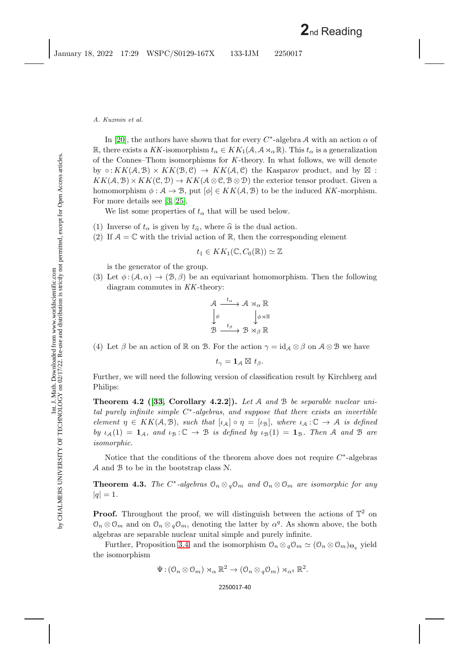In [\[20\]](#page-44-15), the authors have shown that for every  $C^*$ -algebra A with an action  $\alpha$  of R, there exists a KK-isomorphism  $t_{\alpha} \in KK_1(\mathcal{A}, \mathcal{A} \rtimes_{\alpha} \mathbb{R})$ . This  $t_{\alpha}$  is a generalization of the Connes–Thom isomorphisms for *K*-theory. In what follows, we will denote by  $\circ: KK(\mathcal{A}, \mathcal{B}) \times KK(\mathcal{B}, \mathcal{C}) \rightarrow KK(\mathcal{A}, \mathcal{C})$  the Kasparov product, and by  $\boxtimes$ :  $KK(A, \mathcal{B}) \times KK(\mathcal{C}, \mathcal{D}) \to KK(A \otimes \mathcal{C}, \mathcal{B} \otimes \mathcal{D})$  the exterior tensor product. Given a homomorphism  $\phi : \mathcal{A} \to \mathcal{B}$ , put  $[\phi] \in KK(\mathcal{A}, \mathcal{B})$  to be the induced KK-morphism. For more details see [\[3,](#page-44-11) [25\]](#page-45-18).

We list some properties of  $t_{\alpha}$  that will be used below.

- (1) Inverse of  $t_{\alpha}$  is given by  $t_{\hat{\alpha}}$ , where  $\hat{\alpha}$  is the dual action.<br>(2) If  $A = \mathbb{C}$  with the trivial action of  $\mathbb{R}$  then the correspondent
- (2) If  $A = \mathbb{C}$  with the trivial action of  $\mathbb{R}$ , then the corresponding element

$$
t_1 \in KK_1(\mathbb{C}, C_0(\mathbb{R})) \simeq \mathbb{Z}
$$

is the generator of the group.

(3) Let  $\phi: (\mathcal{A}, \alpha) \to (\mathcal{B}, \beta)$  be an equivariant homomorphism. Then the following diagram commutes in *KK*-theory:

$$
\begin{array}{ccc}\nA & \xrightarrow{t_{\alpha}} & A \rtimes_{\alpha} \mathbb{R} \\
\downarrow{\phi} & & \downarrow{\phi} \rtimes \mathbb{R} \\
\mathcal{B} & \xrightarrow{t_{\beta}} & B \rtimes_{\beta} \mathbb{R}\n\end{array}
$$

(4) Let  $\beta$  be an action of R on B. For the action  $\gamma = id_{\mathcal{A}} \otimes \beta$  on  $\mathcal{A} \otimes \mathcal{B}$  we have

 $t_{\gamma} = \mathbf{1}_A \boxtimes t_{\beta}$ .

Further, we will need the following version of classification result by Kirchberg and Philips:

**Theorem 4.2 ([\[33,](#page-45-15) Corollary 4.2.2]).** *Let* A *and* B *be separable nuclear unital purely infinite simple* C<sup>∗</sup>*-algebras*, *and suppose that there exists an invertible element*  $\eta \in KK(\mathcal{A}, \mathcal{B})$ , *such that*  $[\iota_{\mathcal{A}}] \circ \eta = [\iota_{\mathcal{B}}]$ , *where*  $\iota_{\mathcal{A}} : \mathbb{C} \to \mathcal{A}$  *is defined by*  $\iota_A(1) = \mathbf{1}_A$ , and  $\iota_B: \mathbb{C} \to \mathbb{B}$  *is defined by*  $\iota_B(1) = \mathbf{1}_B$ *. Then* A and B are *isomorphic.*

Notice that the conditions of the theorem above does not require  $C^*$ -algebras A and B to be in the bootstrap class N.

**Theorem 4.3.** *The*  $C^*$ -algebras  $\mathcal{O}_n \otimes_{q} \mathcal{O}_m$  and  $\mathcal{O}_n \otimes \mathcal{O}_m$  are isomorphic for any  $|q| = 1.$ 

**Proof.** Throughout the proof, we will distinguish between the actions of  $\mathbb{T}^2$  on  $\mathcal{O}_n \otimes \mathcal{O}_m$  and on  $\mathcal{O}_n \otimes_q \mathcal{O}_m$ , denoting the latter by  $\alpha^q$ . As shown above, the both algebras are separable nuclear unital simple and purely infinite.

Further, Proposition [3.4,](#page-15-2) and the isomorphism  $\mathcal{O}_n \otimes_q \mathcal{O}_m \simeq (\mathcal{O}_n \otimes \mathcal{O}_m)_{\Theta_q}$  yield the isomorphism

$$
\Psi: (\mathcal{O}_n \otimes \mathcal{O}_m) \rtimes_\alpha \mathbb{R}^2 \to (\mathcal{O}_n \otimes_q \mathcal{O}_m) \rtimes_{\alpha^q} \mathbb{R}^2.
$$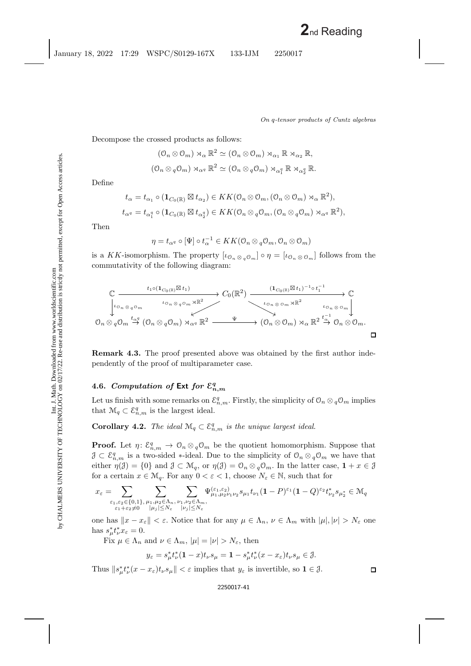$$
(\mathcal{O}_n \otimes \mathcal{O}_m) \rtimes_{\alpha} \mathbb{R}^2 \simeq (\mathcal{O}_n \otimes \mathcal{O}_m) \rtimes_{\alpha_1} \mathbb{R} \rtimes_{\alpha_2} \mathbb{R},
$$
  

$$
(\mathcal{O}_n \otimes_q \mathcal{O}_m) \rtimes_{\alpha^q} \mathbb{R}^2 \simeq (\mathcal{O}_n \otimes_q \mathcal{O}_m) \rtimes_{\alpha_1^q} \mathbb{R} \rtimes_{\alpha_2^q} \mathbb{R}.
$$

Define

$$
t_{\alpha} = t_{\alpha_1} \circ (\mathbf{1}_{C_0(\mathbb{R})} \boxtimes t_{\alpha_2}) \in KK(\mathcal{O}_n \otimes \mathcal{O}_m, (\mathcal{O}_n \otimes \mathcal{O}_m) \rtimes_{\alpha} \mathbb{R}^2),
$$
  

$$
t_{\alpha^q} = t_{\alpha_1^q} \circ (\mathbf{1}_{C_0(\mathbb{R})} \boxtimes t_{\alpha_2^q}) \in KK(\mathcal{O}_n \otimes q\mathcal{O}_m, (\mathcal{O}_n \otimes q\mathcal{O}_m) \rtimes_{\alpha^q} \mathbb{R}^2),
$$

Then

$$
\eta = t_{\alpha^q} \circ [\Psi] \circ t_{\alpha}^{-1} \in KK(\mathcal{O}_n \otimes q\mathcal{O}_m, \mathcal{O}_n \otimes \mathcal{O}_m)
$$

is a KK-isomorphism. The property  $[\iota_{\mathcal{O}_n \otimes_q \mathcal{O}_m}] \circ \eta = [\iota_{\mathcal{O}_n \otimes \mathcal{O}_m}]$  follows from the commutativity of the following diagram:



**Remark 4.3.** The proof presented above was obtained by the first author independently of the proof of multiparameter case.

## 4.6. *Computation of* Ext *for*  $\mathcal{E}_{n,m}^q$

<span id="page-41-0"></span>Let us finish with some remarks on  $\mathcal{E}_{n,m}^q$ . Firstly, the simplicity of  $\mathcal{O}_n \otimes_q \mathcal{O}_m$  implies that  $\mathcal{M}_q \subset \mathcal{E}_{n,m}^q$  is the largest ideal.

**Corollary 4.2.** *The ideal*  $\mathcal{M}_q \subset \mathcal{E}_{n,m}^q$  *is the unique largest ideal.* 

**Proof.** Let  $\eta: \mathcal{E}_{n,m}^q \to \mathcal{O}_n \otimes_q \mathcal{O}_m$  be the quotient homomorphism. Suppose that  $\mathcal{J} \subset \mathcal{E}_{n,m}^q$  is a two-sided \*-ideal. Due to the simplicity of  $\mathcal{O}_n \otimes_q \mathcal{O}_m$  we have that either  $\eta(\mathcal{J}) = \{0\}$  and  $\mathcal{J} \subset \mathcal{M}_q$ , or  $\eta(\mathcal{J}) = \mathcal{O}_n \otimes_q \mathcal{O}_m$ . In the latter case,  $1 + x \in \mathcal{J}$ for a certain  $x \in \mathcal{M}_q$ . For any  $0 < \varepsilon < 1$ , choose  $N_\varepsilon \in \mathbb{N}$ , such that for

$$
x_\varepsilon=\!\!\!\!\!\!\!\!\!\sum_{\substack{\varepsilon_1,\varepsilon_2\in\{0,1\},\\ \varepsilon_1+\varepsilon_2\ne 0}}\sum_{\substack{\mu_1,\mu_2\in\Lambda_n,\ \nu_1,\nu_2\in\Lambda_m,\\ |\mu_j|\le N_\varepsilon}}\sum_{\substack{\Psi_{\mu_1,\mu_2\nu_1\nu_2}(\varepsilon_1,\varepsilon_2)\\ |\nu_j|\le N_\varepsilon}}\!\!\!\!\!\!\!\Psi_{\mu_1,\mu_2\nu_1\nu_2}^{(\varepsilon_1,\varepsilon_2)}s_{\mu_1}t_{\nu_1}(1-P)^{\varepsilon_1}(1-Q)^{\varepsilon_2}t_{\nu_2}^*s_{\mu_2^*}\in\mathcal{M}_q
$$

one has  $||x - x_{\varepsilon}|| < \varepsilon$ . Notice that for any  $\mu \in \Lambda_n$ ,  $\nu \in \Lambda_m$  with  $|\mu|, |\nu| > N_{\varepsilon}$  one has  $s^*_{\mu} t^*_{\nu} x_{\varepsilon} = 0.$ 

Fix  $\mu \in \Lambda_n$  and  $\nu \in \Lambda_m$ ,  $|\mu| = |\nu| > N_{\varepsilon}$ , then

$$
y_\varepsilon=s_\mu^*t_\nu^*(\mathbf{1}-x)t_\nu s_\mu=\mathbf{1}-s_\mu^*t_\nu^*(x-x_\varepsilon)t_\nu s_\mu\in\mathcal{J}.
$$

Thus  $||s_{\mu}^* t_{\nu}^*(x - x_{\varepsilon}) t_{\nu} s_{\mu}|| < \varepsilon$  implies that  $y_{\varepsilon}$  is invertible, so  $1 \in \mathcal{J}$ .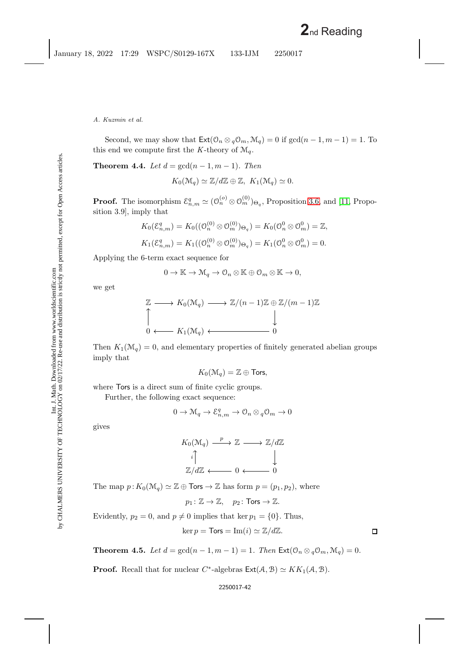Second, we may show that  $\text{Ext}(\mathcal{O}_n \otimes_q \mathcal{O}_m, \mathcal{M}_q) = 0$  if  $\gcd(n-1, m-1) = 1$ . To this end we compute first the *K*-theory of  $\mathcal{M}_q$ .

**Theorem 4.4.** *Let*  $d = \gcd(n-1, m-1)$ *. Then* 

 $K_0(\mathcal{M}_q) \simeq \mathbb{Z}/d\mathbb{Z} \oplus \mathbb{Z}, K_1(\mathcal{M}_q) \simeq 0.$ 

**Proof.** The isomorphism  $\mathcal{E}_{n,m}^q \simeq (0_n^{(o)} \otimes 0_m^{(0)})_{\Theta_q}$ , Proposition [3.6,](#page-16-2) and [\[11,](#page-44-14) Proposition 3.9], imply that

$$
K_0(\mathcal{E}_{n,m}^q) = K_0((\mathcal{O}_n^{(0)} \otimes \mathcal{O}_m^{(0)})_{\Theta_q}) = K_0(\mathcal{O}_n^0 \otimes \mathcal{O}_m^0) = \mathbb{Z},
$$
  

$$
K_1(\mathcal{E}_{n,m}^q) = K_1((\mathcal{O}_n^{(0)} \otimes \mathcal{O}_m^{(0)})_{\Theta_q}) = K_1(\mathcal{O}_n^0 \otimes \mathcal{O}_m^0) = 0.
$$

Applying the 6-term exact sequence for

$$
0 \to \mathbb{K} \to \mathcal{M}_q \to \mathcal{O}_n \otimes \mathbb{K} \oplus \mathcal{O}_m \otimes \mathbb{K} \to 0,
$$

we get

$$
\mathbb{Z} \longrightarrow K_0(\mathcal{M}_q) \longrightarrow \mathbb{Z}/(n-1)\mathbb{Z} \oplus \mathbb{Z}/(m-1)\mathbb{Z}
$$
  
\n
$$
\downarrow
$$
  
\n0  $\longleftarrow K_1(\mathcal{M}_q) \longleftarrow 0$ 

Then  $K_1(\mathcal{M}_q) = 0$ , and elementary properties of finitely generated abelian groups imply that

$$
K_0(\mathcal{M}_q)=\mathbb{Z}\oplus \textsf{Tors},
$$

where **Tors** is a direct sum of finite cyclic groups.

Further, the following exact sequence:

$$
0 \to \mathcal{M}_q \to \mathcal{E}^q_{n,m} \to \mathcal{O}_n \otimes {}_q\mathcal{O}_m \to 0
$$

gives

$$
K_0(\mathcal{M}_q) \xrightarrow{p} \mathbb{Z} \longrightarrow \mathbb{Z}/d\mathbb{Z}
$$

$$
\begin{array}{c} \downarrow \\ \downarrow \\ \mathbb{Z}/d\mathbb{Z} \longleftarrow 0 \longleftarrow 0 \end{array}
$$

The map  $p: K_0(\mathcal{M}_q) \simeq \mathbb{Z} \oplus \textsf{Tors} \to \mathbb{Z}$  has form  $p = (p_1, p_2)$ , where

$$
p_1\colon \mathbb{Z}\to \mathbb{Z}, \quad p_2\colon \mathsf{Tors}\to \mathbb{Z}.
$$

Evidently,  $p_2 = 0$ , and  $p \neq 0$  implies that ker  $p_1 = \{0\}$ . Thus,

$$
\ker p = \mathsf{Tors} = \operatorname{Im}(i) \simeq \mathbb{Z}/d\mathbb{Z}.
$$

<span id="page-42-0"></span>**Theorem 4.5.** *Let*  $d = \gcd(n-1, m-1) = 1$ *. Then*  $\text{Ext}(\mathcal{O}_n \otimes_q \mathcal{O}_m, \mathcal{M}_q) = 0$ *.* 

**Proof.** Recall that for nuclear  $C^*$ -algebras  $\text{Ext}(\mathcal{A}, \mathcal{B}) \simeq KK_1(\mathcal{A}, \mathcal{B})$ .

#### 2250017-42

 $\Box$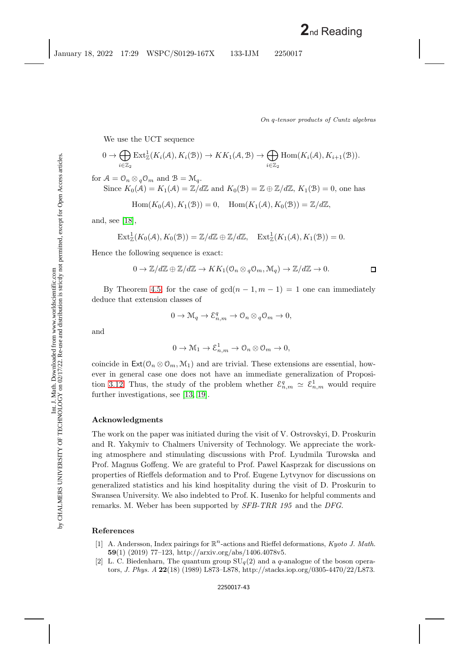We use the UCT sequence

$$
0 \to \bigoplus_{i \in \mathbb{Z}_2} \text{Ext}^1_{\mathbb{Z}}(K_i(\mathcal{A}), K_i(\mathcal{B})) \to KK_1(\mathcal{A}, \mathcal{B}) \to \bigoplus_{i \in \mathbb{Z}_2} \text{Hom}(K_i(\mathcal{A}), K_{i+1}(\mathcal{B})).
$$

for  $A = \mathcal{O}_n \otimes {}_{q}\mathcal{O}_m$  and  $B = \mathcal{M}_q$ . Since  $K_0(\mathcal{A}) = K_1(\mathcal{A}) = \mathbb{Z}/d\mathbb{Z}$  and  $K_0(\mathcal{B}) = \mathbb{Z} \oplus \mathbb{Z}/d\mathbb{Z}$ ,  $K_1(\mathcal{B}) = 0$ , one has

$$
Hom(K_0(\mathcal{A}), K_1(\mathcal{B})) = 0, \quad Hom(K_1(\mathcal{A}), K_0(\mathcal{B})) = \mathbb{Z}/d\mathbb{Z},
$$

and, see [\[18\]](#page-44-13),

$$
\mathrm{Ext}^1_\mathbb{Z}(K_0(\mathcal{A}),K_0(\mathcal{B}))=\mathbb{Z}/d\mathbb{Z}\oplus\mathbb{Z}/d\mathbb{Z},\quad \mathrm{Ext}^1_\mathbb{Z}(K_1(\mathcal{A}),K_1(\mathcal{B}))=0.
$$

Hence the following sequence is exact:

$$
0 \to \mathbb{Z}/d\mathbb{Z} \oplus \mathbb{Z}/d\mathbb{Z} \to KK_1(\mathbb{O}_n \otimes_q \mathbb{O}_m, \mathcal{M}_q) \to \mathbb{Z}/d\mathbb{Z} \to 0.
$$

By Theorem [4.5,](#page-42-0) for the case of  $gcd(n-1, m-1) = 1$  one can immediately deduce that extension classes of

$$
0 \to \mathcal{M}_q \to \mathcal{E}_{n,m}^q \to \mathcal{O}_n \otimes_q \mathcal{O}_m \to 0,
$$

and

$$
0 \to \mathcal{M}_1 \to \mathcal{E}_{n,m}^1 \to \mathcal{O}_n \otimes \mathcal{O}_m \to 0,
$$

coincide in  $\text{Ext}(\mathcal{O}_n \otimes \mathcal{O}_m, \mathcal{M}_1)$  and are trivial. These extensions are essential, however in general case one does not have an immediate generalization of Proposi-tion [3.12.](#page-32-1) Thus, the study of the problem whether  $\mathcal{E}_{n,m}^q \simeq \mathcal{E}_{n,m}^1$  would require further investigations, see [\[13,](#page-44-16) [19\]](#page-44-17).

## **Acknowledgments**

The work on the paper was initiated during the visit of V. Ostrovskyi, D. Proskurin and R. Yakymiv to Chalmers University of Technology. We appreciate the working atmosphere and stimulating discussions with Prof. Lyudmila Turowska and Prof. Magnus Goffeng. We are grateful to Prof. Pawel Kasprzak for discussions on properties of Rieffels deformation and to Prof. Eugene Lytvynov for discussions on generalized statistics and his kind hospitality during the visit of D. Proskurin to Swansea University. We also indebted to Prof. K. Iusenko for helpful comments and remarks. M. Weber has been supported by *SFB-TRR 195* and the *DFG*.

## <span id="page-43-2"></span><span id="page-43-0"></span>**References**

- [1] A. Andersson, Index pairings for  $\mathbb{R}^n$ -actions and Rieffel deformations, *Kyoto J. Math.* **59**(1) (2019) 77–123, http://arxiv.org/abs/1406.4078v5.
- <span id="page-43-1"></span>[2] L. C. Biedenharn, The quantum group  $SU_q(2)$  and a *q*-analogue of the boson operators, *J. Phys. A* **22**(18) (1989) L873–L878, http://stacks.iop.org/0305-4470/22/L873.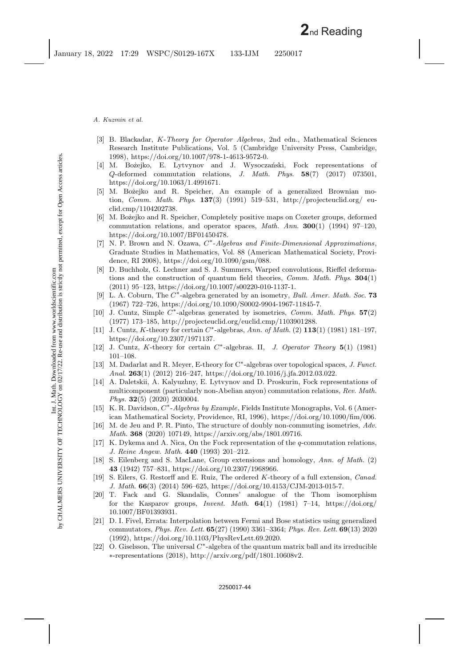- *A. Kuzmin et al.*
- <span id="page-44-11"></span>[3] B. Blackadar, *K*-*Theory for Operator Algebras*, 2nd edn., Mathematical Sciences Research Institute Publications, Vol. 5 (Cambridge University Press, Cambridge, 1998), https://doi.org/10.1007/978-1-4613-9572-0.
- <span id="page-44-8"></span>[4] M. Bożejko, E. Lytvynov and J. Wysoczański, Fock representations of *Q*-deformed commutation relations, *J. Math. Phys*. **58**(7) (2017) 073501, https://doi.org/10.1063/1.4991671.
- <span id="page-44-0"></span>[5] M. Bożejko and R. Speicher, An example of a generalized Brownian motion, *Comm. Math. Phys*. **137**(3) (1991) 519–531, http://projecteuclid.org/ euclid.cmp/1104202738.
- <span id="page-44-2"></span>[6] M. Bo˙zejko and R. Speicher, Completely positive maps on Coxeter groups, deformed commutation relations, and operator spaces, *Math. Ann*. **300**(1) (1994) 97–120, https://doi.org/10.1007/BF01450478.
- [7] N. P. Brown and N. Ozawa, *C*∗-*Algebras and Finite-Dimensional Approximations*, Graduate Studies in Mathematics, Vol. 88 (American Mathematical Society, Providence, RI 2008), https://doi.org/10.1090/gsm/088.
- <span id="page-44-10"></span>[8] D. Buchholz, G. Lechner and S. J. Summers, Warped convolutions, Rieffel deformations and the construction of quantum field theories, *Comm. Math. Phys*. **304**(1)  $(2011)$  95–123, https://doi.org/10.1007/s00220-010-1137-1.
- <span id="page-44-3"></span>[9] L. A. Coburn, The *C*∗-algebra generated by an isometry, *Bull. Amer. Math. Soc*. **73** (1967) 722–726, https://doi.org/10.1090/S0002-9904-1967-11845-7.
- <span id="page-44-4"></span>[10] J. Cuntz, Simple *C*∗-algebras generated by isometries, *Comm. Math. Phys.* **57**(2) (1977) 173–185, http://projecteuclid.org/euclid.cmp/1103901288.
- <span id="page-44-14"></span>[11] J. Cuntz, *K*-theory for certain *C*∗-algebras, *Ann. of Math*. (2) **113**(1) (1981) 181–197, https://doi.org/10.2307/1971137.
- <span id="page-44-12"></span>[12] J. Cuntz, *K*-theory for certain *C*∗-algebras. II, *J. Operator Theory* **5**(1) (1981) 101–108.
- <span id="page-44-16"></span>[13] M. Dadarlat and R. Meyer, E-theory for C∗-algebras over topological spaces, *J. Funct. Anal*. **263**(1) (2012) 216–247, https://doi.org/10.1016/j.jfa.2012.03.022.
- <span id="page-44-9"></span>[14] A. Daletskii, A. Kalyuzhny, E. Lytvynov and D. Proskurin, Fock representations of multicomponent (particularly non-Abelian anyon) commutation relations, *Rev. Math. Phys.* **32**(5) (2020) 2030004.
- [15] K. R. Davidson, *C*∗-*Algebras by Example*, Fields Institute Monographs, Vol. 6 (American Mathematical Society, Providence, RI, 1996), https://doi.org/10.1090/fim/006.
- <span id="page-44-5"></span>[16] M. de Jeu and P. R. Pinto, The structure of doubly non-commuting isometries, *Adv. Math.* **368** (2020) 107149, https://arxiv.org/abs/1801.09716.
- <span id="page-44-7"></span>[17] K. Dykema and A. Nica, On the Fock representation of the *q*-commutation relations, *J. Reine Angew. Math*. **440** (1993) 201–212.
- <span id="page-44-13"></span>[18] S. Eilenberg and S. MacLane, Group extensions and homology, *Ann. of Math.* (2) **43** (1942) 757–831, https://doi.org/10.2307/1968966.
- <span id="page-44-17"></span>[19] S. Eilers, G. Restorff and E. Ruiz, The ordered *K*-theory of a full extension, *Canad. J. Math*. **66**(3) (2014) 596–625, https://doi.org/10.4153/CJM-2013-015-7.
- <span id="page-44-15"></span>[20] T. Fack and G. Skandalis, Connes' analogue of the Thom isomorphism for the Kasparov groups, *Invent. Math*. **64**(1) (1981) 7–14, https://doi.org/ 10.1007/BF01393931.
- <span id="page-44-1"></span>[21] D. I. Fivel, Errata: Interpolation between Fermi and Bose statistics using generalized commutators, *Phys. Rev. Lett*. **65**(27) (1990) 3361–3364; *Phys. Rev. Lett*. **69**(13) 2020 (1992), https://doi.org/10.1103/PhysRevLett.69.2020.
- <span id="page-44-6"></span>[22] O. Giselsson, The universal *C*∗-algebra of the quantum matrix ball and its irreducible ∗-representations (2018), http://arxiv.org/pdf/1801.10608v2.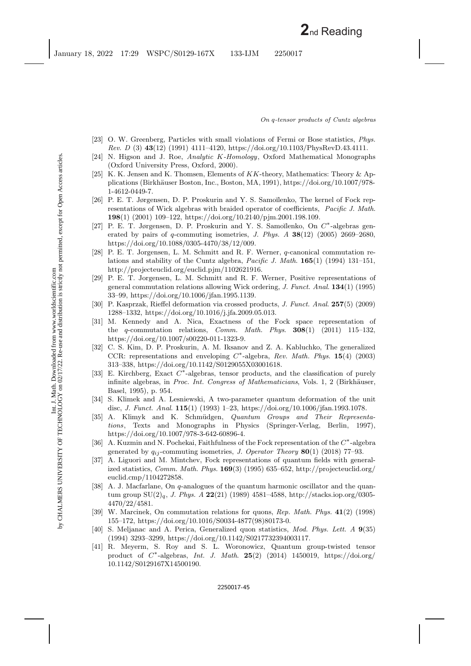- <span id="page-45-0"></span>[23] O. W. Greenberg, Particles with small violations of Fermi or Bose statistics, *Phys. Rev. D* (3) **43**(12) (1991) 4111–4120, https://doi.org/10.1103/PhysRevD.43.4111.
- <span id="page-45-17"></span>[24] N. Higson and J. Roe, *Analytic K-Homology*, Oxford Mathematical Monographs (Oxford University Press, Oxford, 2000).
- <span id="page-45-18"></span>[25] K. K. Jensen and K. Thomsen, Elements of *KK*-theory, Mathematics: Theory & Applications (Birkh¨auser Boston, Inc., Boston, MA, 1991), https://doi.org/10.1007/978- 1-4612-0449-7.
- <span id="page-45-8"></span>[26] P. E. T. Jørgensen, D. P. Proskurin and Y. S. Samoĭlenko, The kernel of Fock representations of Wick algebras with braided operator of coefficients, *Pacific J. Math*. **198**(1) (2001) 109–122, https://doi.org/10.2140/pjm.2001.198.109.
- <span id="page-45-12"></span>[27] P. E. T. Jørgensen, D. P. Proskurin and Y. S. Samoĭlenko, On  $C^*$ -algebras generated by pairs of *q*-commuting isometries, *J. Phys. A* **38**(12) (2005) 2669–2680, https://doi.org/10.1088/0305-4470/38/12/009.
- <span id="page-45-9"></span>[28] P. E. T. Jorgensen, L. M. Schmitt and R. F. Werner, *q*-canonical commutation relations and stability of the Cuntz algebra, *Pacific J. Math*. **165**(1) (1994) 131–151, http://projecteuclid.org/euclid.pjm/1102621916.
- <span id="page-45-6"></span>[29] P. E. T. Jorgensen, L. M. Schmitt and R. F. Werner, Positive representations of general commutation relations allowing Wick ordering, *J. Funct. Anal*. **134**(1) (1995) 33–99, https://doi.org/10.1006/jfan.1995.1139.
- <span id="page-45-5"></span>[30] P. Kasprzak, Rieffel deformation via crossed products, *J. Funct. Anal*. **257**(5) (2009) 1288–1332, https://doi.org/10.1016/j.jfa.2009.05.013.
- <span id="page-45-10"></span>[31] M. Kennedy and A. Nica, Exactness of the Fock space representation of the *q*-commutation relations, *Comm. Math. Phys*. **308**(1) (2011) 115–132, https://doi.org/10.1007/s00220-011-1323-9.
- <span id="page-45-13"></span>[32] C. S. Kim, D. P. Proskurin, A. M. Iksanov and Z. A. Kabluchko, The generalized CCR: representations and enveloping *C*∗-algebra, *Rev. Math. Phys*. **15**(4) (2003) 313–338, https://doi.org/10.1142/S0129055X03001618.
- <span id="page-45-15"></span>[33] E. Kirchberg, Exact  $C^*$ -algebras, tensor products, and the classification of purely infinite algebras, in *Proc. Int. Congress of Mathematicians*, Vols. 1, 2 (Birkhäuser, Basel, 1995), p. 954.
- <span id="page-45-3"></span>[34] S. Klimek and A. Lesniewski, A two-parameter quantum deformation of the unit disc, *J. Funct. Anal*. **115**(1) (1993) 1–23, https://doi.org/10.1006/jfan.1993.1078.
- <span id="page-45-7"></span>[35] A. Klimyk and K. Schm¨udgen, *Quantum Groups and Their Representations*, Texts and Monographs in Physics (Springer-Verlag, Berlin, 1997), https://doi.org/10.1007/978-3-642-60896-4.
- <span id="page-45-14"></span>[36] A. Kuzmin and N. Pochekai, Faithfulness of the Fock representation of the *C*∗-algebra generated by  $q_{ij}$ -commuting isometries, *J. Operator Theory* **80**(1) (2018) 77–93.
- <span id="page-45-11"></span>[37] A. Liguori and M. Mintchev, Fock representations of quantum fields with generalized statistics, *Comm. Math. Phys.* **169**(3) (1995) 635–652, http://projecteuclid.org/ euclid.cmp/1104272858.
- <span id="page-45-1"></span>[38] A. J. Macfarlane, On *q*-analogues of the quantum harmonic oscillator and the quantum group SU(2)q, *J. Phys. A* **22**(21) (1989) 4581–4588, http://stacks.iop.org/0305- 4470/22/4581.
- <span id="page-45-4"></span>[39] W. Marcinek, On commutation relations for quons, *Rep. Math. Phys.* **41**(2) (1998) 155–172, https://doi.org/10.1016/S0034-4877(98)80173-0.
- <span id="page-45-2"></span>[40] S. Meljanac and A. Perica, Generalized quon statistics, *Mod. Phys. Lett. A* **9**(35) (1994) 3293–3299, https://doi.org/10.1142/S0217732394003117.
- <span id="page-45-16"></span>[41] R. Meyerm, S. Roy and S. L. Woronowicz, Quantum group-twisted tensor product of *C*∗-algebras, *Int. J. Math*. **25**(2) (2014) 1450019, https://doi.org/ 10.1142/S0129167X14500190.